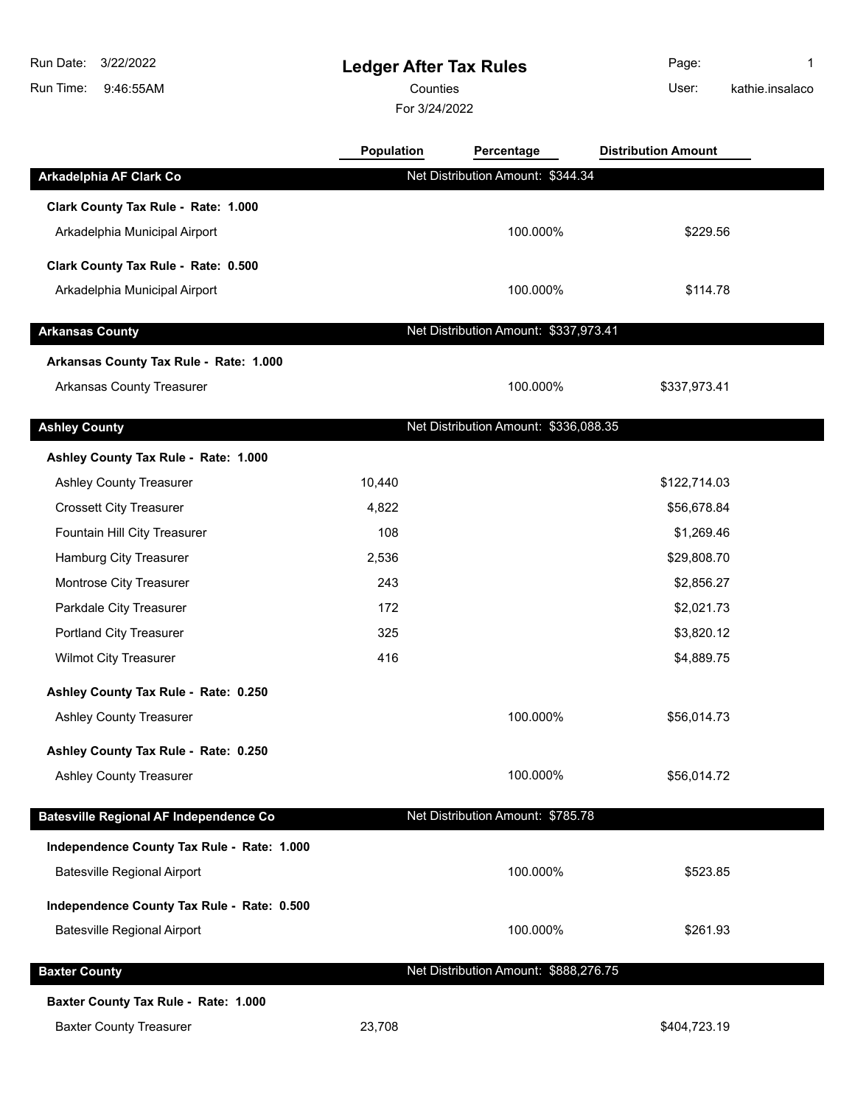## **Ledger After Tax Rules**

Counties User:

**Population Percentage Distribution Amount**

For 3/24/2022

Page: 1 kathie.insalaco

| Arkadelphia AF Clark Co                       |        | Net Distribution Amount: \$344.34     |              |  |
|-----------------------------------------------|--------|---------------------------------------|--------------|--|
| Clark County Tax Rule - Rate: 1.000           |        |                                       |              |  |
| Arkadelphia Municipal Airport                 |        | 100.000%                              | \$229.56     |  |
|                                               |        |                                       |              |  |
| Clark County Tax Rule - Rate: 0.500           |        |                                       |              |  |
| Arkadelphia Municipal Airport                 |        | 100.000%                              | \$114.78     |  |
| <b>Arkansas County</b>                        |        | Net Distribution Amount: \$337,973.41 |              |  |
| Arkansas County Tax Rule - Rate: 1.000        |        |                                       |              |  |
| <b>Arkansas County Treasurer</b>              |        | 100.000%                              | \$337,973.41 |  |
|                                               |        |                                       |              |  |
| <b>Ashley County</b>                          |        | Net Distribution Amount: \$336,088.35 |              |  |
| Ashley County Tax Rule - Rate: 1.000          |        |                                       |              |  |
| Ashley County Treasurer                       | 10,440 |                                       | \$122,714.03 |  |
| <b>Crossett City Treasurer</b>                | 4,822  |                                       | \$56,678.84  |  |
| Fountain Hill City Treasurer                  | 108    |                                       | \$1,269.46   |  |
| Hamburg City Treasurer                        | 2,536  |                                       | \$29,808.70  |  |
| Montrose City Treasurer                       | 243    |                                       | \$2,856.27   |  |
| Parkdale City Treasurer                       | 172    |                                       | \$2,021.73   |  |
| Portland City Treasurer                       | 325    |                                       | \$3,820.12   |  |
| <b>Wilmot City Treasurer</b>                  | 416    |                                       | \$4,889.75   |  |
| Ashley County Tax Rule - Rate: 0.250          |        |                                       |              |  |
| <b>Ashley County Treasurer</b>                |        | 100.000%                              | \$56,014.73  |  |
| Ashley County Tax Rule - Rate: 0.250          |        |                                       |              |  |
| Ashley County Treasurer                       |        | 100.000%                              | \$56,014.72  |  |
|                                               |        | Net Distribution Amount: \$785.78     |              |  |
| <b>Batesville Regional AF Independence Co</b> |        |                                       |              |  |
| Independence County Tax Rule - Rate: 1.000    |        |                                       |              |  |
| <b>Batesville Regional Airport</b>            |        | 100.000%                              | \$523.85     |  |
| Independence County Tax Rule - Rate: 0.500    |        |                                       |              |  |
| <b>Batesville Regional Airport</b>            |        | 100.000%                              | \$261.93     |  |
|                                               |        |                                       |              |  |
| <b>Baxter County</b>                          |        | Net Distribution Amount: \$888,276.75 |              |  |
| Baxter County Tax Rule - Rate: 1.000          |        |                                       |              |  |

Baxter County Treasurer 1988 100 23,708 23,708 5404,723.19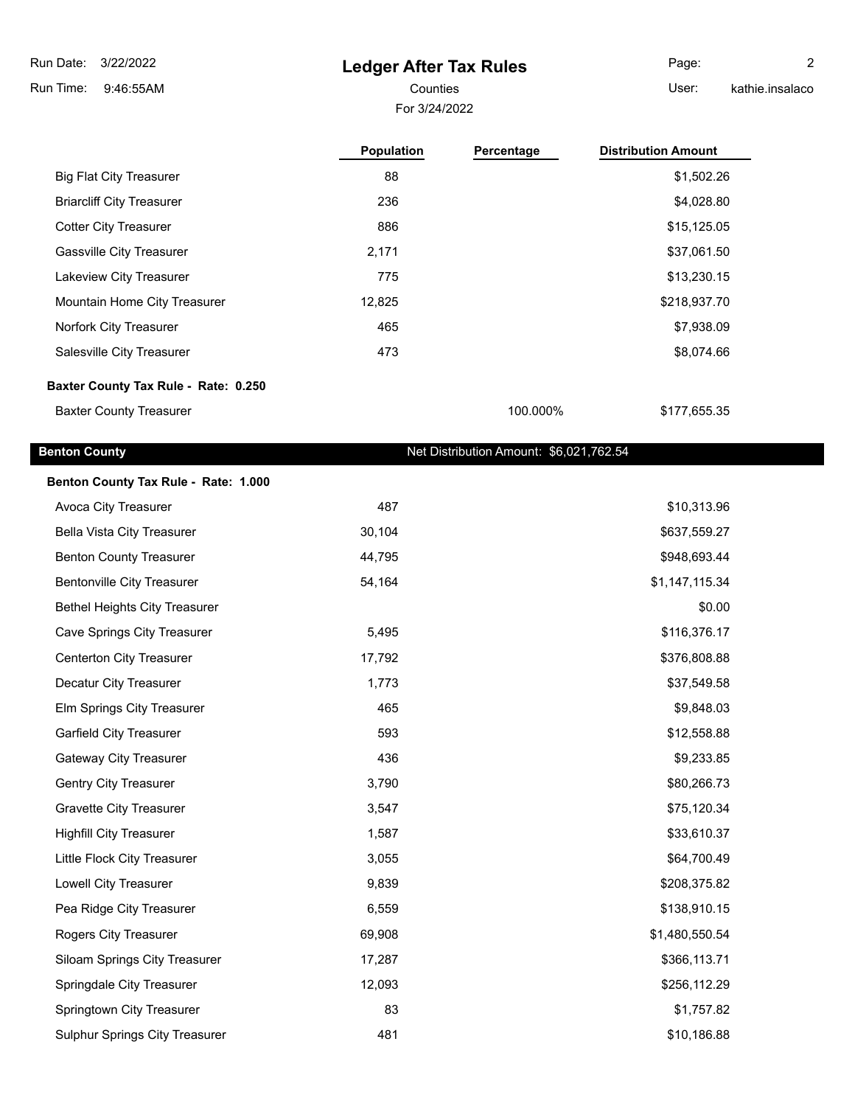# **Ledger After Tax Rules**

For 3/24/2022 Counties **Counties** User:

Page: 2 kathie.insalaco

|                                      | <b>Population</b> | Percentage | <b>Distribution Amount</b> |
|--------------------------------------|-------------------|------------|----------------------------|
| <b>Big Flat City Treasurer</b>       | 88                |            | \$1,502.26                 |
| <b>Briarcliff City Treasurer</b>     | 236               |            | \$4,028.80                 |
| <b>Cotter City Treasurer</b>         | 886               |            | \$15,125.05                |
| <b>Gassville City Treasurer</b>      | 2,171             |            | \$37,061.50                |
| Lakeview City Treasurer              | 775               |            | \$13,230.15                |
| Mountain Home City Treasurer         | 12,825            |            | \$218,937.70               |
| Norfork City Treasurer               | 465               |            | \$7,938.09                 |
| Salesville City Treasurer            | 473               |            | \$8,074.66                 |
| Baxter County Tax Rule - Rate: 0.250 |                   |            |                            |
| <b>Baxter County Treasurer</b>       |                   | 100.000%   | \$177,655.35               |

## **Benton County Benton County Net Distribution Amount: \$6,021,762.54**

| Benton County Tax Rule - Rate: 1.000 |        |                |
|--------------------------------------|--------|----------------|
| Avoca City Treasurer                 | 487    | \$10,313.96    |
| <b>Bella Vista City Treasurer</b>    | 30,104 | \$637,559.27   |
| <b>Benton County Treasurer</b>       | 44,795 | \$948,693.44   |
| <b>Bentonville City Treasurer</b>    | 54,164 | \$1,147,115.34 |
| <b>Bethel Heights City Treasurer</b> |        | \$0.00         |
| <b>Cave Springs City Treasurer</b>   | 5,495  | \$116,376.17   |
| <b>Centerton City Treasurer</b>      | 17,792 | \$376,808.88   |
| Decatur City Treasurer               | 1,773  | \$37,549.58    |
| Elm Springs City Treasurer           | 465    | \$9,848.03     |
| <b>Garfield City Treasurer</b>       | 593    | \$12,558.88    |
| Gateway City Treasurer               | 436    | \$9,233.85     |
| Gentry City Treasurer                | 3,790  | \$80,266.73    |
| <b>Gravette City Treasurer</b>       | 3,547  | \$75,120.34    |
| <b>Highfill City Treasurer</b>       | 1,587  | \$33,610.37    |
| Little Flock City Treasurer          | 3,055  | \$64,700.49    |
| Lowell City Treasurer                | 9,839  | \$208,375.82   |
| Pea Ridge City Treasurer             | 6,559  | \$138,910.15   |
| Rogers City Treasurer                | 69,908 | \$1,480,550.54 |
| Siloam Springs City Treasurer        | 17,287 | \$366,113.71   |
| Springdale City Treasurer            | 12,093 | \$256,112.29   |
| Springtown City Treasurer            | 83     | \$1,757.82     |
| Sulphur Springs City Treasurer       | 481    | \$10,186.88    |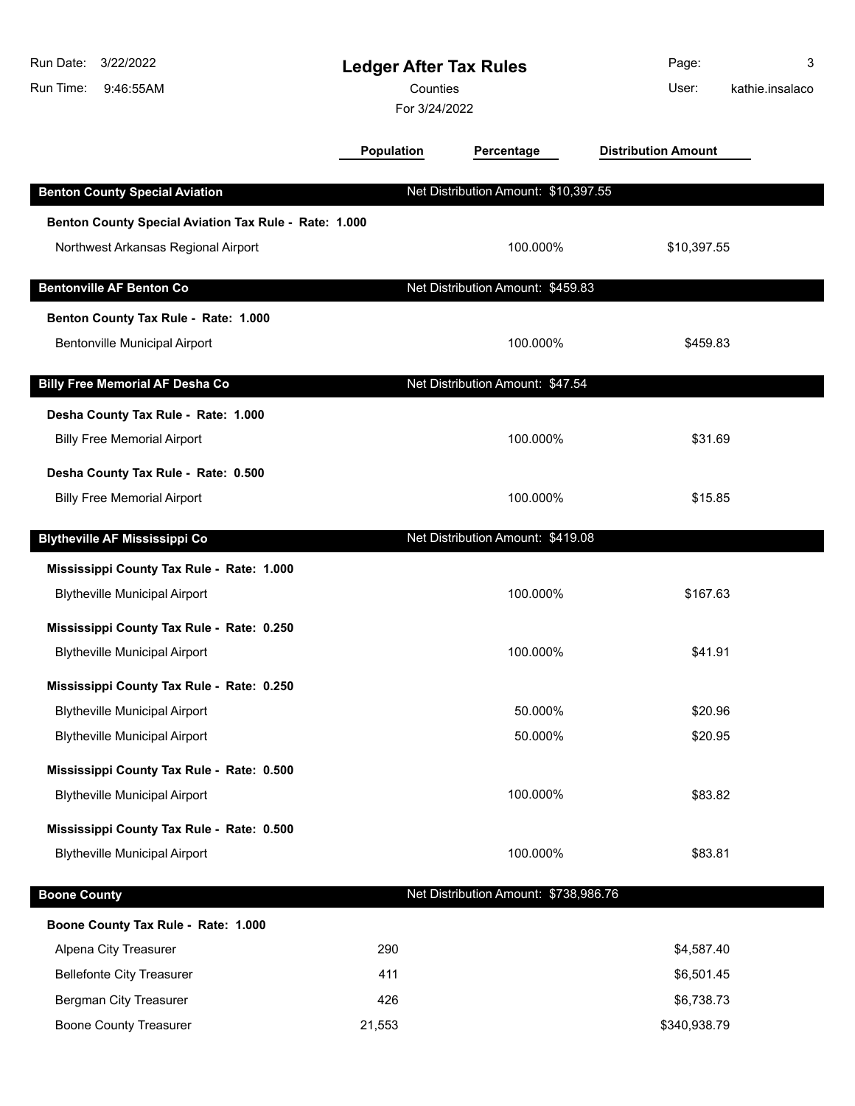| Run Date:<br>3/22/2022                                | <b>Ledger After Tax Rules</b> |                                       | Page:                      | 3               |
|-------------------------------------------------------|-------------------------------|---------------------------------------|----------------------------|-----------------|
| Run Time:<br>9:46:55AM                                | Counties                      |                                       | User:                      | kathie.insalaco |
|                                                       | For 3/24/2022                 |                                       |                            |                 |
|                                                       | <b>Population</b>             | Percentage                            | <b>Distribution Amount</b> |                 |
| <b>Benton County Special Aviation</b>                 |                               | Net Distribution Amount: \$10,397.55  |                            |                 |
| Benton County Special Aviation Tax Rule - Rate: 1.000 |                               |                                       |                            |                 |
| Northwest Arkansas Regional Airport                   |                               | 100.000%                              | \$10,397.55                |                 |
| <b>Bentonville AF Benton Co</b>                       |                               | Net Distribution Amount: \$459.83     |                            |                 |
| Benton County Tax Rule - Rate: 1.000                  |                               |                                       |                            |                 |
| <b>Bentonville Municipal Airport</b>                  |                               | 100.000%                              | \$459.83                   |                 |
| <b>Billy Free Memorial AF Desha Co</b>                |                               | Net Distribution Amount: \$47.54      |                            |                 |
|                                                       |                               |                                       |                            |                 |
| Desha County Tax Rule - Rate: 1.000                   |                               | 100.000%                              | \$31.69                    |                 |
| <b>Billy Free Memorial Airport</b>                    |                               |                                       |                            |                 |
| Desha County Tax Rule - Rate: 0.500                   |                               |                                       |                            |                 |
| <b>Billy Free Memorial Airport</b>                    |                               | 100.000%                              | \$15.85                    |                 |
| <b>Blytheville AF Mississippi Co</b>                  |                               | Net Distribution Amount: \$419.08     |                            |                 |
| Mississippi County Tax Rule - Rate: 1.000             |                               |                                       |                            |                 |
| <b>Blytheville Municipal Airport</b>                  |                               | 100.000%                              | \$167.63                   |                 |
| Mississippi County Tax Rule - Rate: 0.250             |                               |                                       |                            |                 |
| <b>Blytheville Municipal Airport</b>                  |                               | 100.000%                              | \$41.91                    |                 |
| Mississippi County Tax Rule - Rate: 0.250             |                               |                                       |                            |                 |
| <b>Blytheville Municipal Airport</b>                  |                               | 50.000%                               | \$20.96                    |                 |
| <b>Blytheville Municipal Airport</b>                  |                               | 50.000%                               | \$20.95                    |                 |
| Mississippi County Tax Rule - Rate: 0.500             |                               |                                       |                            |                 |
| <b>Blytheville Municipal Airport</b>                  |                               | 100.000%                              | \$83.82                    |                 |
| Mississippi County Tax Rule - Rate: 0.500             |                               |                                       |                            |                 |
| <b>Blytheville Municipal Airport</b>                  |                               | 100.000%                              | \$83.81                    |                 |
| <b>Boone County</b>                                   |                               | Net Distribution Amount: \$738,986.76 |                            |                 |
| Boone County Tax Rule - Rate: 1.000                   |                               |                                       |                            |                 |
| Alpena City Treasurer                                 | 290                           |                                       | \$4,587.40                 |                 |
| <b>Bellefonte City Treasurer</b>                      | 411                           |                                       | \$6,501.45                 |                 |
| Bergman City Treasurer                                | 426                           |                                       | \$6,738.73                 |                 |
| <b>Boone County Treasurer</b>                         | 21,553                        |                                       | \$340,938.79               |                 |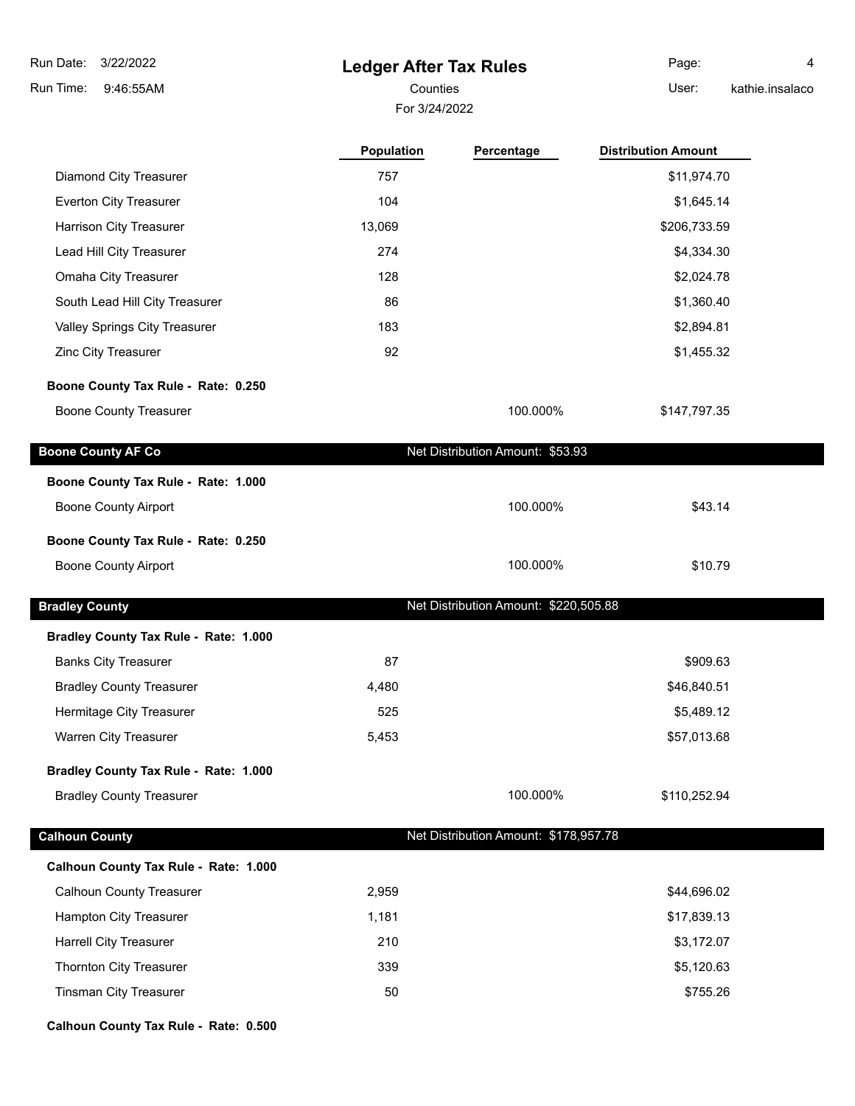# **Ledger After Tax Rules**

For 3/24/2022 Counties **User:** 

Page: 4 kathie.insalaco

|                                       | Population | Percentage                            | <b>Distribution Amount</b> |  |
|---------------------------------------|------------|---------------------------------------|----------------------------|--|
| <b>Diamond City Treasurer</b>         | 757        |                                       | \$11,974.70                |  |
| Everton City Treasurer                | 104        |                                       | \$1,645.14                 |  |
| Harrison City Treasurer               | 13,069     |                                       | \$206,733.59               |  |
| Lead Hill City Treasurer              | 274        |                                       | \$4,334.30                 |  |
| Omaha City Treasurer                  | 128        |                                       | \$2,024.78                 |  |
| South Lead Hill City Treasurer        | 86         |                                       | \$1,360.40                 |  |
| Valley Springs City Treasurer         | 183        |                                       | \$2,894.81                 |  |
| Zinc City Treasurer                   | 92         |                                       | \$1,455.32                 |  |
| Boone County Tax Rule - Rate: 0.250   |            |                                       |                            |  |
| <b>Boone County Treasurer</b>         |            | 100.000%                              | \$147,797.35               |  |
| <b>Boone County AF Co</b>             |            | Net Distribution Amount: \$53.93      |                            |  |
| Boone County Tax Rule - Rate: 1.000   |            |                                       |                            |  |
| <b>Boone County Airport</b>           |            | 100.000%                              | \$43.14                    |  |
| Boone County Tax Rule - Rate: 0.250   |            |                                       |                            |  |
| <b>Boone County Airport</b>           |            | 100.000%                              | \$10.79                    |  |
| <b>Bradley County</b>                 |            | Net Distribution Amount: \$220,505.88 |                            |  |
| Bradley County Tax Rule - Rate: 1.000 |            |                                       |                            |  |
| <b>Banks City Treasurer</b>           | 87         |                                       | \$909.63                   |  |
| <b>Bradley County Treasurer</b>       | 4,480      |                                       | \$46,840.51                |  |
| Hermitage City Treasurer              | 525        |                                       | \$5,489.12                 |  |
| Warren City Treasurer                 | 5,453      |                                       | \$57,013.68                |  |
| Bradley County Tax Rule - Rate: 1.000 |            |                                       |                            |  |
| <b>Bradley County Treasurer</b>       |            | 100.000%                              | \$110,252.94               |  |
| <b>Calhoun County</b>                 |            | Net Distribution Amount: \$178,957.78 |                            |  |
| Calhoun County Tax Rule - Rate: 1.000 |            |                                       |                            |  |
| <b>Calhoun County Treasurer</b>       | 2,959      |                                       | \$44,696.02                |  |
| <b>Hampton City Treasurer</b>         | 1,181      |                                       | \$17,839.13                |  |
| <b>Harrell City Treasurer</b>         | 210        |                                       | \$3,172.07                 |  |
| Thornton City Treasurer               | 339        |                                       | \$5,120.63                 |  |
| <b>Tinsman City Treasurer</b>         | 50         |                                       | \$755.26                   |  |

**Calhoun County Tax Rule - Rate: 0.500**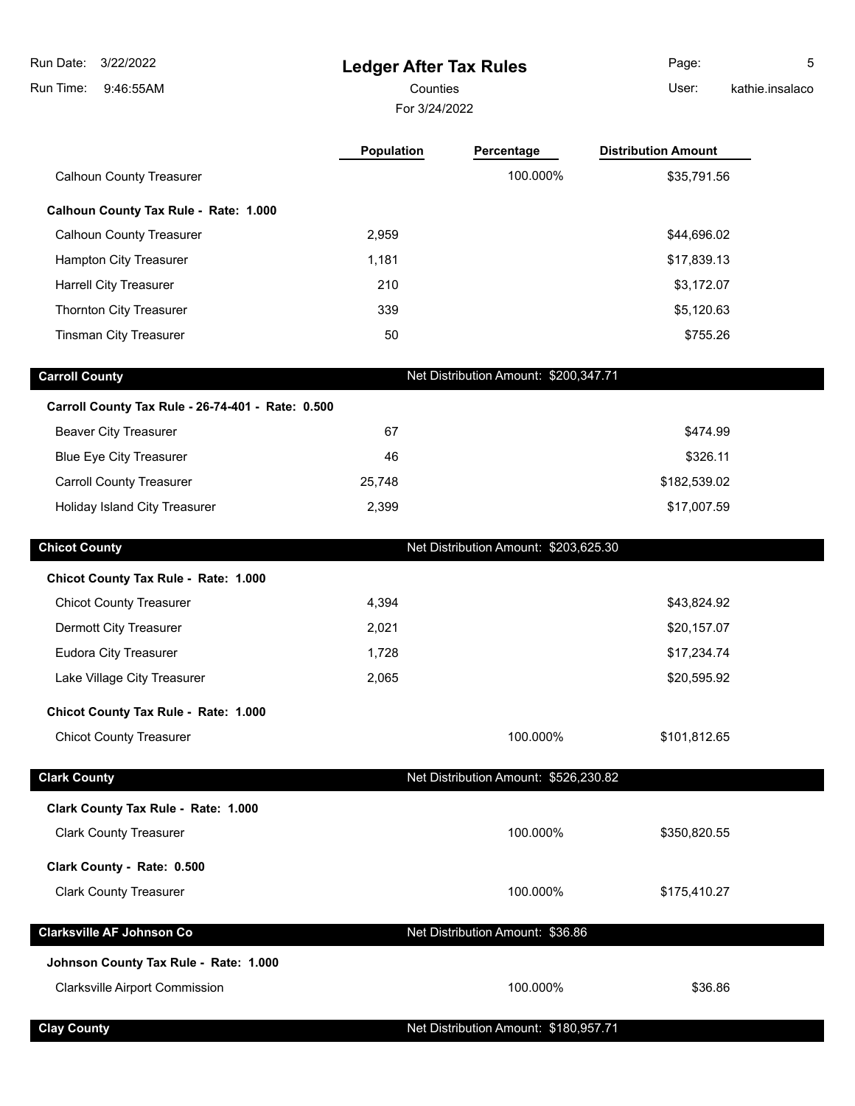**Ledger After Tax Rules** 9:46:55AM Run Time: 3/22/2022 Run Date: Counties User:

For 3/24/2022

**Population Percentage Distribution Amount**

Page: 5 kathie.insalaco

| <b>Calhoun County Treasurer</b>                   |        | 100.000%                              | \$35,791.56  |  |
|---------------------------------------------------|--------|---------------------------------------|--------------|--|
| Calhoun County Tax Rule - Rate: 1.000             |        |                                       |              |  |
| <b>Calhoun County Treasurer</b>                   | 2,959  |                                       | \$44,696.02  |  |
| Hampton City Treasurer                            | 1,181  |                                       | \$17,839.13  |  |
| <b>Harrell City Treasurer</b>                     | 210    |                                       | \$3,172.07   |  |
| Thornton City Treasurer                           | 339    |                                       | \$5,120.63   |  |
| <b>Tinsman City Treasurer</b>                     | 50     |                                       | \$755.26     |  |
|                                                   |        | Net Distribution Amount: \$200,347.71 |              |  |
| <b>Carroll County</b>                             |        |                                       |              |  |
| Carroll County Tax Rule - 26-74-401 - Rate: 0.500 |        |                                       |              |  |
| <b>Beaver City Treasurer</b>                      | 67     |                                       | \$474.99     |  |
| <b>Blue Eye City Treasurer</b>                    | 46     |                                       | \$326.11     |  |
| <b>Carroll County Treasurer</b>                   | 25,748 |                                       | \$182,539.02 |  |
| Holiday Island City Treasurer                     | 2,399  |                                       | \$17,007.59  |  |
| <b>Chicot County</b>                              |        | Net Distribution Amount: \$203,625.30 |              |  |
| Chicot County Tax Rule - Rate: 1.000              |        |                                       |              |  |
| <b>Chicot County Treasurer</b>                    | 4,394  |                                       | \$43,824.92  |  |
| Dermott City Treasurer                            | 2,021  |                                       | \$20,157.07  |  |
| <b>Eudora City Treasurer</b>                      | 1,728  |                                       | \$17,234.74  |  |
| Lake Village City Treasurer                       | 2,065  |                                       | \$20,595.92  |  |
| Chicot County Tax Rule - Rate: 1.000              |        |                                       |              |  |
| <b>Chicot County Treasurer</b>                    |        | 100.000%                              | \$101,812.65 |  |
| <b>Clark County</b>                               |        | Net Distribution Amount: \$526,230.82 |              |  |
| Clark County Tax Rule - Rate: 1.000               |        |                                       |              |  |
| <b>Clark County Treasurer</b>                     |        | 100.000%                              | \$350,820.55 |  |
| Clark County - Rate: 0.500                        |        |                                       |              |  |
| <b>Clark County Treasurer</b>                     |        | 100.000%                              | \$175,410.27 |  |
| <b>Clarksville AF Johnson Co</b>                  |        | Net Distribution Amount: \$36.86      |              |  |
| Johnson County Tax Rule - Rate: 1.000             |        |                                       |              |  |

Clarksville Airport Commission **\$36.86**  $\frac{1}{2}$  \$36.86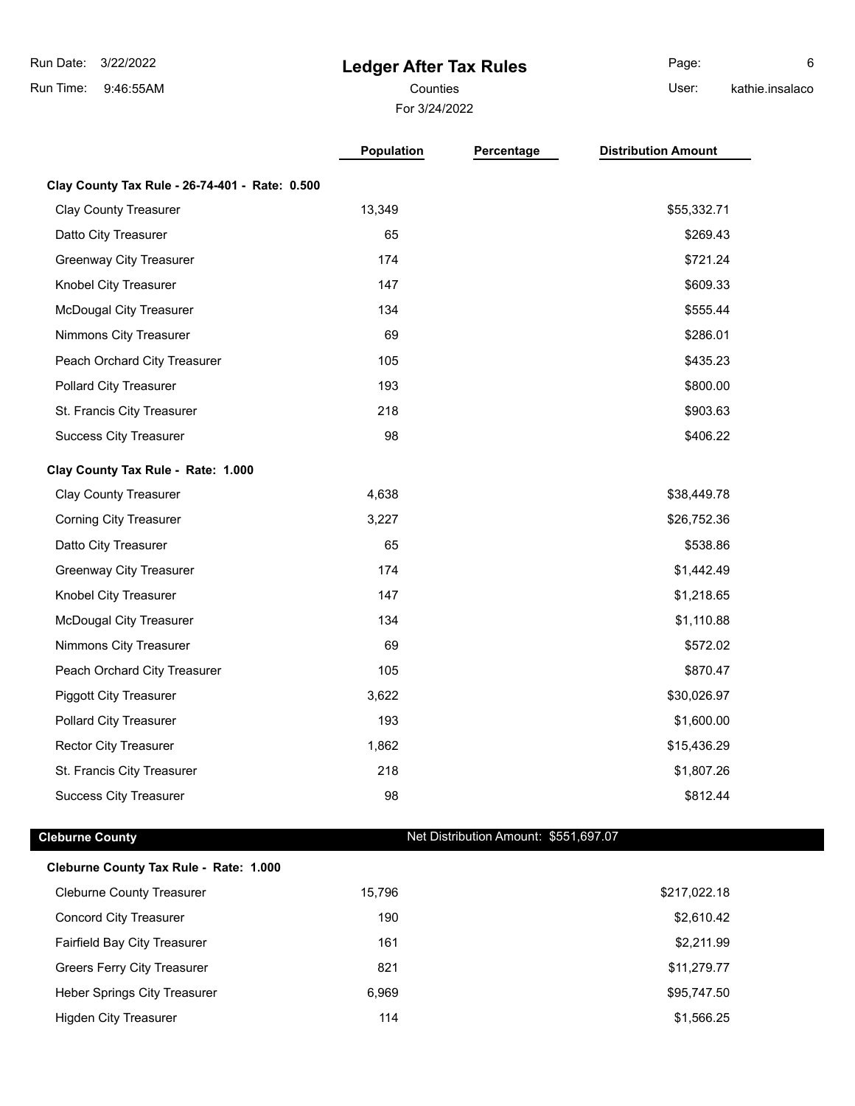### **Ledger After Tax Rules**

Counties **Counties** User:

Page: 6 kathie.insalaco

For 3/24/2022

**Population Percentage Distribution Amount**

**Clay County Tax Rule - 26-74-401 - Rate: 0.500** Clay County Treasurer 13,349 \$55,332.71 Datto City Treasurer 65 \$269.43 Greenway City Treasurer 174 **\$721.24** \$721.24 Knobel City Treasurer **147** \$609.33 McDougal City Treasurer 134 **134** \$555.44 Nimmons City Treasurer 69 \$286.01 Peach Orchard City Treasurer 105 \$435.23 Pollard City Treasurer 193 by the 193 \$800.00 \$800.00 \$800.00 \$800.00 \$800.00 \$800.00 \$800.00 \$800.00 \$800.00 \$ St. Francis City Treasurer 218 **3903.63** \$903.63 Success City Treasurer 98 \$406.22 **Clay County Tax Rule - Rate: 1.000** Clay County Treasurer 6. The country Treasurer 4,638 \$38,449.78 Corning City Treasurer **3,227** \$26,752.36 Datto City Treasurer 65 \$538.86 Greenway City Treasurer 174 **174** \$1,442.49 Knobel City Treasurer **147** \$1,218.65 McDougal City Treasurer 134 **134** \$1,110.88 Nimmons City Treasurer 69 \$572.02 Peach Orchard City Treasurer 105 \$870.47 Piggott City Treasurer 1988 and the state of the 3,622 \$30,026.97 \$30,026.97 Pollard City Treasurer 193 by the control of the 193 by the control of the control of the 1,600.00 control of the 1,600.00 control of the 1,600.00 control of the 1,600.00 control of the 1,600.00 control of the 1,600.00 con Rector City Treasurer 1,862 \$15,436.29 \$15,436.29 St. Francis City Treasurer 218 **31,807.26 \$1,807.26 \$1,807.26** Success City Treasurer **198 by Community Community Community Community Community Community Community Community Community Community Community S812.44** 

**Cleburne County Cleburne County Net Distribution Amount: \$551,697.07** 

| Cleburne County Tax Rule - Rate: 1.000 |        |              |
|----------------------------------------|--------|--------------|
| <b>Cleburne County Treasurer</b>       | 15.796 | \$217,022.18 |
| <b>Concord City Treasurer</b>          | 190    | \$2,610.42   |
| <b>Fairfield Bay City Treasurer</b>    | 161    | \$2,211.99   |
| Greers Ferry City Treasurer            | 821    | \$11,279.77  |
| Heber Springs City Treasurer           | 6.969  | \$95,747.50  |
| <b>Higden City Treasurer</b>           | 114    | \$1,566.25   |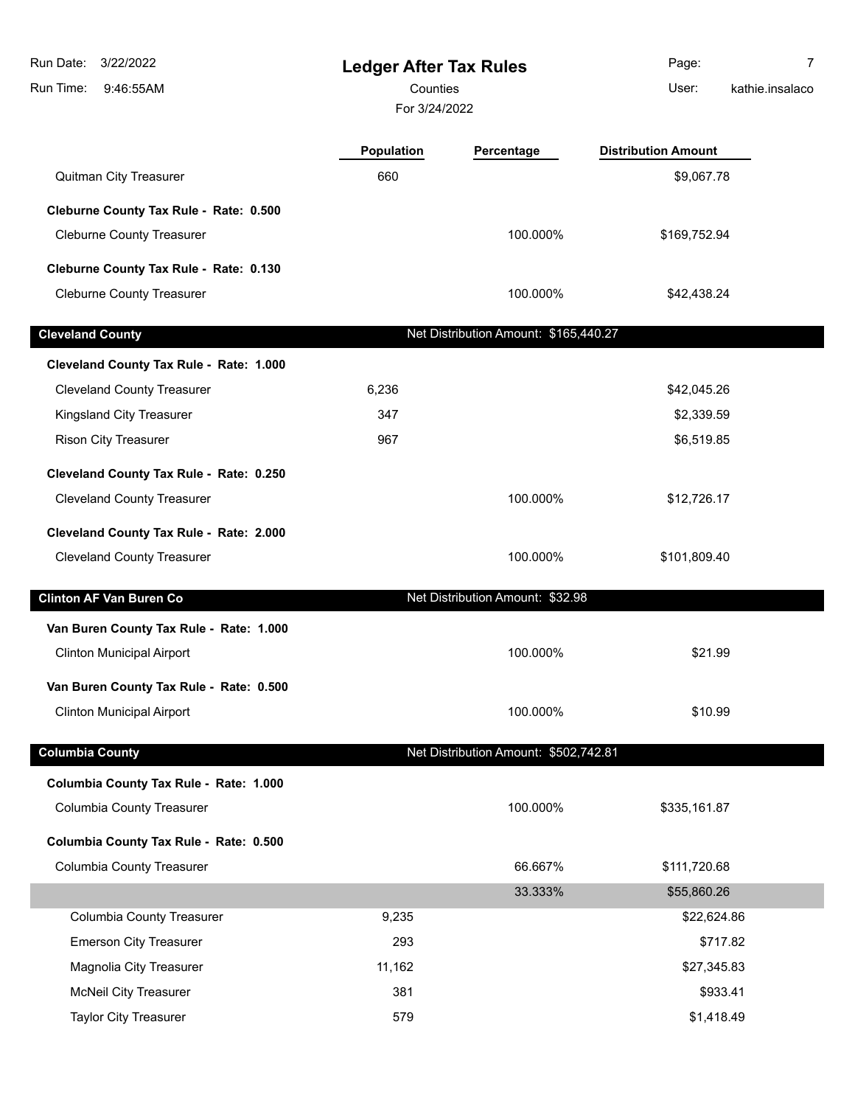| 3/22/2022<br>Run Date:<br>Run Time:<br>9:46:55AM                             | <b>Ledger After Tax Rules</b><br>Counties<br>For 3/24/2022 |                                       | Page:<br>User:             | $\overline{7}$<br>kathie.insalaco |
|------------------------------------------------------------------------------|------------------------------------------------------------|---------------------------------------|----------------------------|-----------------------------------|
|                                                                              | <b>Population</b>                                          | Percentage                            | <b>Distribution Amount</b> |                                   |
| Quitman City Treasurer                                                       | 660                                                        |                                       | \$9,067.78                 |                                   |
| Cleburne County Tax Rule - Rate: 0.500                                       |                                                            |                                       |                            |                                   |
| <b>Cleburne County Treasurer</b>                                             |                                                            | 100.000%                              | \$169,752.94               |                                   |
| Cleburne County Tax Rule - Rate: 0.130                                       |                                                            |                                       |                            |                                   |
| <b>Cleburne County Treasurer</b>                                             |                                                            | 100.000%                              | \$42,438.24                |                                   |
| <b>Cleveland County</b>                                                      |                                                            | Net Distribution Amount: \$165,440.27 |                            |                                   |
|                                                                              |                                                            |                                       |                            |                                   |
| Cleveland County Tax Rule - Rate: 1.000<br><b>Cleveland County Treasurer</b> | 6,236                                                      |                                       | \$42,045.26                |                                   |
| Kingsland City Treasurer                                                     | 347                                                        |                                       | \$2,339.59                 |                                   |
| <b>Rison City Treasurer</b>                                                  | 967                                                        |                                       | \$6,519.85                 |                                   |
|                                                                              |                                                            |                                       |                            |                                   |
| Cleveland County Tax Rule - Rate: 0.250<br><b>Cleveland County Treasurer</b> |                                                            | 100.000%                              | \$12,726.17                |                                   |
|                                                                              |                                                            |                                       |                            |                                   |
| Cleveland County Tax Rule - Rate: 2.000                                      |                                                            |                                       |                            |                                   |
| <b>Cleveland County Treasurer</b>                                            |                                                            | 100.000%                              | \$101,809.40               |                                   |
| <b>Clinton AF Van Buren Co</b>                                               |                                                            | Net Distribution Amount: \$32.98      |                            |                                   |
| Van Buren County Tax Rule - Rate: 1.000                                      |                                                            |                                       |                            |                                   |
| <b>Clinton Municipal Airport</b>                                             |                                                            | 100.000%                              | \$21.99                    |                                   |
| Van Buren County Tax Rule - Rate: 0.500                                      |                                                            |                                       |                            |                                   |
| <b>Clinton Municipal Airport</b>                                             |                                                            | 100.000%                              | \$10.99                    |                                   |
| <b>Columbia County</b>                                                       |                                                            | Net Distribution Amount: \$502,742.81 |                            |                                   |
| Columbia County Tax Rule - Rate: 1.000                                       |                                                            |                                       |                            |                                   |
| <b>Columbia County Treasurer</b>                                             |                                                            | 100.000%                              | \$335,161.87               |                                   |
| Columbia County Tax Rule - Rate: 0.500                                       |                                                            |                                       |                            |                                   |
| <b>Columbia County Treasurer</b>                                             |                                                            | 66.667%                               | \$111,720.68               |                                   |
|                                                                              |                                                            | 33.333%                               | \$55,860.26                |                                   |
| <b>Columbia County Treasurer</b>                                             | 9,235                                                      |                                       | \$22,624.86                |                                   |
| <b>Emerson City Treasurer</b>                                                | 293                                                        |                                       | \$717.82                   |                                   |
| Magnolia City Treasurer                                                      | 11,162                                                     |                                       | \$27,345.83                |                                   |
| <b>McNeil City Treasurer</b>                                                 | 381                                                        |                                       | \$933.41                   |                                   |
| <b>Taylor City Treasurer</b>                                                 | 579                                                        |                                       | \$1,418.49                 |                                   |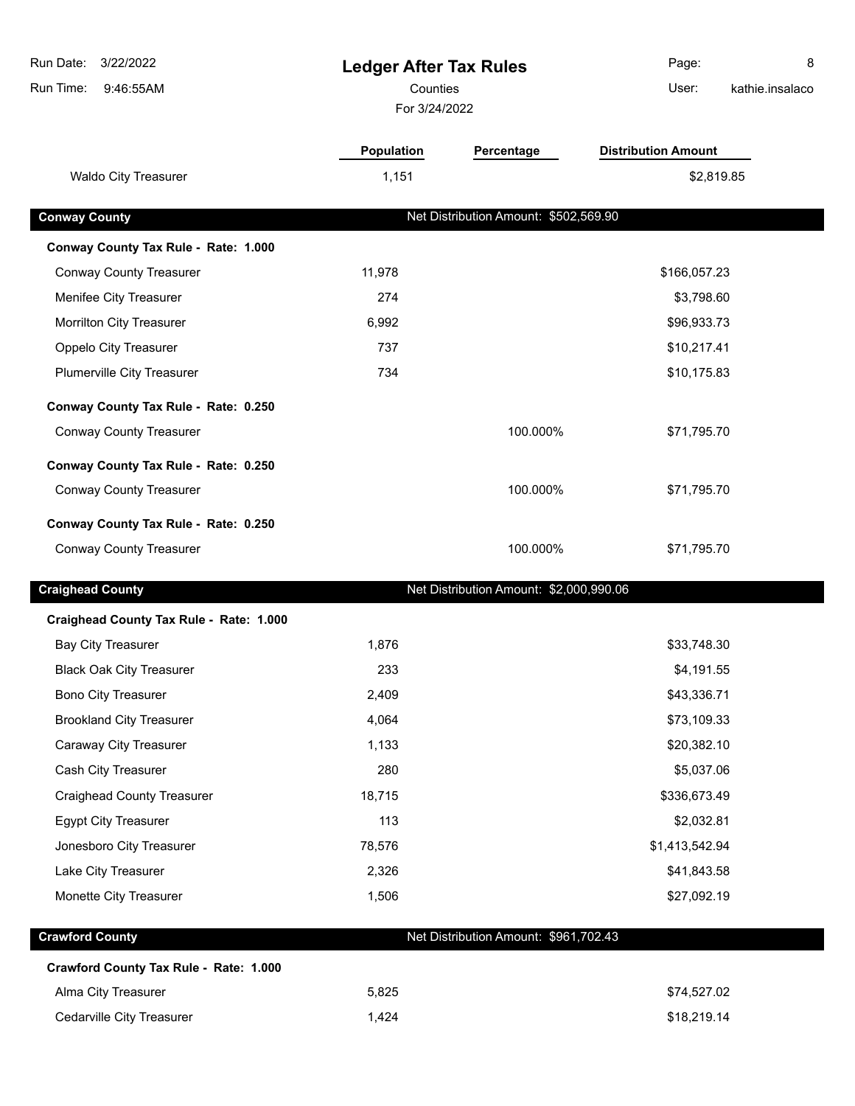| Run Date:<br>3/22/2022                  | <b>Ledger After Tax Rules</b> |                                         | 8<br>Page:                 |
|-----------------------------------------|-------------------------------|-----------------------------------------|----------------------------|
| Run Time:<br>9:46:55AM                  | Counties                      |                                         | User:<br>kathie.insalaco   |
|                                         | For 3/24/2022                 |                                         |                            |
|                                         | Population                    | Percentage                              | <b>Distribution Amount</b> |
| <b>Waldo City Treasurer</b>             | 1,151                         |                                         | \$2,819.85                 |
|                                         |                               |                                         |                            |
| <b>Conway County</b>                    |                               | Net Distribution Amount: \$502,569.90   |                            |
| Conway County Tax Rule - Rate: 1.000    |                               |                                         |                            |
| <b>Conway County Treasurer</b>          | 11,978                        |                                         | \$166,057.23               |
| Menifee City Treasurer                  | 274                           |                                         | \$3,798.60                 |
| Morrilton City Treasurer                | 6,992                         |                                         | \$96,933.73                |
| Oppelo City Treasurer                   | 737                           |                                         | \$10,217.41                |
| Plumerville City Treasurer              | 734                           |                                         | \$10,175.83                |
| Conway County Tax Rule - Rate: 0.250    |                               |                                         |                            |
| <b>Conway County Treasurer</b>          |                               | 100.000%                                | \$71,795.70                |
| Conway County Tax Rule - Rate: 0.250    |                               |                                         |                            |
| <b>Conway County Treasurer</b>          |                               | 100.000%                                | \$71,795.70                |
| Conway County Tax Rule - Rate: 0.250    |                               |                                         |                            |
| <b>Conway County Treasurer</b>          |                               | 100.000%                                | \$71,795.70                |
| <b>Craighead County</b>                 |                               | Net Distribution Amount: \$2,000,990.06 |                            |
| Craighead County Tax Rule - Rate: 1.000 |                               |                                         |                            |
| <b>Bay City Treasurer</b>               | 1,876                         |                                         | \$33,748.30                |
| <b>Black Oak City Treasurer</b>         | 233                           |                                         | \$4,191.55                 |
| <b>Bono City Treasurer</b>              | 2,409                         |                                         | \$43,336.71                |
| <b>Brookland City Treasurer</b>         | 4,064                         |                                         | \$73,109.33                |
| Caraway City Treasurer                  | 1,133                         |                                         | \$20,382.10                |
| Cash City Treasurer                     | 280                           |                                         | \$5,037.06                 |
| <b>Craighead County Treasurer</b>       | 18,715                        |                                         | \$336,673.49               |
| <b>Egypt City Treasurer</b>             | 113                           |                                         | \$2,032.81                 |
| Jonesboro City Treasurer                | 78,576                        |                                         | \$1,413,542.94             |
| Lake City Treasurer                     | 2,326                         |                                         | \$41,843.58                |
| Monette City Treasurer                  | 1,506                         |                                         | \$27,092.19                |
| <b>Crawford County</b>                  |                               | Net Distribution Amount: \$961,702.43   |                            |
| Crawford County Tax Rule - Rate: 1.000  |                               |                                         |                            |
| Alma City Treasurer                     | 5,825                         |                                         | \$74,527.02                |
| Cedarville City Treasurer               | 1,424                         |                                         | \$18,219.14                |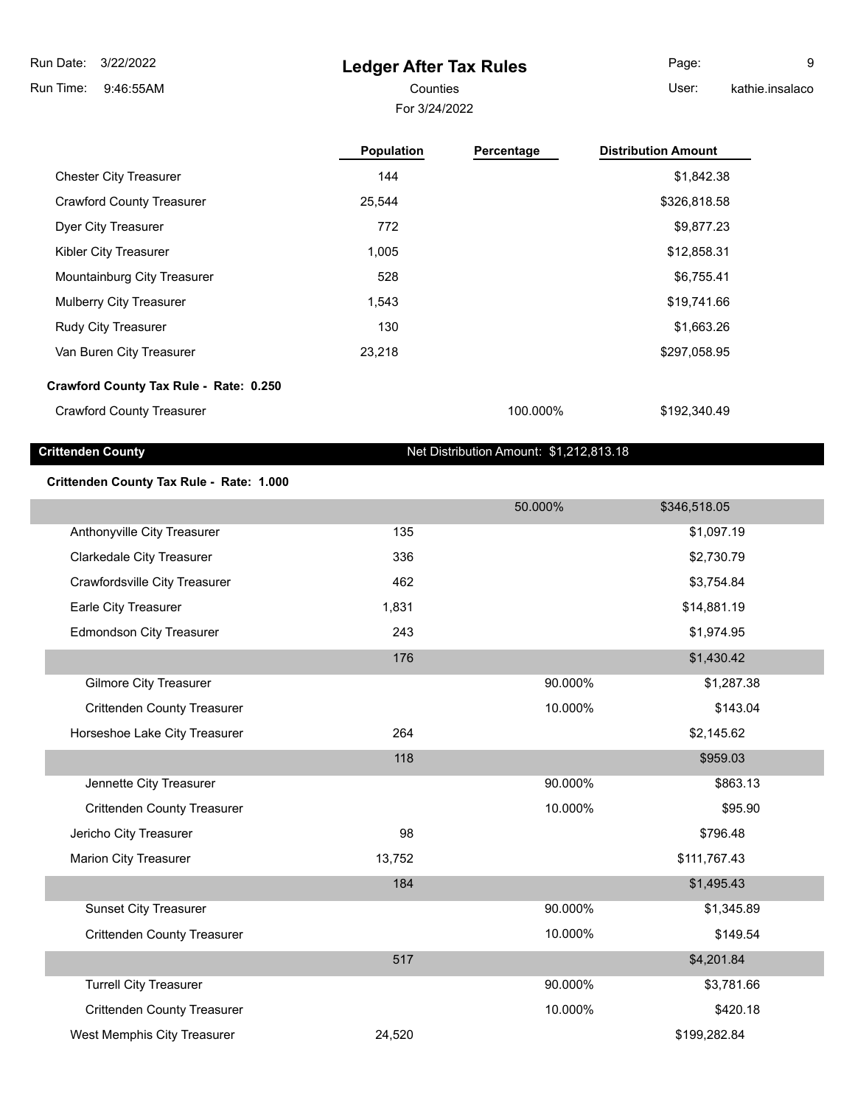3/22/2022 Run Date:

9:46:55AM Run Time:

## **Ledger After Tax Rules**

For 3/24/2022 Counties User:

Page: 9 kathie.insalaco

|                                        | <b>Population</b> | Percentage | <b>Distribution Amount</b> |
|----------------------------------------|-------------------|------------|----------------------------|
| <b>Chester City Treasurer</b>          | 144               |            | \$1,842.38                 |
| <b>Crawford County Treasurer</b>       | 25,544            |            | \$326,818.58               |
| Dyer City Treasurer                    | 772               |            | \$9,877.23                 |
| Kibler City Treasurer                  | 1,005             |            | \$12,858.31                |
| Mountainburg City Treasurer            | 528               |            | \$6,755.41                 |
| <b>Mulberry City Treasurer</b>         | 1,543             |            | \$19,741.66                |
| <b>Rudy City Treasurer</b>             | 130               |            | \$1,663.26                 |
| Van Buren City Treasurer               | 23,218            |            | \$297,058.95               |
| Crawford County Tax Rule - Rate: 0.250 |                   |            |                            |
| <b>Crawford County Treasurer</b>       |                   | 100.000%   | \$192,340.49               |

**Crittenden County** Crittenden County County Crittenden County Counter County Counter County Counter County Counter Counter Counter Counter Counter Counter Counter Counter Counter Counter Counter Counter Counter Counter Co

### **Crittenden County Tax Rule - Rate: 1.000**

|                                    |        | 50.000% | \$346,518.05 |
|------------------------------------|--------|---------|--------------|
| Anthonyville City Treasurer        | 135    |         | \$1,097.19   |
| <b>Clarkedale City Treasurer</b>   | 336    |         | \$2,730.79   |
| Crawfordsville City Treasurer      | 462    |         | \$3,754.84   |
| Earle City Treasurer               | 1,831  |         | \$14,881.19  |
| <b>Edmondson City Treasurer</b>    | 243    |         | \$1,974.95   |
|                                    | 176    |         | \$1,430.42   |
| <b>Gilmore City Treasurer</b>      |        | 90.000% | \$1,287.38   |
| <b>Crittenden County Treasurer</b> |        | 10.000% | \$143.04     |
| Horseshoe Lake City Treasurer      | 264    |         | \$2,145.62   |
|                                    | 118    |         | \$959.03     |
| Jennette City Treasurer            |        | 90.000% | \$863.13     |
| <b>Crittenden County Treasurer</b> |        | 10.000% | \$95.90      |
| Jericho City Treasurer             | 98     |         | \$796.48     |
| <b>Marion City Treasurer</b>       | 13,752 |         | \$111,767.43 |
|                                    | 184    |         | \$1,495.43   |
| <b>Sunset City Treasurer</b>       |        | 90.000% | \$1,345.89   |
| <b>Crittenden County Treasurer</b> |        | 10.000% | \$149.54     |
|                                    | 517    |         | \$4,201.84   |
| <b>Turrell City Treasurer</b>      |        | 90.000% | \$3,781.66   |
| <b>Crittenden County Treasurer</b> |        | 10.000% | \$420.18     |
| West Memphis City Treasurer        | 24,520 |         | \$199,282.84 |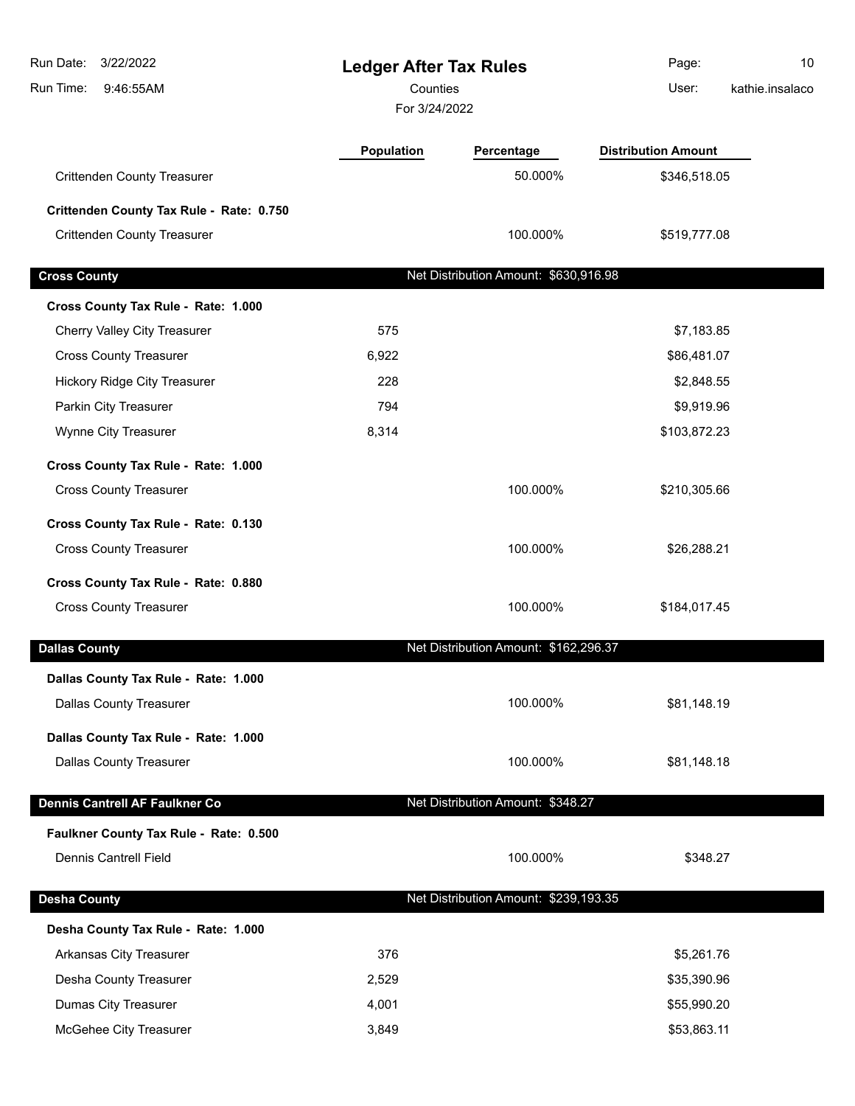| Run Date:<br>3/22/2022<br>Run Time:<br>9:46:55AM | <b>Ledger After Tax Rules</b><br>Counties<br>For 3/24/2022 |                                       | Page:<br>User:             | 10<br>kathie.insalaco |
|--------------------------------------------------|------------------------------------------------------------|---------------------------------------|----------------------------|-----------------------|
|                                                  | <b>Population</b>                                          | Percentage                            | <b>Distribution Amount</b> |                       |
| <b>Crittenden County Treasurer</b>               |                                                            | 50.000%                               | \$346,518.05               |                       |
| Crittenden County Tax Rule - Rate: 0.750         |                                                            |                                       |                            |                       |
| <b>Crittenden County Treasurer</b>               |                                                            | 100.000%                              | \$519,777.08               |                       |
| <b>Cross County</b>                              |                                                            | Net Distribution Amount: \$630,916.98 |                            |                       |
| Cross County Tax Rule - Rate: 1.000              |                                                            |                                       |                            |                       |
| Cherry Valley City Treasurer                     | 575                                                        |                                       | \$7,183.85                 |                       |
| <b>Cross County Treasurer</b>                    | 6,922                                                      |                                       | \$86,481.07                |                       |
| Hickory Ridge City Treasurer                     | 228                                                        |                                       | \$2,848.55                 |                       |
| Parkin City Treasurer                            | 794                                                        |                                       | \$9,919.96                 |                       |
| Wynne City Treasurer                             | 8,314                                                      |                                       | \$103,872.23               |                       |
| Cross County Tax Rule - Rate: 1.000              |                                                            |                                       |                            |                       |
| <b>Cross County Treasurer</b>                    |                                                            | 100.000%                              | \$210,305.66               |                       |
| Cross County Tax Rule - Rate: 0.130              |                                                            |                                       |                            |                       |
| <b>Cross County Treasurer</b>                    |                                                            | 100.000%                              | \$26,288.21                |                       |
| Cross County Tax Rule - Rate: 0.880              |                                                            |                                       |                            |                       |
| <b>Cross County Treasurer</b>                    |                                                            | 100.000%                              | \$184,017.45               |                       |
| <b>Dallas County</b>                             |                                                            | Net Distribution Amount: \$162,296.37 |                            |                       |
| Dallas County Tax Rule - Rate: 1.000             |                                                            |                                       |                            |                       |
| <b>Dallas County Treasurer</b>                   |                                                            | 100.000%                              | \$81,148.19                |                       |
| Dallas County Tax Rule - Rate: 1.000             |                                                            |                                       |                            |                       |
| <b>Dallas County Treasurer</b>                   |                                                            | 100.000%                              | \$81,148.18                |                       |
| Dennis Cantrell AF Faulkner Co                   |                                                            | Net Distribution Amount: \$348.27     |                            |                       |
| Faulkner County Tax Rule - Rate: 0.500           |                                                            |                                       |                            |                       |
| Dennis Cantrell Field                            |                                                            | 100.000%                              | \$348.27                   |                       |
| <b>Desha County</b>                              |                                                            | Net Distribution Amount: \$239,193.35 |                            |                       |
| Desha County Tax Rule - Rate: 1.000              |                                                            |                                       |                            |                       |
| Arkansas City Treasurer                          | 376                                                        |                                       | \$5,261.76                 |                       |
| Desha County Treasurer                           | 2,529                                                      |                                       | \$35,390.96                |                       |
| Dumas City Treasurer                             | 4,001                                                      |                                       | \$55,990.20                |                       |
| McGehee City Treasurer                           | 3,849                                                      |                                       | \$53,863.11                |                       |
|                                                  |                                                            |                                       |                            |                       |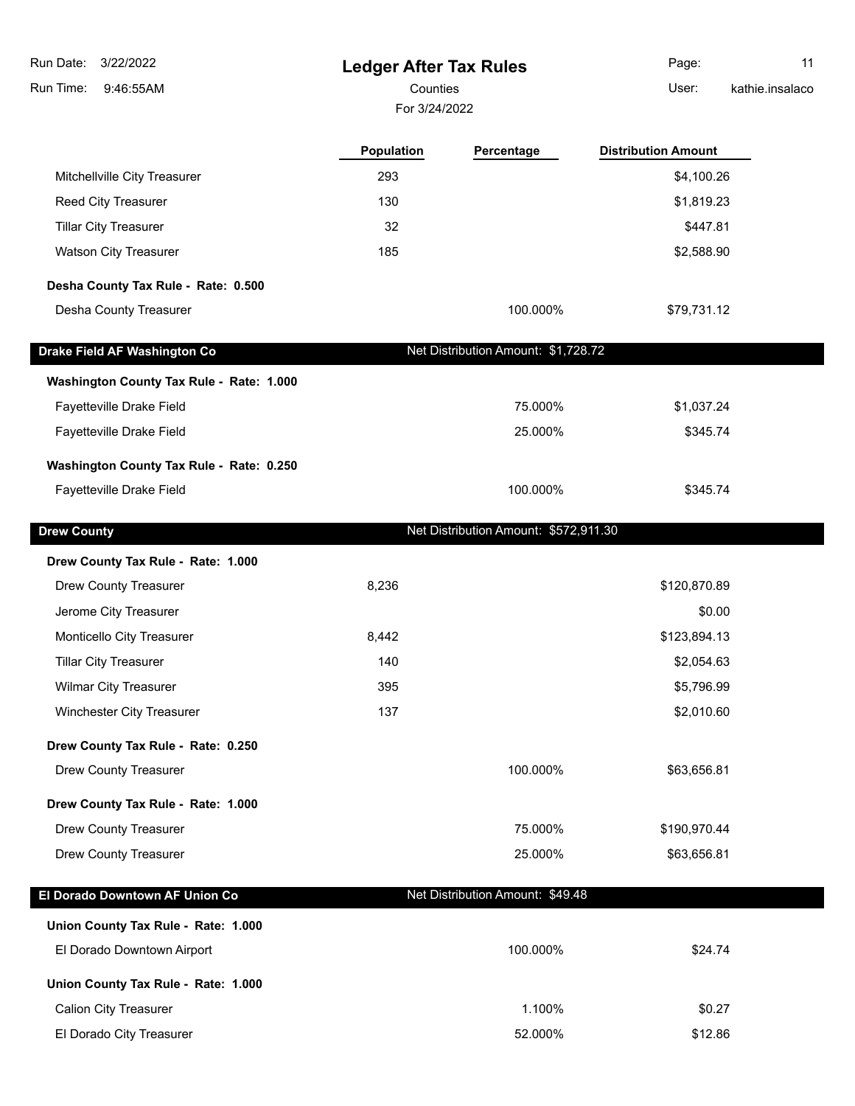| 3/22/2022<br>Run Date:                   | <b>Ledger After Tax Rules</b> |                                       | Page:                      | 11              |
|------------------------------------------|-------------------------------|---------------------------------------|----------------------------|-----------------|
| Run Time:<br>9:46:55AM                   | Counties                      |                                       | User:                      | kathie.insalaco |
|                                          | For 3/24/2022                 |                                       |                            |                 |
|                                          | Population                    | Percentage                            | <b>Distribution Amount</b> |                 |
| Mitchellville City Treasurer             | 293                           |                                       | \$4,100.26                 |                 |
| Reed City Treasurer                      | 130                           |                                       | \$1,819.23                 |                 |
| <b>Tillar City Treasurer</b>             | 32                            |                                       | \$447.81                   |                 |
| <b>Watson City Treasurer</b>             | 185                           |                                       | \$2,588.90                 |                 |
| Desha County Tax Rule - Rate: 0.500      |                               |                                       |                            |                 |
| Desha County Treasurer                   |                               | 100.000%                              | \$79,731.12                |                 |
| Drake Field AF Washington Co             |                               | Net Distribution Amount: \$1,728.72   |                            |                 |
| Washington County Tax Rule - Rate: 1.000 |                               |                                       |                            |                 |
| Fayetteville Drake Field                 |                               | 75.000%                               | \$1,037.24                 |                 |
| Fayetteville Drake Field                 |                               | 25.000%                               | \$345.74                   |                 |
| Washington County Tax Rule - Rate: 0.250 |                               |                                       |                            |                 |
| Fayetteville Drake Field                 |                               | 100.000%                              | \$345.74                   |                 |
| <b>Drew County</b>                       |                               | Net Distribution Amount: \$572,911.30 |                            |                 |
| Drew County Tax Rule - Rate: 1.000       |                               |                                       |                            |                 |
| <b>Drew County Treasurer</b>             | 8,236                         |                                       | \$120,870.89               |                 |
| Jerome City Treasurer                    |                               |                                       | \$0.00                     |                 |
| Monticello City Treasurer                | 8,442                         |                                       | \$123,894.13               |                 |
| <b>Tillar City Treasurer</b>             | 140                           |                                       | \$2,054.63                 |                 |
| Wilmar City Treasurer                    | 395                           |                                       | \$5,796.99                 |                 |
| Winchester City Treasurer                | 137                           |                                       | \$2,010.60                 |                 |
| Drew County Tax Rule - Rate: 0.250       |                               |                                       |                            |                 |
| Drew County Treasurer                    |                               | 100.000%                              | \$63,656.81                |                 |
| Drew County Tax Rule - Rate: 1.000       |                               |                                       |                            |                 |
| Drew County Treasurer                    |                               | 75.000%                               | \$190,970.44               |                 |
| <b>Drew County Treasurer</b>             |                               | 25.000%                               | \$63,656.81                |                 |
| El Dorado Downtown AF Union Co           |                               | Net Distribution Amount: \$49.48      |                            |                 |
| Union County Tax Rule - Rate: 1.000      |                               |                                       |                            |                 |
| El Dorado Downtown Airport               |                               | 100.000%                              | \$24.74                    |                 |
| Union County Tax Rule - Rate: 1.000      |                               |                                       |                            |                 |
| <b>Calion City Treasurer</b>             |                               | 1.100%                                | \$0.27                     |                 |
| El Dorado City Treasurer                 |                               | 52.000%                               | \$12.86                    |                 |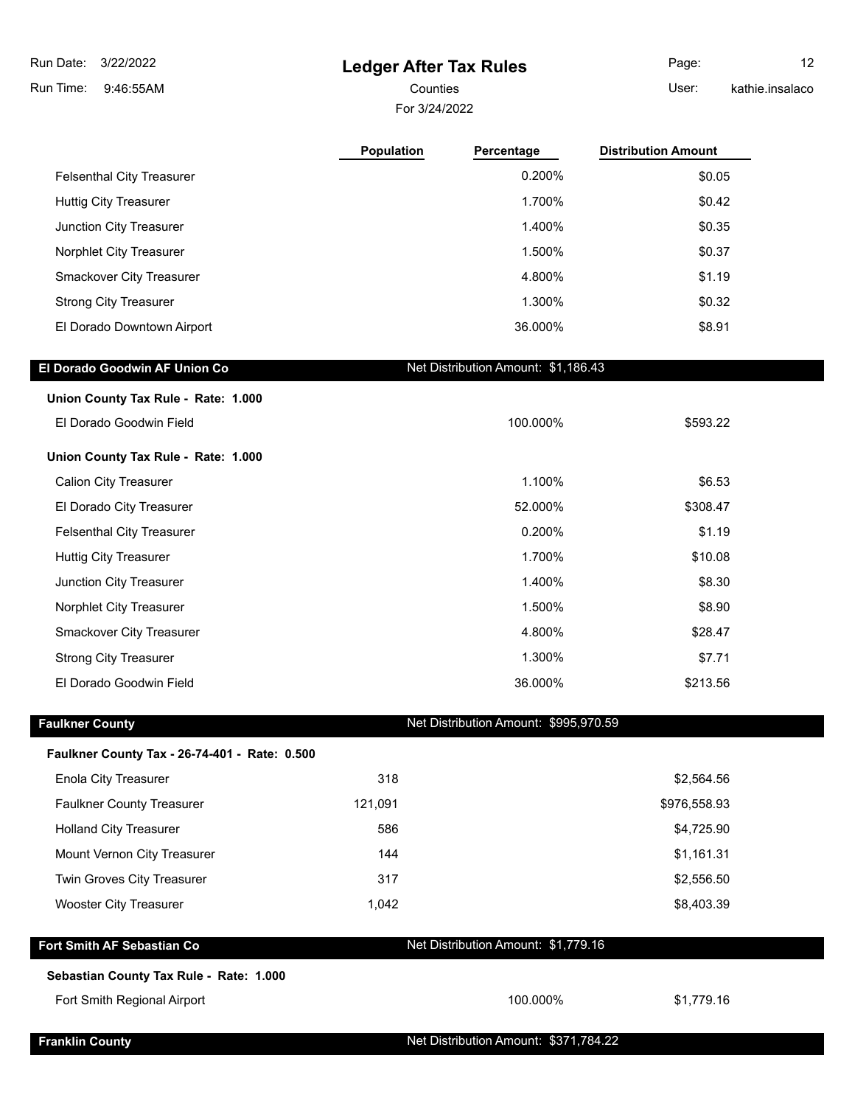| Run Date:<br>3/22/2022                        | <b>Ledger After Tax Rules</b> |                                       | Page:                      | 12              |
|-----------------------------------------------|-------------------------------|---------------------------------------|----------------------------|-----------------|
| Run Time:<br>9:46:55AM                        | Counties                      |                                       | User:                      | kathie.insalaco |
|                                               | For 3/24/2022                 |                                       |                            |                 |
|                                               | <b>Population</b>             | Percentage                            | <b>Distribution Amount</b> |                 |
| <b>Felsenthal City Treasurer</b>              |                               | 0.200%                                | \$0.05                     |                 |
| <b>Huttig City Treasurer</b>                  |                               | 1.700%                                | \$0.42                     |                 |
| Junction City Treasurer                       |                               | 1.400%                                | \$0.35                     |                 |
| Norphlet City Treasurer                       |                               | 1.500%                                | \$0.37                     |                 |
| Smackover City Treasurer                      |                               | 4.800%                                | \$1.19                     |                 |
| <b>Strong City Treasurer</b>                  |                               | 1.300%                                | \$0.32                     |                 |
| El Dorado Downtown Airport                    |                               | 36.000%                               | \$8.91                     |                 |
| El Dorado Goodwin AF Union Co                 |                               | Net Distribution Amount: \$1,186.43   |                            |                 |
| Union County Tax Rule - Rate: 1.000           |                               |                                       |                            |                 |
| El Dorado Goodwin Field                       |                               | 100.000%                              | \$593.22                   |                 |
| Union County Tax Rule - Rate: 1.000           |                               |                                       |                            |                 |
| <b>Calion City Treasurer</b>                  |                               | 1.100%                                | \$6.53                     |                 |
| El Dorado City Treasurer                      |                               | 52.000%                               | \$308.47                   |                 |
| <b>Felsenthal City Treasurer</b>              |                               | 0.200%                                | \$1.19                     |                 |
| <b>Huttig City Treasurer</b>                  |                               | 1.700%                                | \$10.08                    |                 |
| Junction City Treasurer                       |                               | 1.400%                                | \$8.30                     |                 |
| Norphlet City Treasurer                       |                               | 1.500%                                | \$8.90                     |                 |
| Smackover City Treasurer                      |                               | 4.800%                                | \$28.47                    |                 |
| <b>Strong City Treasurer</b>                  |                               | 1.300%                                | \$7.71                     |                 |
| El Dorado Goodwin Field                       |                               | 36.000%                               | \$213.56                   |                 |
| <b>Faulkner County</b>                        |                               | Net Distribution Amount: \$995,970.59 |                            |                 |
| Faulkner County Tax - 26-74-401 - Rate: 0.500 |                               |                                       |                            |                 |
| <b>Enola City Treasurer</b>                   | 318                           |                                       | \$2,564.56                 |                 |
| <b>Faulkner County Treasurer</b>              | 121,091                       |                                       | \$976,558.93               |                 |
| <b>Holland City Treasurer</b>                 | 586                           |                                       | \$4,725.90                 |                 |
| Mount Vernon City Treasurer                   | 144                           |                                       | \$1,161.31                 |                 |
| Twin Groves City Treasurer                    | 317                           |                                       | \$2,556.50                 |                 |
| <b>Wooster City Treasurer</b>                 | 1,042                         |                                       | \$8,403.39                 |                 |
| Fort Smith AF Sebastian Co                    |                               | Net Distribution Amount: \$1,779.16   |                            |                 |
| Sebastian County Tax Rule - Rate: 1.000       |                               |                                       |                            |                 |
| Fort Smith Regional Airport                   |                               | 100.000%                              | \$1,779.16                 |                 |
| <b>Franklin County</b>                        |                               | Net Distribution Amount: \$371,784.22 |                            |                 |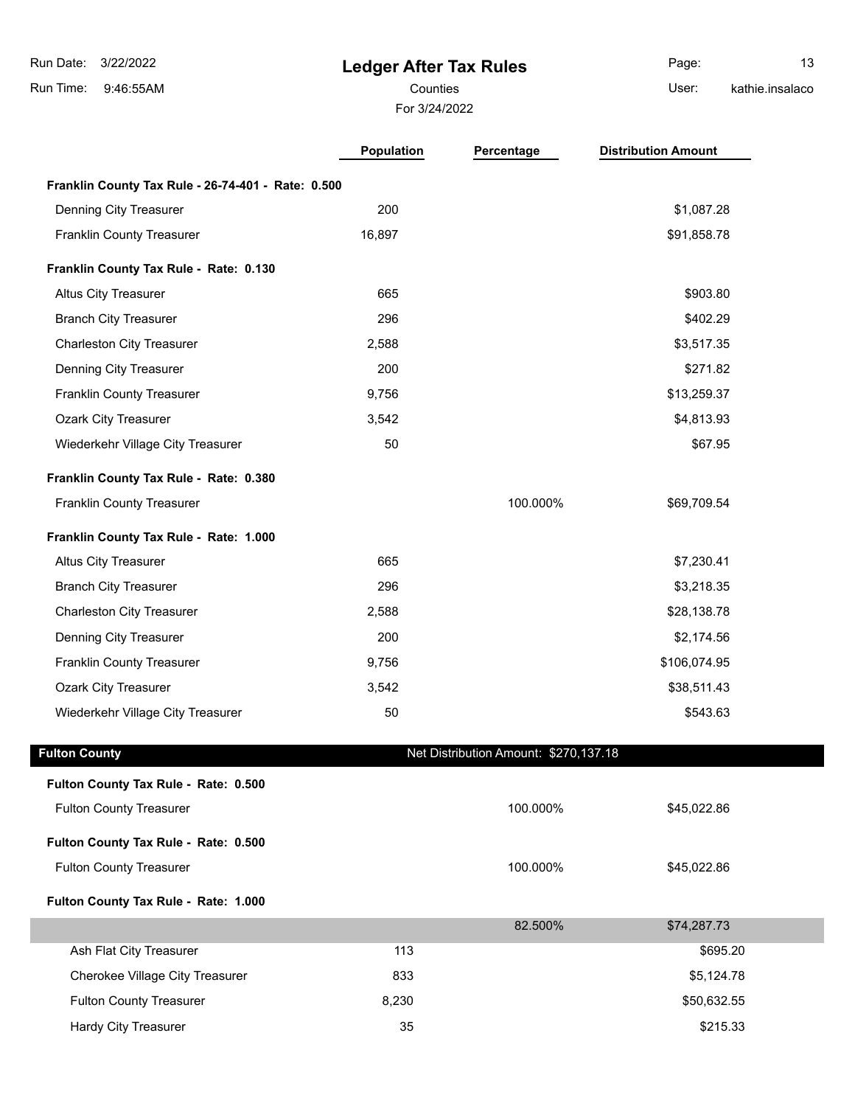# **Ledger After Tax Rules**

For 3/24/2022 Counties User:

Page: 13 kathie.insalaco

|                                                    | <b>Population</b> | Percentage                            | <b>Distribution Amount</b> |
|----------------------------------------------------|-------------------|---------------------------------------|----------------------------|
| Franklin County Tax Rule - 26-74-401 - Rate: 0.500 |                   |                                       |                            |
| Denning City Treasurer                             | 200               |                                       | \$1,087.28                 |
| Franklin County Treasurer                          | 16,897            |                                       | \$91,858.78                |
| Franklin County Tax Rule - Rate: 0.130             |                   |                                       |                            |
| <b>Altus City Treasurer</b>                        | 665               |                                       | \$903.80                   |
| <b>Branch City Treasurer</b>                       | 296               |                                       | \$402.29                   |
| <b>Charleston City Treasurer</b>                   | 2,588             |                                       | \$3,517.35                 |
| Denning City Treasurer                             | 200               |                                       | \$271.82                   |
| Franklin County Treasurer                          | 9,756             |                                       | \$13,259.37                |
| <b>Ozark City Treasurer</b>                        | 3,542             |                                       | \$4,813.93                 |
| Wiederkehr Village City Treasurer                  | 50                |                                       | \$67.95                    |
| Franklin County Tax Rule - Rate: 0.380             |                   |                                       |                            |
| <b>Franklin County Treasurer</b>                   |                   | 100.000%                              | \$69,709.54                |
| Franklin County Tax Rule - Rate: 1.000             |                   |                                       |                            |
| <b>Altus City Treasurer</b>                        | 665               |                                       | \$7,230.41                 |
| <b>Branch City Treasurer</b>                       | 296               |                                       | \$3,218.35                 |
| <b>Charleston City Treasurer</b>                   | 2,588             |                                       | \$28,138.78                |
| Denning City Treasurer                             | 200               |                                       | \$2,174.56                 |
| Franklin County Treasurer                          | 9,756             |                                       | \$106,074.95               |
| <b>Ozark City Treasurer</b>                        | 3,542             |                                       | \$38,511.43                |
| Wiederkehr Village City Treasurer                  | 50                |                                       | \$543.63                   |
| <b>Fulton County</b>                               |                   | Net Distribution Amount: \$270,137.18 |                            |
| Fulton County Tax Rule - Rate: 0.500               |                   |                                       |                            |
| <b>Fulton County Treasurer</b>                     |                   | 100.000%                              | \$45,022.86                |
| Fulton County Tax Rule - Rate: 0.500               |                   |                                       |                            |
| <b>Fulton County Treasurer</b>                     |                   | 100.000%                              | \$45,022.86                |
| Fulton County Tax Rule - Rate: 1.000               |                   |                                       |                            |
|                                                    |                   | 82.500%                               | \$74,287.73                |
| Ash Flat City Treasurer                            | 113               |                                       | \$695.20                   |
| Cherokee Village City Treasurer                    | 833               |                                       | \$5,124.78                 |
| <b>Fulton County Treasurer</b>                     | 8,230             |                                       | \$50,632.55                |
| Hardy City Treasurer                               | 35                |                                       | \$215.33                   |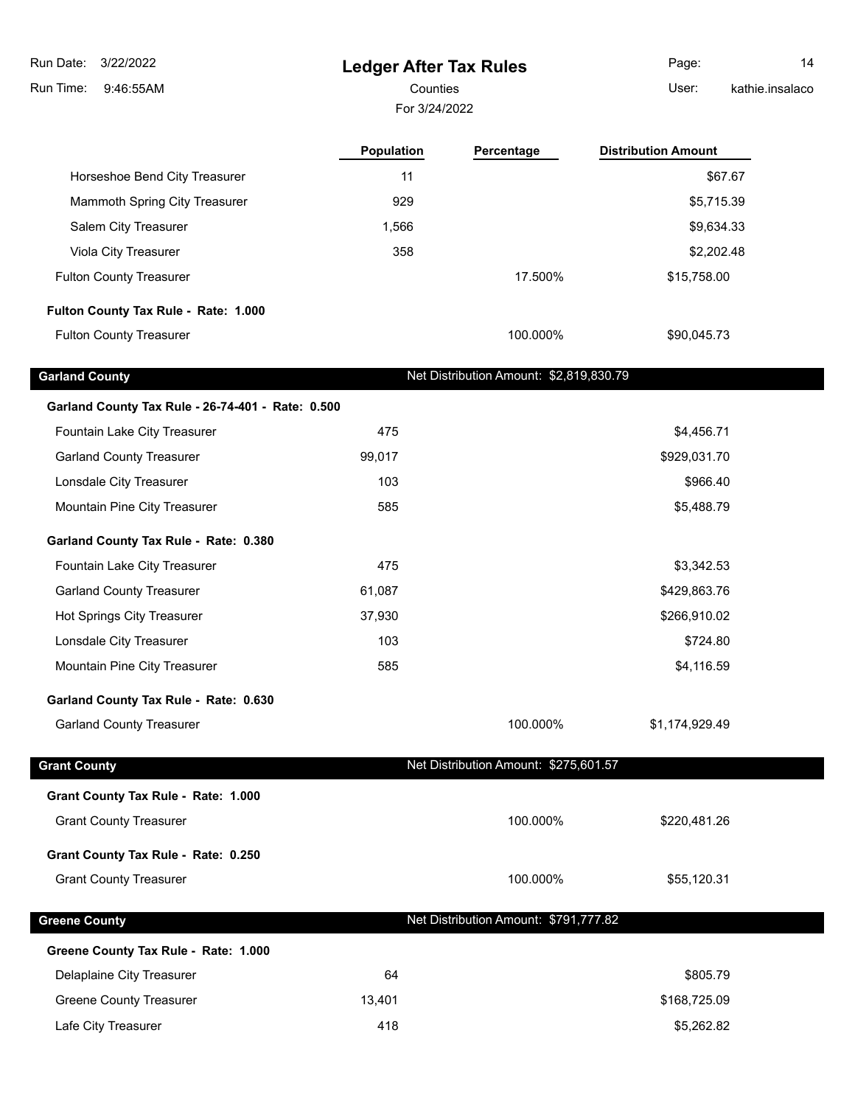**Ledger After Tax Rules** 9:46:55AM Run Time: 3/22/2022 Run Date: For 3/24/2022 Counties **Counties** User: Page: 14 kathie.insalaco **Population Percentage Distribution Amount** Horseshoe Bend City Treasurer 11 **11 Horseshoe Bend City Treasurer** 11 **\$67.67** Mammoth Spring City Treasurer 1929 55,715.39 Salem City Treasurer 1,566 \$9,634.33 Viola City Treasurer 358 \$2,202.48 \$2,202.48 Fulton County Treasurer 17.500% \$15,758.00 **Fulton County Tax Rule - Rate: 1.000** Fulton County Treasurer **100.000%** \$90,045.73 Garland County **Garland County Net Distribution Amount: \$2,819,830.79 Garland County Tax Rule - 26-74-401 - Rate: 0.500** Fountain Lake City Treasurer 475 \$4,456.71 Garland County Treasurer 199,017 \$929,031.70 Lonsdale City Treasurer **103** \$966.40 Mountain Pine City Treasurer 585 \$5,488.79 **Garland County Tax Rule - Rate: 0.380** Fountain Lake City Treasurer 475 \$3,342.53 Garland County Treasurer and the county of the county of the county of the county of the county of the county of the county of the county of the county of the county of the county of the county of the county of the county Hot Springs City Treasurer 1980 10:02 12:03 12:04 137,930 12:05 12:06 12:06 12:06 12:06 12:06 12:06 12:06 12:0 Lonsdale City Treasurer 103 by the state of the state of the state of the state of the state of the state of the state of the state of the state of the state of the state of the state of the state of the state of the state Mountain Pine City Treasurer 585 \$4,116.59 **Garland County Tax Rule - Rate: 0.630** Garland County Treasurer 100.000% \$1,174,929.49 **Grant County County County County 1.0 Member 2.0 Member 2.0 Member 2.0 Member 2.0 Member 2.0 Member 2.0 Member 2.0 Member 2.0 Member 2.0 Member 2.0 Member 2.0 Member 2.0 Member 2.0 Member 2.0 Member 2.0 Member 2.0 M Grant County Tax Rule - Rate: 1.000** Grant County Treasurer 100.000% \$220,481.26 **Grant County Tax Rule - Rate: 0.250** Grant County Treasurer 100.000% \$55,120.31 **Greene County County County Counting the County of Country Country Country (1990) Net Distribution Amount: \$791,777.82 Greene County Tax Rule - Rate: 1.000**

Delaplaine City Treasurer and the control of the control of the control of the control of the control of the control of the control of the control of the control of the control of the control of the control of the control Greene County Treasurer 13,401 \$168,725.09 and \$168,725.09 Lafe City Treasurer **1996 City Treasurer 1997 Contract 1997 418 City Treasurer 1997 418 City Treasurer** 1997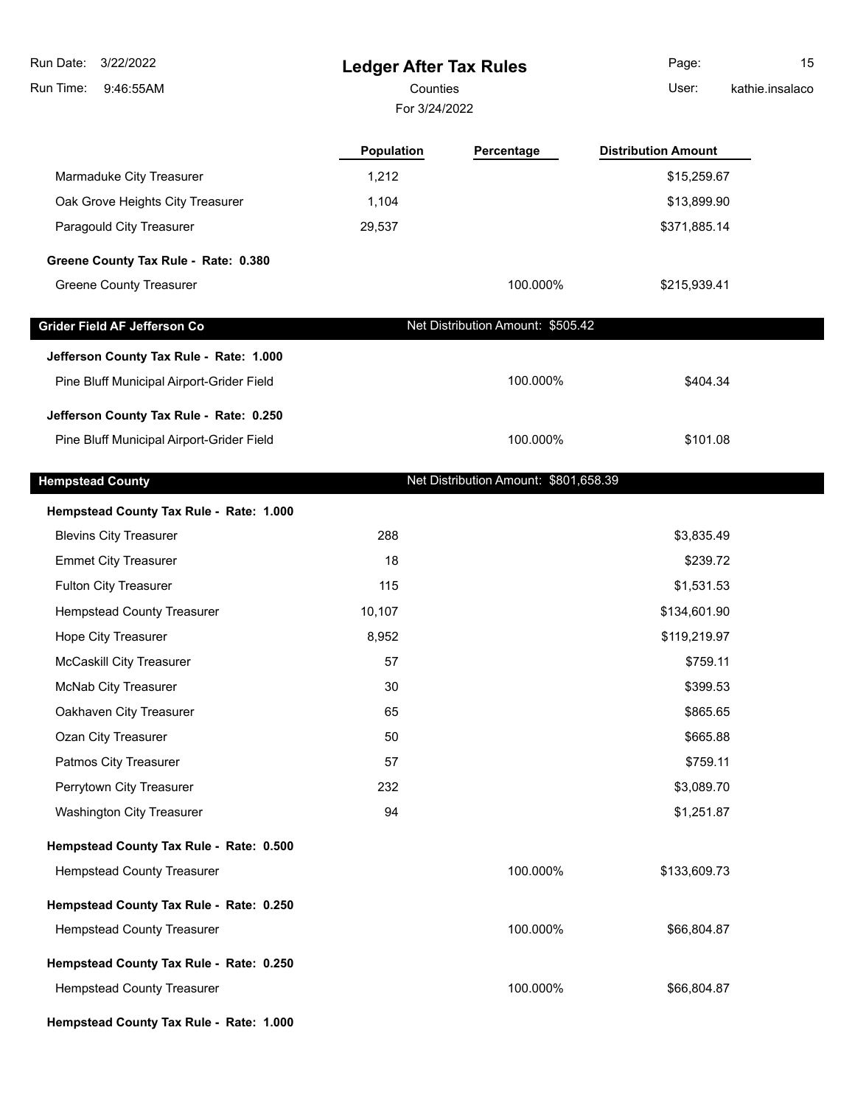| Run Date:<br>3/22/2022                    | <b>Ledger After Tax Rules</b> |                                       | Page:                      | 15              |
|-------------------------------------------|-------------------------------|---------------------------------------|----------------------------|-----------------|
| Run Time:<br>9:46:55AM                    | Counties                      |                                       | User:                      | kathie.insalaco |
|                                           | For 3/24/2022                 |                                       |                            |                 |
|                                           | Population                    | Percentage                            | <b>Distribution Amount</b> |                 |
| Marmaduke City Treasurer                  | 1,212                         |                                       | \$15,259.67                |                 |
| Oak Grove Heights City Treasurer          | 1,104                         |                                       | \$13,899.90                |                 |
| Paragould City Treasurer                  | 29,537                        |                                       | \$371,885.14               |                 |
| Greene County Tax Rule - Rate: 0.380      |                               |                                       |                            |                 |
| <b>Greene County Treasurer</b>            |                               | 100.000%                              | \$215,939.41               |                 |
| Grider Field AF Jefferson Co              |                               | Net Distribution Amount: \$505.42     |                            |                 |
| Jefferson County Tax Rule - Rate: 1.000   |                               |                                       |                            |                 |
| Pine Bluff Municipal Airport-Grider Field |                               | 100.000%                              | \$404.34                   |                 |
| Jefferson County Tax Rule - Rate: 0.250   |                               |                                       |                            |                 |
| Pine Bluff Municipal Airport-Grider Field |                               | 100.000%                              | \$101.08                   |                 |
| <b>Hempstead County</b>                   |                               | Net Distribution Amount: \$801,658.39 |                            |                 |
| Hempstead County Tax Rule - Rate: 1.000   |                               |                                       |                            |                 |
| <b>Blevins City Treasurer</b>             | 288                           |                                       | \$3,835.49                 |                 |
| <b>Emmet City Treasurer</b>               | 18                            |                                       | \$239.72                   |                 |
| <b>Fulton City Treasurer</b>              | 115                           |                                       | \$1,531.53                 |                 |
| <b>Hempstead County Treasurer</b>         | 10,107                        |                                       | \$134,601.90               |                 |
| Hope City Treasurer                       | 8,952                         |                                       | \$119,219.97               |                 |
| McCaskill City Treasurer                  | 57                            |                                       | \$759.11                   |                 |
| McNab City Treasurer                      | 30                            |                                       | \$399.53                   |                 |
| Oakhaven City Treasurer                   | 65                            |                                       | \$865.65                   |                 |
| Ozan City Treasurer                       | 50                            |                                       | \$665.88                   |                 |
| Patmos City Treasurer                     | 57                            |                                       | \$759.11                   |                 |
| Perrytown City Treasurer                  | 232                           |                                       | \$3,089.70                 |                 |
| <b>Washington City Treasurer</b>          | 94                            |                                       | \$1,251.87                 |                 |
| Hempstead County Tax Rule - Rate: 0.500   |                               |                                       |                            |                 |
| <b>Hempstead County Treasurer</b>         |                               | 100.000%                              | \$133,609.73               |                 |
| Hempstead County Tax Rule - Rate: 0.250   |                               |                                       |                            |                 |
| <b>Hempstead County Treasurer</b>         |                               | 100.000%                              | \$66,804.87                |                 |
| Hempstead County Tax Rule - Rate: 0.250   |                               |                                       |                            |                 |
| <b>Hempstead County Treasurer</b>         |                               | 100.000%                              | \$66,804.87                |                 |
| Hempstead County Tax Rule - Rate: 1.000   |                               |                                       |                            |                 |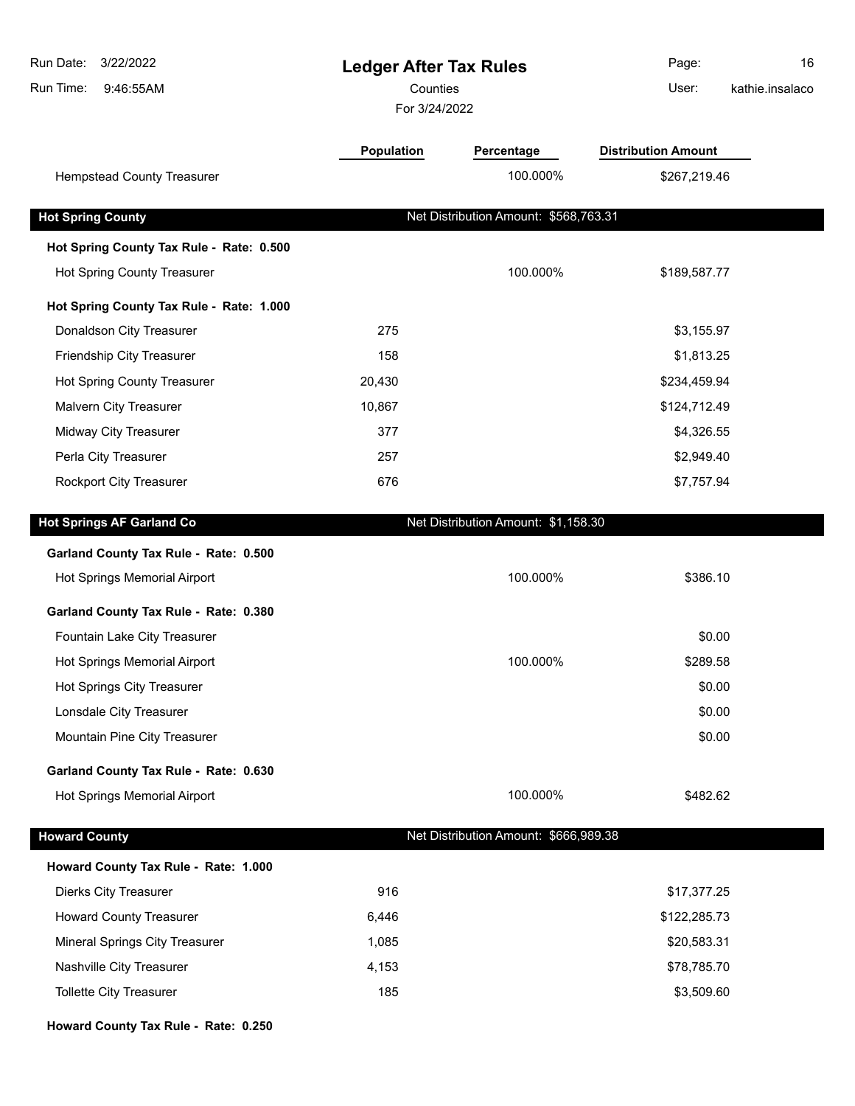| Run Date:<br>3/22/2022<br>Run Time:<br>9:46:55AM | <b>Ledger After Tax Rules</b><br>Counties<br>For 3/24/2022 |                                       | Page:<br>User:             | 16<br>kathie.insalaco |
|--------------------------------------------------|------------------------------------------------------------|---------------------------------------|----------------------------|-----------------------|
|                                                  | Population                                                 | Percentage                            | <b>Distribution Amount</b> |                       |
| <b>Hempstead County Treasurer</b>                |                                                            | 100.000%                              | \$267,219.46               |                       |
| <b>Hot Spring County</b>                         |                                                            | Net Distribution Amount: \$568,763.31 |                            |                       |
| Hot Spring County Tax Rule - Rate: 0.500         |                                                            |                                       |                            |                       |
| Hot Spring County Treasurer                      |                                                            | 100.000%                              | \$189,587.77               |                       |
| Hot Spring County Tax Rule - Rate: 1.000         |                                                            |                                       |                            |                       |
| Donaldson City Treasurer                         | 275                                                        |                                       | \$3,155.97                 |                       |
| Friendship City Treasurer                        | 158                                                        |                                       | \$1,813.25                 |                       |
| Hot Spring County Treasurer                      | 20,430                                                     |                                       | \$234,459.94               |                       |
| Malvern City Treasurer                           | 10,867                                                     |                                       | \$124,712.49               |                       |
| Midway City Treasurer                            | 377                                                        |                                       | \$4,326.55                 |                       |
| Perla City Treasurer                             | 257                                                        |                                       | \$2,949.40                 |                       |
| <b>Rockport City Treasurer</b>                   | 676                                                        |                                       | \$7,757.94                 |                       |
| <b>Hot Springs AF Garland Co</b>                 |                                                            | Net Distribution Amount: \$1,158.30   |                            |                       |
| Garland County Tax Rule - Rate: 0.500            |                                                            |                                       |                            |                       |
| Hot Springs Memorial Airport                     |                                                            | 100.000%                              | \$386.10                   |                       |
| Garland County Tax Rule - Rate: 0.380            |                                                            |                                       |                            |                       |
| Fountain Lake City Treasurer                     |                                                            |                                       | \$0.00                     |                       |
| Hot Springs Memorial Airport                     |                                                            | 100.000%                              | \$289.58                   |                       |
| <b>Hot Springs City Treasurer</b>                |                                                            |                                       | \$0.00                     |                       |
| Lonsdale City Treasurer                          |                                                            |                                       | \$0.00                     |                       |
| Mountain Pine City Treasurer                     |                                                            |                                       | \$0.00                     |                       |
| Garland County Tax Rule - Rate: 0.630            |                                                            |                                       |                            |                       |
| Hot Springs Memorial Airport                     |                                                            | 100.000%                              | \$482.62                   |                       |
| <b>Howard County</b>                             |                                                            | Net Distribution Amount: \$666,989.38 |                            |                       |
| Howard County Tax Rule - Rate: 1.000             |                                                            |                                       |                            |                       |
| <b>Dierks City Treasurer</b>                     | 916                                                        |                                       | \$17,377.25                |                       |
| <b>Howard County Treasurer</b>                   | 6,446                                                      |                                       | \$122,285.73               |                       |
| Mineral Springs City Treasurer                   | 1,085                                                      |                                       | \$20,583.31                |                       |
| Nashville City Treasurer                         | 4,153                                                      |                                       | \$78,785.70                |                       |
| <b>Tollette City Treasurer</b>                   | 185                                                        |                                       | \$3,509.60                 |                       |
| Howard County Tax Rule - Rate: 0.250             |                                                            |                                       |                            |                       |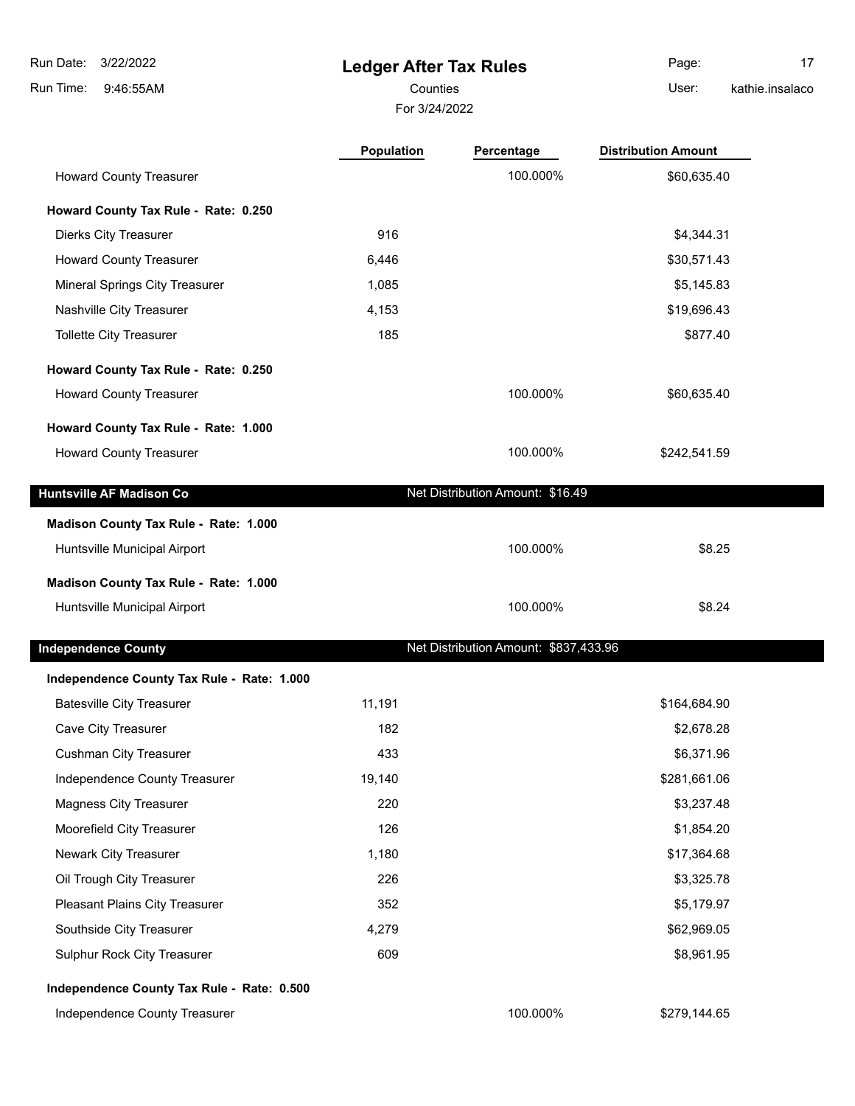**Ledger After Tax Rules** 9:46:55AM Run Time: 3/22/2022 Run Date: For 3/24/2022 Counties **User:** Page: 17 kathie.insalaco

|                                            | <b>Population</b> | Percentage                            | <b>Distribution Amount</b> |  |
|--------------------------------------------|-------------------|---------------------------------------|----------------------------|--|
| <b>Howard County Treasurer</b>             |                   | 100.000%                              | \$60,635.40                |  |
| Howard County Tax Rule - Rate: 0.250       |                   |                                       |                            |  |
| <b>Dierks City Treasurer</b>               | 916               |                                       | \$4,344.31                 |  |
| <b>Howard County Treasurer</b>             | 6,446             |                                       | \$30,571.43                |  |
| <b>Mineral Springs City Treasurer</b>      | 1,085             |                                       | \$5,145.83                 |  |
| Nashville City Treasurer                   | 4,153             |                                       | \$19,696.43                |  |
| <b>Tollette City Treasurer</b>             | 185               |                                       | \$877.40                   |  |
| Howard County Tax Rule - Rate: 0.250       |                   |                                       |                            |  |
| <b>Howard County Treasurer</b>             |                   | 100.000%                              | \$60,635.40                |  |
| Howard County Tax Rule - Rate: 1.000       |                   |                                       |                            |  |
| <b>Howard County Treasurer</b>             |                   | 100.000%                              | \$242,541.59               |  |
|                                            |                   |                                       |                            |  |
| <b>Huntsville AF Madison Co</b>            |                   | Net Distribution Amount: \$16.49      |                            |  |
| Madison County Tax Rule - Rate: 1.000      |                   |                                       |                            |  |
| Huntsville Municipal Airport               |                   | 100.000%                              | \$8.25                     |  |
| Madison County Tax Rule - Rate: 1.000      |                   |                                       |                            |  |
| Huntsville Municipal Airport               |                   | 100.000%                              | \$8.24                     |  |
|                                            |                   |                                       |                            |  |
| <b>Independence County</b>                 |                   | Net Distribution Amount: \$837,433.96 |                            |  |
| Independence County Tax Rule - Rate: 1.000 |                   |                                       |                            |  |
| <b>Batesville City Treasurer</b>           | 11,191            |                                       | \$164,684.90               |  |
| Cave City Treasurer                        | 182               |                                       | \$2,678.28                 |  |
| <b>Cushman City Treasurer</b>              | 433               |                                       | \$6,371.96                 |  |
| Independence County Treasurer              | 19,140            |                                       | \$281,661.06               |  |
| <b>Magness City Treasurer</b>              | 220               |                                       | \$3,237.48                 |  |
| Moorefield City Treasurer                  | 126               |                                       | \$1,854.20                 |  |
| Newark City Treasurer                      | 1,180             |                                       | \$17,364.68                |  |
| Oil Trough City Treasurer                  | 226               |                                       | \$3,325.78                 |  |
| Pleasant Plains City Treasurer             | 352               |                                       | \$5,179.97                 |  |
| Southside City Treasurer                   | 4,279             |                                       | \$62,969.05                |  |
| Sulphur Rock City Treasurer                | 609               |                                       | \$8,961.95                 |  |
|                                            |                   |                                       |                            |  |

#### **Independence County Tax Rule - Rate: 0.500**

Independence County Treasurer 100.000% \$279,144.65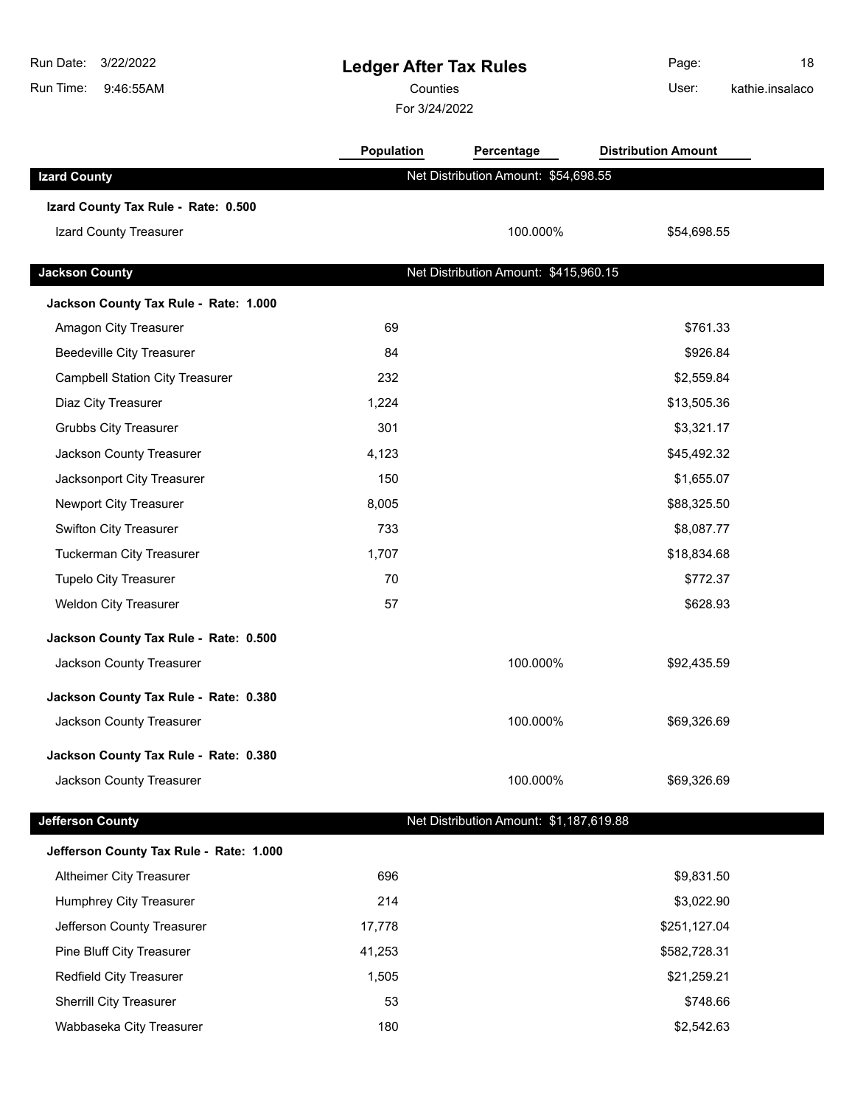| Run Date:<br>3/22/2022<br>Run Time:<br>9:46:55AM |            | <b>Ledger After Tax Rules</b><br>Counties<br>For 3/24/2022 |                            | 18<br>kathie.insalaco |
|--------------------------------------------------|------------|------------------------------------------------------------|----------------------------|-----------------------|
|                                                  | Population | Percentage                                                 | <b>Distribution Amount</b> |                       |
| <b>Izard County</b>                              |            | Net Distribution Amount: \$54,698.55                       |                            |                       |
| Izard County Tax Rule - Rate: 0.500              |            |                                                            |                            |                       |
| Izard County Treasurer                           |            | 100.000%                                                   | \$54,698.55                |                       |
| <b>Jackson County</b>                            |            | Net Distribution Amount: \$415,960.15                      |                            |                       |
| Jackson County Tax Rule - Rate: 1.000            |            |                                                            |                            |                       |
| Amagon City Treasurer                            | 69         |                                                            | \$761.33                   |                       |
| <b>Beedeville City Treasurer</b>                 | 84         |                                                            | \$926.84                   |                       |
| <b>Campbell Station City Treasurer</b>           | 232        |                                                            | \$2,559.84                 |                       |
| Diaz City Treasurer                              | 1,224      |                                                            | \$13,505.36                |                       |
| <b>Grubbs City Treasurer</b>                     | 301        |                                                            | \$3,321.17                 |                       |
| Jackson County Treasurer                         | 4,123      |                                                            | \$45,492.32                |                       |
| Jacksonport City Treasurer                       | 150        |                                                            | \$1,655.07                 |                       |
| Newport City Treasurer                           | 8,005      |                                                            | \$88,325.50                |                       |
| Swifton City Treasurer                           | 733        |                                                            | \$8,087.77                 |                       |
| <b>Tuckerman City Treasurer</b>                  | 1,707      |                                                            | \$18,834.68                |                       |
| <b>Tupelo City Treasurer</b>                     | 70         |                                                            | \$772.37                   |                       |
| <b>Weldon City Treasurer</b>                     | 57         |                                                            | \$628.93                   |                       |
| Jackson County Tax Rule - Rate: 0.500            |            |                                                            |                            |                       |
| Jackson County Treasurer                         |            | 100.000%                                                   | \$92,435.59                |                       |
| Jackson County Tax Rule - Rate: 0.380            |            |                                                            |                            |                       |
| Jackson County Treasurer                         |            | 100.000%                                                   | \$69,326.69                |                       |
| Jackson County Tax Rule - Rate: 0.380            |            |                                                            |                            |                       |
| Jackson County Treasurer                         |            | 100.000%                                                   | \$69,326.69                |                       |
| <b>Jefferson County</b>                          |            | Net Distribution Amount: \$1,187,619.88                    |                            |                       |
| Jefferson County Tax Rule - Rate: 1.000          |            |                                                            |                            |                       |
| Altheimer City Treasurer                         | 696        |                                                            | \$9,831.50                 |                       |
| Humphrey City Treasurer                          | 214        |                                                            | \$3,022.90                 |                       |
| Jefferson County Treasurer                       | 17,778     |                                                            | \$251,127.04               |                       |
| Pine Bluff City Treasurer                        | 41,253     |                                                            | \$582,728.31               |                       |
| Redfield City Treasurer                          | 1,505      |                                                            | \$21,259.21                |                       |
| <b>Sherrill City Treasurer</b>                   | 53         |                                                            | \$748.66                   |                       |
| Wabbaseka City Treasurer                         | 180        |                                                            | \$2,542.63                 |                       |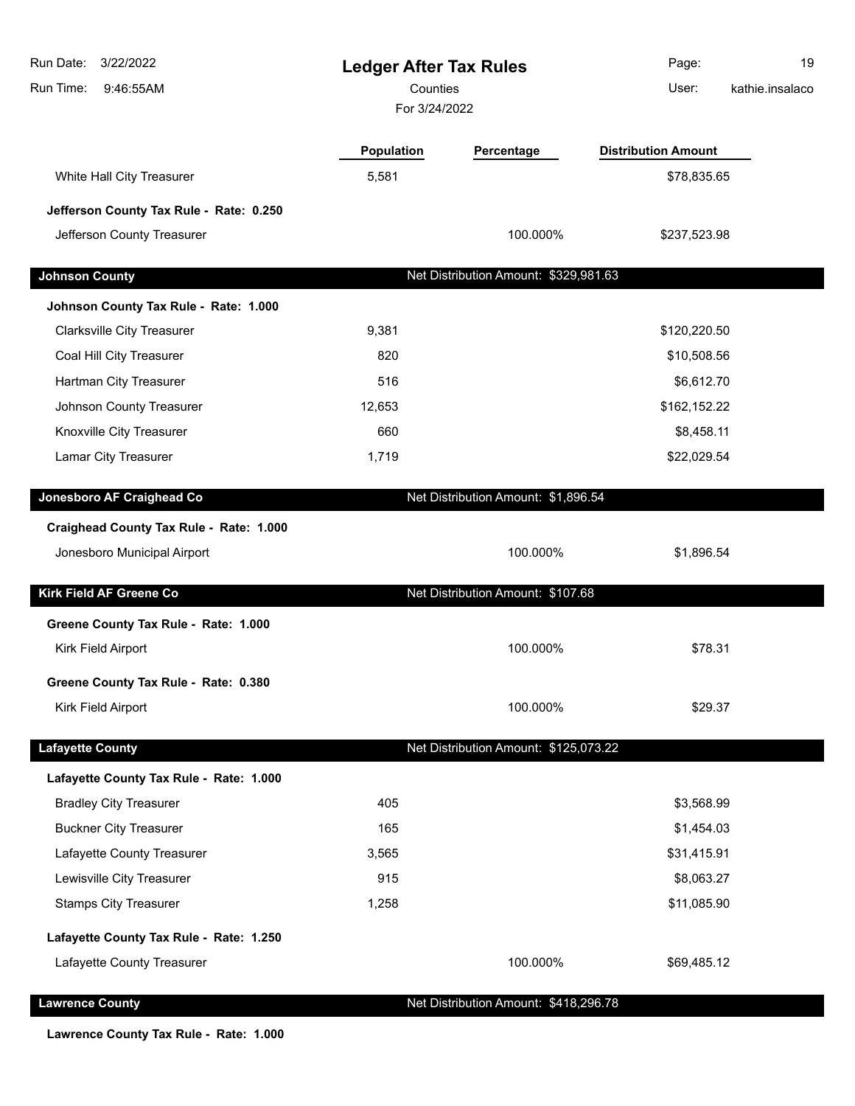| 3/22/2022<br>Run Date:<br><b>Ledger After Tax Rules</b><br>Counties<br>Run Time:<br>9:46:55AM<br>For 3/24/2022 |            | Page:<br>User:                        | 19<br>kathie.insalaco      |  |
|----------------------------------------------------------------------------------------------------------------|------------|---------------------------------------|----------------------------|--|
|                                                                                                                | Population | Percentage                            | <b>Distribution Amount</b> |  |
| White Hall City Treasurer                                                                                      | 5,581      |                                       | \$78,835.65                |  |
| Jefferson County Tax Rule - Rate: 0.250                                                                        |            |                                       |                            |  |
| Jefferson County Treasurer                                                                                     |            | 100.000%                              | \$237,523.98               |  |
| <b>Johnson County</b>                                                                                          |            | Net Distribution Amount: \$329,981.63 |                            |  |
| Johnson County Tax Rule - Rate: 1.000                                                                          |            |                                       |                            |  |
| <b>Clarksville City Treasurer</b>                                                                              | 9,381      |                                       | \$120,220.50               |  |
| Coal Hill City Treasurer                                                                                       | 820        |                                       | \$10,508.56                |  |
| Hartman City Treasurer                                                                                         | 516        |                                       | \$6,612.70                 |  |
| Johnson County Treasurer                                                                                       | 12,653     |                                       | \$162,152.22               |  |
| Knoxville City Treasurer                                                                                       | 660        |                                       | \$8,458.11                 |  |
| Lamar City Treasurer                                                                                           | 1,719      |                                       | \$22,029.54                |  |
|                                                                                                                |            |                                       |                            |  |
| Jonesboro AF Craighead Co                                                                                      |            | Net Distribution Amount: \$1,896.54   |                            |  |
| Craighead County Tax Rule - Rate: 1.000                                                                        |            |                                       |                            |  |
| Jonesboro Municipal Airport                                                                                    |            | 100.000%                              | \$1,896.54                 |  |
| Kirk Field AF Greene Co                                                                                        |            | Net Distribution Amount: \$107.68     |                            |  |
| Greene County Tax Rule - Rate: 1.000                                                                           |            |                                       |                            |  |
| Kirk Field Airport                                                                                             |            | 100.000%                              | \$78.31                    |  |
| Greene County Tax Rule - Rate: 0.380                                                                           |            |                                       |                            |  |
| Kirk Field Airport                                                                                             |            | 100.000%                              | \$29.37                    |  |
| <b>Lafayette County</b>                                                                                        |            | Net Distribution Amount: \$125,073.22 |                            |  |
| Lafayette County Tax Rule - Rate: 1.000                                                                        |            |                                       |                            |  |
| <b>Bradley City Treasurer</b>                                                                                  | 405        |                                       | \$3,568.99                 |  |
| <b>Buckner City Treasurer</b>                                                                                  | 165        |                                       | \$1,454.03                 |  |
| Lafayette County Treasurer                                                                                     | 3,565      |                                       | \$31,415.91                |  |
| Lewisville City Treasurer                                                                                      | 915        |                                       | \$8,063.27                 |  |
| <b>Stamps City Treasurer</b>                                                                                   | 1,258      |                                       | \$11,085.90                |  |
| Lafayette County Tax Rule - Rate: 1.250                                                                        |            |                                       |                            |  |
| Lafayette County Treasurer                                                                                     |            | 100.000%                              | \$69,485.12                |  |
| <b>Lawrence County</b>                                                                                         |            | Net Distribution Amount: \$418,296.78 |                            |  |

**Lawrence County Tax Rule - Rate: 1.000**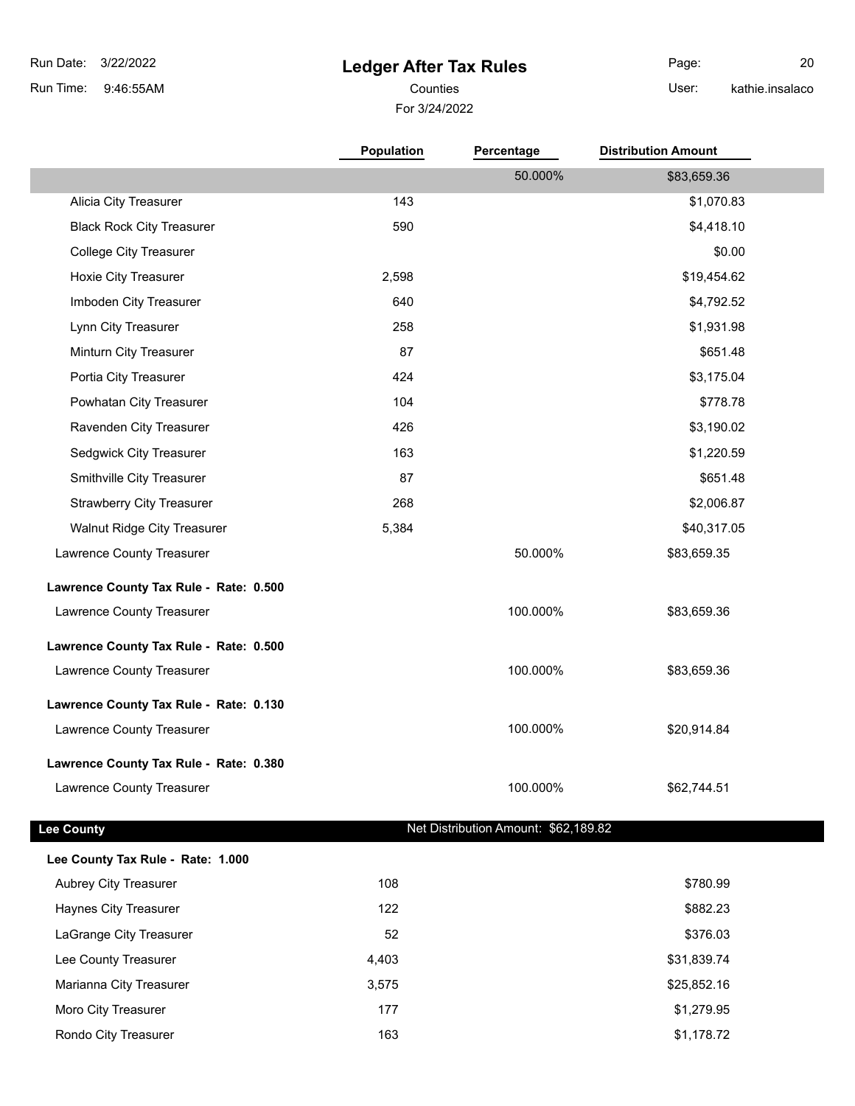# **Ledger After Tax Rules**

Page: 20

kathie.insalaco

### For 3/24/2022 Counties **User:**

|                                        | Population | Percentage                           | <b>Distribution Amount</b> |  |
|----------------------------------------|------------|--------------------------------------|----------------------------|--|
|                                        |            | 50.000%                              | \$83,659.36                |  |
| Alicia City Treasurer                  | 143        |                                      | \$1,070.83                 |  |
| <b>Black Rock City Treasurer</b>       | 590        |                                      | \$4,418.10                 |  |
| <b>College City Treasurer</b>          |            |                                      | \$0.00                     |  |
| Hoxie City Treasurer                   | 2,598      |                                      | \$19,454.62                |  |
| Imboden City Treasurer                 | 640        |                                      | \$4,792.52                 |  |
| Lynn City Treasurer                    | 258        |                                      | \$1,931.98                 |  |
| Minturn City Treasurer                 | 87         |                                      | \$651.48                   |  |
| Portia City Treasurer                  | 424        |                                      | \$3,175.04                 |  |
| Powhatan City Treasurer                | 104        |                                      | \$778.78                   |  |
| Ravenden City Treasurer                | 426        |                                      | \$3,190.02                 |  |
| Sedgwick City Treasurer                | 163        |                                      | \$1,220.59                 |  |
| Smithville City Treasurer              | 87         |                                      | \$651.48                   |  |
| <b>Strawberry City Treasurer</b>       | 268        |                                      | \$2,006.87                 |  |
| Walnut Ridge City Treasurer            | 5,384      |                                      | \$40,317.05                |  |
| Lawrence County Treasurer              |            | 50.000%                              | \$83,659.35                |  |
| Lawrence County Tax Rule - Rate: 0.500 |            |                                      |                            |  |
| Lawrence County Treasurer              |            | 100.000%                             | \$83,659.36                |  |
| Lawrence County Tax Rule - Rate: 0.500 |            |                                      |                            |  |
| Lawrence County Treasurer              |            | 100.000%                             | \$83,659.36                |  |
| Lawrence County Tax Rule - Rate: 0.130 |            |                                      |                            |  |
| Lawrence County Treasurer              |            | 100.000%                             | \$20,914.84                |  |
| Lawrence County Tax Rule - Rate: 0.380 |            |                                      |                            |  |
| Lawrence County Treasurer              |            | 100.000%                             | \$62,744.51                |  |
| <b>Lee County</b>                      |            | Net Distribution Amount: \$62,189.82 |                            |  |

| Lee County Tax Rule - Rate: 1.000 |       |             |
|-----------------------------------|-------|-------------|
| Aubrey City Treasurer             | 108   | \$780.99    |
| <b>Haynes City Treasurer</b>      | 122   | \$882.23    |
| LaGrange City Treasurer           | 52    | \$376.03    |
| Lee County Treasurer              | 4,403 | \$31,839.74 |
| Marianna City Treasurer           | 3,575 | \$25,852.16 |
| Moro City Treasurer               | 177   | \$1,279.95  |
| Rondo City Treasurer              | 163   | \$1,178.72  |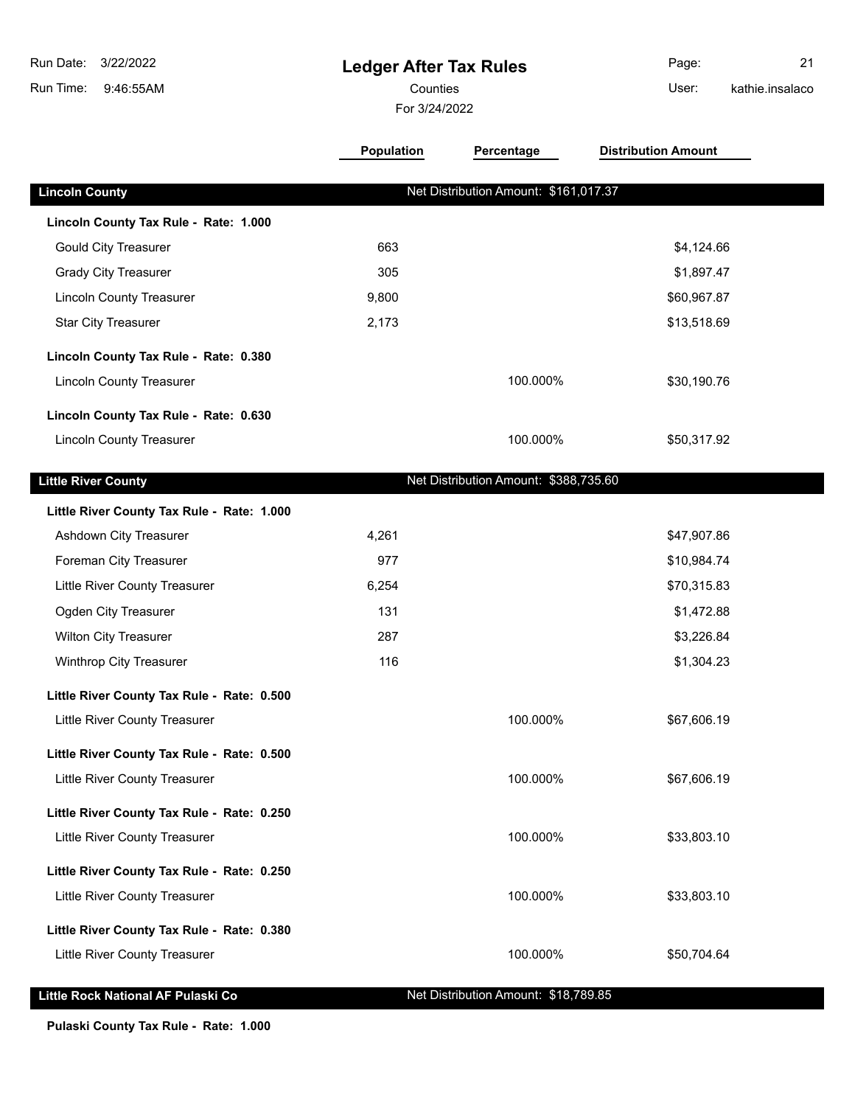| 3/22/2022<br>Run Date:<br>Run Time:<br>9:46:55AM | <b>Ledger After Tax Rules</b><br>Counties<br>For 3/24/2022 |                                       | Page:<br>User:             | 21<br>kathie.insalaco |  |
|--------------------------------------------------|------------------------------------------------------------|---------------------------------------|----------------------------|-----------------------|--|
|                                                  | Population                                                 | Percentage                            | <b>Distribution Amount</b> |                       |  |
| <b>Lincoln County</b>                            |                                                            | Net Distribution Amount: \$161,017.37 |                            |                       |  |
| Lincoln County Tax Rule - Rate: 1.000            |                                                            |                                       |                            |                       |  |
| <b>Gould City Treasurer</b>                      | 663                                                        |                                       | \$4,124.66                 |                       |  |
| <b>Grady City Treasurer</b>                      | 305                                                        |                                       | \$1,897.47                 |                       |  |
| <b>Lincoln County Treasurer</b>                  | 9,800                                                      |                                       | \$60,967.87                |                       |  |
| <b>Star City Treasurer</b>                       | 2,173                                                      |                                       | \$13,518.69                |                       |  |
| Lincoln County Tax Rule - Rate: 0.380            |                                                            |                                       |                            |                       |  |
| <b>Lincoln County Treasurer</b>                  |                                                            | 100.000%                              | \$30,190.76                |                       |  |
| Lincoln County Tax Rule - Rate: 0.630            |                                                            |                                       |                            |                       |  |
| <b>Lincoln County Treasurer</b>                  |                                                            | 100.000%                              | \$50,317.92                |                       |  |
| <b>Little River County</b>                       |                                                            | Net Distribution Amount: \$388,735.60 |                            |                       |  |
| Little River County Tax Rule - Rate: 1.000       |                                                            |                                       |                            |                       |  |
| Ashdown City Treasurer                           | 4,261                                                      |                                       | \$47,907.86                |                       |  |
| Foreman City Treasurer                           | 977                                                        |                                       | \$10,984.74                |                       |  |
| Little River County Treasurer                    | 6,254                                                      |                                       | \$70,315.83                |                       |  |
| Ogden City Treasurer                             | 131                                                        |                                       | \$1,472.88                 |                       |  |
| <b>Wilton City Treasurer</b>                     | 287                                                        |                                       | \$3,226.84                 |                       |  |
| Winthrop City Treasurer                          | 116                                                        |                                       | \$1,304.23                 |                       |  |
| Little River County Tax Rule - Rate: 0.500       |                                                            |                                       |                            |                       |  |
| Little River County Treasurer                    |                                                            | 100.000%                              | \$67,606.19                |                       |  |
| Little River County Tax Rule - Rate: 0.500       |                                                            |                                       |                            |                       |  |
| Little River County Treasurer                    |                                                            | 100.000%                              | \$67,606.19                |                       |  |
| Little River County Tax Rule - Rate: 0.250       |                                                            |                                       |                            |                       |  |
| Little River County Treasurer                    |                                                            | 100.000%                              | \$33,803.10                |                       |  |
| Little River County Tax Rule - Rate: 0.250       |                                                            |                                       |                            |                       |  |
| Little River County Treasurer                    |                                                            | 100.000%                              | \$33,803.10                |                       |  |
| Little River County Tax Rule - Rate: 0.380       |                                                            |                                       |                            |                       |  |
| Little River County Treasurer                    |                                                            | 100.000%                              | \$50,704.64                |                       |  |
| Little Rock National AF Pulaski Co               |                                                            | Net Distribution Amount: \$18,789.85  |                            |                       |  |

**Pulaski County Tax Rule - Rate: 1.000**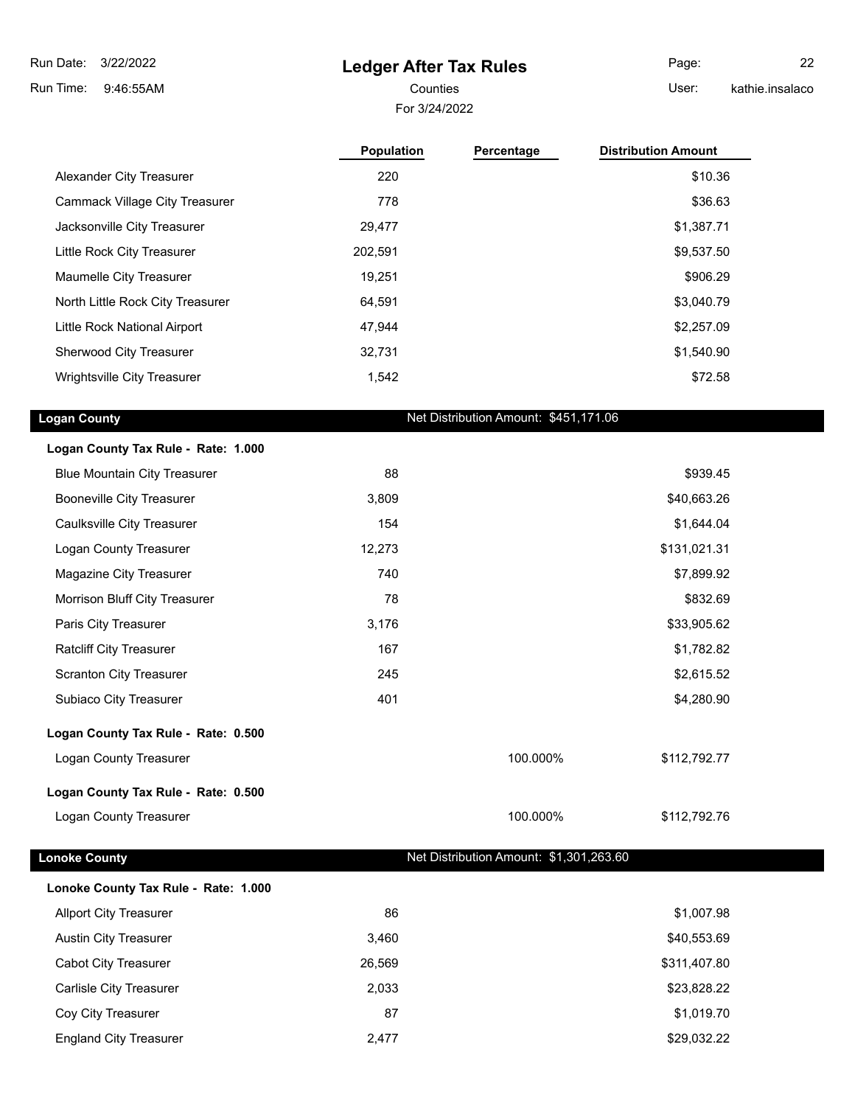**Ledger After Tax Rules**

3/22/2022 Run Date:

9:46:55AM Run Time:

### For 3/24/2022 Counties **Counties** User:

Page: 22 kathie.insalaco

|                                    | <b>Population</b> | Percentage | <b>Distribution Amount</b> |
|------------------------------------|-------------------|------------|----------------------------|
| Alexander City Treasurer           | 220               |            | \$10.36                    |
| Cammack Village City Treasurer     | 778               |            | \$36.63                    |
| Jacksonville City Treasurer        | 29.477            |            | \$1,387.71                 |
| Little Rock City Treasurer         | 202,591           |            | \$9,537.50                 |
| Maumelle City Treasurer            | 19.251            |            | \$906.29                   |
| North Little Rock City Treasurer   | 64.591            |            | \$3,040.79                 |
| Little Rock National Airport       | 47.944            |            | \$2,257.09                 |
| Sherwood City Treasurer            | 32.731            |            | \$1,540.90                 |
| <b>Wrightsville City Treasurer</b> | 1,542             |            | \$72.58                    |

| <b>Logan County</b>                 |        | Net Distribution Amount: \$451,171.06 |              |
|-------------------------------------|--------|---------------------------------------|--------------|
| Logan County Tax Rule - Rate: 1.000 |        |                                       |              |
| <b>Blue Mountain City Treasurer</b> | 88     |                                       | \$939.45     |
| <b>Booneville City Treasurer</b>    | 3,809  |                                       | \$40,663.26  |
| Caulksville City Treasurer          | 154    |                                       | \$1,644.04   |
| Logan County Treasurer              | 12,273 |                                       | \$131,021.31 |
| Magazine City Treasurer             | 740    |                                       | \$7,899.92   |
| Morrison Bluff City Treasurer       | 78     |                                       | \$832.69     |
| Paris City Treasurer                | 3,176  |                                       | \$33,905.62  |
| <b>Ratcliff City Treasurer</b>      | 167    |                                       | \$1,782.82   |
| Scranton City Treasurer             | 245    |                                       | \$2,615.52   |
| Subiaco City Treasurer              | 401    |                                       | \$4,280.90   |
| Logan County Tax Rule - Rate: 0.500 |        |                                       |              |
| Logan County Treasurer              |        | 100.000%                              | \$112,792.77 |
| Logan County Tax Rule - Rate: 0.500 |        |                                       |              |
| Logan County Treasurer              |        | 100.000%                              | \$112,792.76 |
|                                     |        |                                       |              |

| <b>Lonoke County</b>                 | Net Distribution Amount: \$1,301,263.60 |
|--------------------------------------|-----------------------------------------|
| Lonoke County Tax Rule - Rate: 1.000 |                                         |
| <b>Allport City Treasurer</b>        | 86                                      |

| onoke County Tax Rule - Rate: 1.000 |        |              |
|-------------------------------------|--------|--------------|
| <b>Allport City Treasurer</b>       | 86     | \$1,007.98   |
| <b>Austin City Treasurer</b>        | 3.460  | \$40,553.69  |
| <b>Cabot City Treasurer</b>         | 26.569 | \$311,407.80 |
| <b>Carlisle City Treasurer</b>      | 2,033  | \$23,828.22  |
| Coy City Treasurer                  | 87     | \$1,019.70   |
| <b>England City Treasurer</b>       | 2.477  | \$29,032.22  |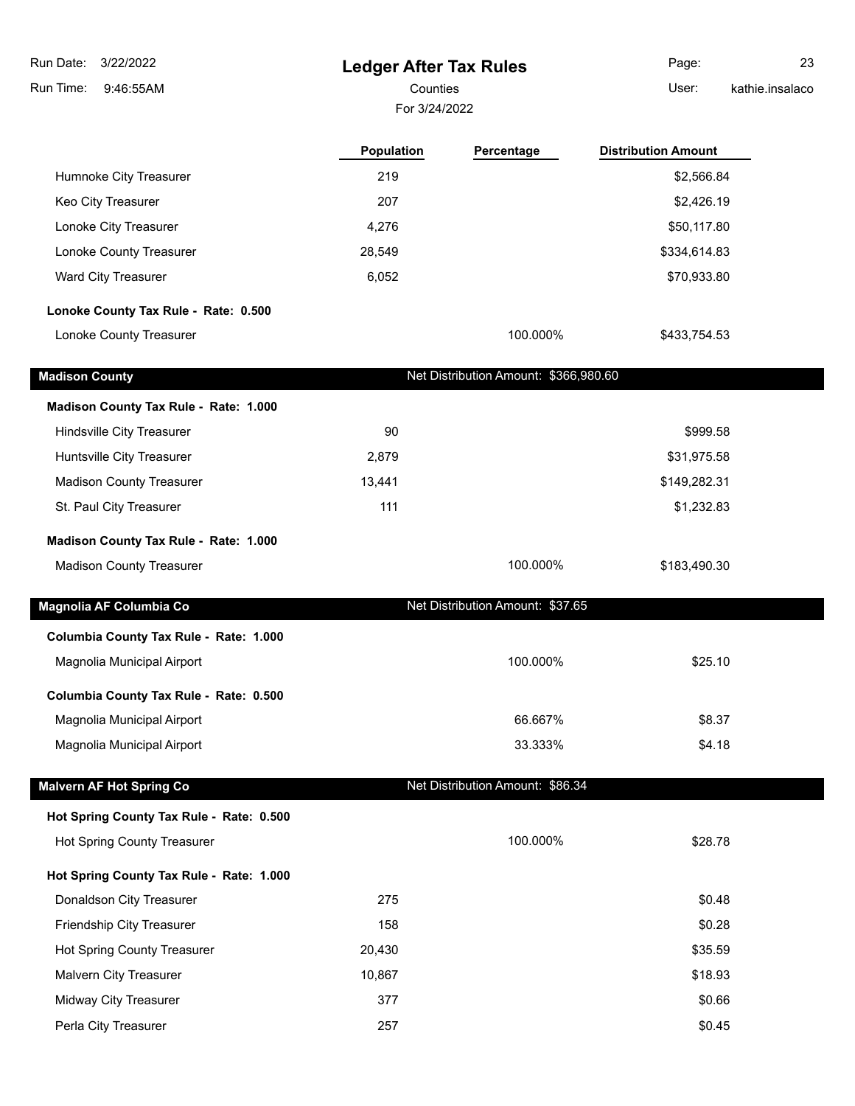| Run Date:<br>3/22/2022                   | <b>Ledger After Tax Rules</b> |                                       | Page:                      | 23              |
|------------------------------------------|-------------------------------|---------------------------------------|----------------------------|-----------------|
| 9:46:55AM<br>Run Time:                   | Counties                      |                                       | User:                      | kathie.insalaco |
|                                          | For 3/24/2022                 |                                       |                            |                 |
|                                          | Population                    | Percentage                            | <b>Distribution Amount</b> |                 |
| Humnoke City Treasurer                   | 219                           |                                       | \$2,566.84                 |                 |
| Keo City Treasurer                       | 207                           |                                       | \$2,426.19                 |                 |
| Lonoke City Treasurer                    | 4,276                         |                                       | \$50,117.80                |                 |
| Lonoke County Treasurer                  | 28,549                        |                                       | \$334,614.83               |                 |
| Ward City Treasurer                      | 6,052                         |                                       | \$70,933.80                |                 |
| Lonoke County Tax Rule - Rate: 0.500     |                               |                                       |                            |                 |
| Lonoke County Treasurer                  |                               | 100.000%                              | \$433,754.53               |                 |
| <b>Madison County</b>                    |                               | Net Distribution Amount: \$366,980.60 |                            |                 |
| Madison County Tax Rule - Rate: 1.000    |                               |                                       |                            |                 |
| Hindsville City Treasurer                | 90                            |                                       | \$999.58                   |                 |
| Huntsville City Treasurer                | 2,879                         |                                       | \$31,975.58                |                 |
| <b>Madison County Treasurer</b>          | 13,441                        |                                       | \$149,282.31               |                 |
| St. Paul City Treasurer                  | 111                           |                                       | \$1,232.83                 |                 |
| Madison County Tax Rule - Rate: 1.000    |                               |                                       |                            |                 |
| <b>Madison County Treasurer</b>          |                               | 100.000%                              | \$183,490.30               |                 |
| Magnolia AF Columbia Co                  |                               | Net Distribution Amount: \$37.65      |                            |                 |
| Columbia County Tax Rule - Rate: 1.000   |                               |                                       |                            |                 |
| Magnolia Municipal Airport               |                               | 100.000%                              | \$25.10                    |                 |
| Columbia County Tax Rule - Rate: 0.500   |                               |                                       |                            |                 |
| Magnolia Municipal Airport               |                               | 66.667%                               | \$8.37                     |                 |
| Magnolia Municipal Airport               |                               | 33.333%                               | \$4.18                     |                 |
| <b>Malvern AF Hot Spring Co</b>          |                               | Net Distribution Amount: \$86.34      |                            |                 |
| Hot Spring County Tax Rule - Rate: 0.500 |                               |                                       |                            |                 |
| Hot Spring County Treasurer              |                               | 100.000%                              | \$28.78                    |                 |
| Hot Spring County Tax Rule - Rate: 1.000 |                               |                                       |                            |                 |
| Donaldson City Treasurer                 | 275                           |                                       | \$0.48                     |                 |
| Friendship City Treasurer                | 158                           |                                       | \$0.28                     |                 |
| Hot Spring County Treasurer              | 20,430                        |                                       | \$35.59                    |                 |
| Malvern City Treasurer                   | 10,867                        |                                       | \$18.93                    |                 |
| Midway City Treasurer                    | 377                           |                                       | \$0.66                     |                 |
| Perla City Treasurer                     | 257                           |                                       | \$0.45                     |                 |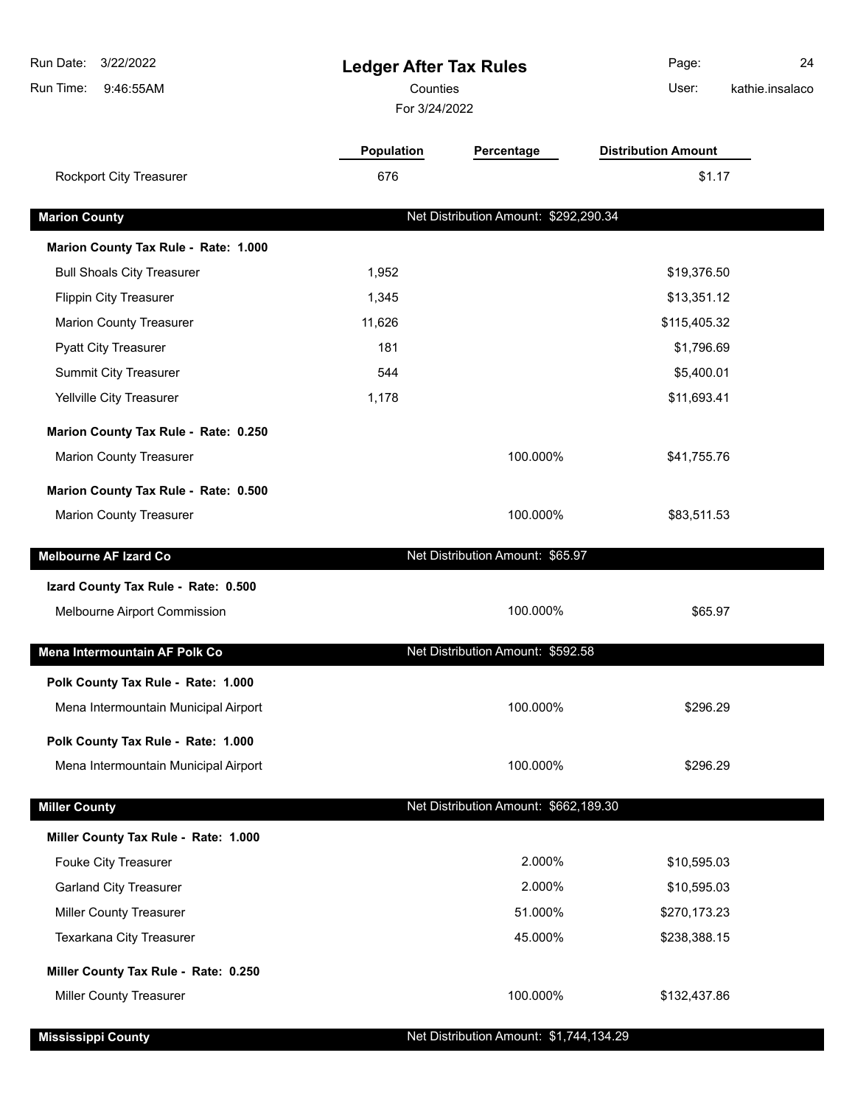| Run Date:<br>3/22/2022<br>Run Time:<br>9:46:55AM | <b>Ledger After Tax Rules</b><br>Counties<br>For 3/24/2022 |                                       | Page:<br>User:             | 24<br>kathie.insalaco |
|--------------------------------------------------|------------------------------------------------------------|---------------------------------------|----------------------------|-----------------------|
|                                                  | <b>Population</b>                                          | Percentage                            | <b>Distribution Amount</b> |                       |
| Rockport City Treasurer                          | 676                                                        |                                       | \$1.17                     |                       |
| <b>Marion County</b>                             |                                                            | Net Distribution Amount: \$292,290.34 |                            |                       |
| Marion County Tax Rule - Rate: 1.000             |                                                            |                                       |                            |                       |
| <b>Bull Shoals City Treasurer</b>                | 1,952                                                      |                                       | \$19,376.50                |                       |
| <b>Flippin City Treasurer</b>                    | 1,345                                                      |                                       | \$13,351.12                |                       |
| <b>Marion County Treasurer</b>                   | 11,626                                                     |                                       | \$115,405.32               |                       |
| <b>Pyatt City Treasurer</b>                      | 181                                                        |                                       | \$1,796.69                 |                       |
| <b>Summit City Treasurer</b>                     | 544                                                        |                                       | \$5,400.01                 |                       |
| Yellville City Treasurer                         | 1,178                                                      |                                       | \$11,693.41                |                       |
| Marion County Tax Rule - Rate: 0.250             |                                                            |                                       |                            |                       |
| <b>Marion County Treasurer</b>                   |                                                            | 100.000%                              | \$41,755.76                |                       |
| Marion County Tax Rule - Rate: 0.500             |                                                            |                                       |                            |                       |
| <b>Marion County Treasurer</b>                   |                                                            | 100.000%                              | \$83,511.53                |                       |
| <b>Melbourne AF Izard Co</b>                     |                                                            | Net Distribution Amount: \$65.97      |                            |                       |
| Izard County Tax Rule - Rate: 0.500              |                                                            |                                       |                            |                       |
| Melbourne Airport Commission                     |                                                            | 100.000%                              | \$65.97                    |                       |
| Mena Intermountain AF Polk Co                    |                                                            | Net Distribution Amount: \$592.58     |                            |                       |
| Polk County Tax Rule - Rate: 1.000               |                                                            |                                       |                            |                       |
| Mena Intermountain Municipal Airport             |                                                            | 100.000%                              | \$296.29                   |                       |
| Polk County Tax Rule - Rate: 1.000               |                                                            |                                       |                            |                       |
| Mena Intermountain Municipal Airport             |                                                            | 100.000%                              | \$296.29                   |                       |
| <b>Miller County</b>                             |                                                            | Net Distribution Amount: \$662,189.30 |                            |                       |
| Miller County Tax Rule - Rate: 1.000             |                                                            |                                       |                            |                       |
| Fouke City Treasurer                             |                                                            | 2.000%                                | \$10,595.03                |                       |
| <b>Garland City Treasurer</b>                    |                                                            | 2.000%                                | \$10,595.03                |                       |
| <b>Miller County Treasurer</b>                   |                                                            | 51.000%                               | \$270,173.23               |                       |
| Texarkana City Treasurer                         |                                                            | 45.000%                               | \$238,388.15               |                       |
| Miller County Tax Rule - Rate: 0.250             |                                                            |                                       |                            |                       |
| <b>Miller County Treasurer</b>                   |                                                            | 100.000%                              | \$132,437.86               |                       |

**Mississippi County Mississippi County Net Distribution Amount: \$1,744,134.29**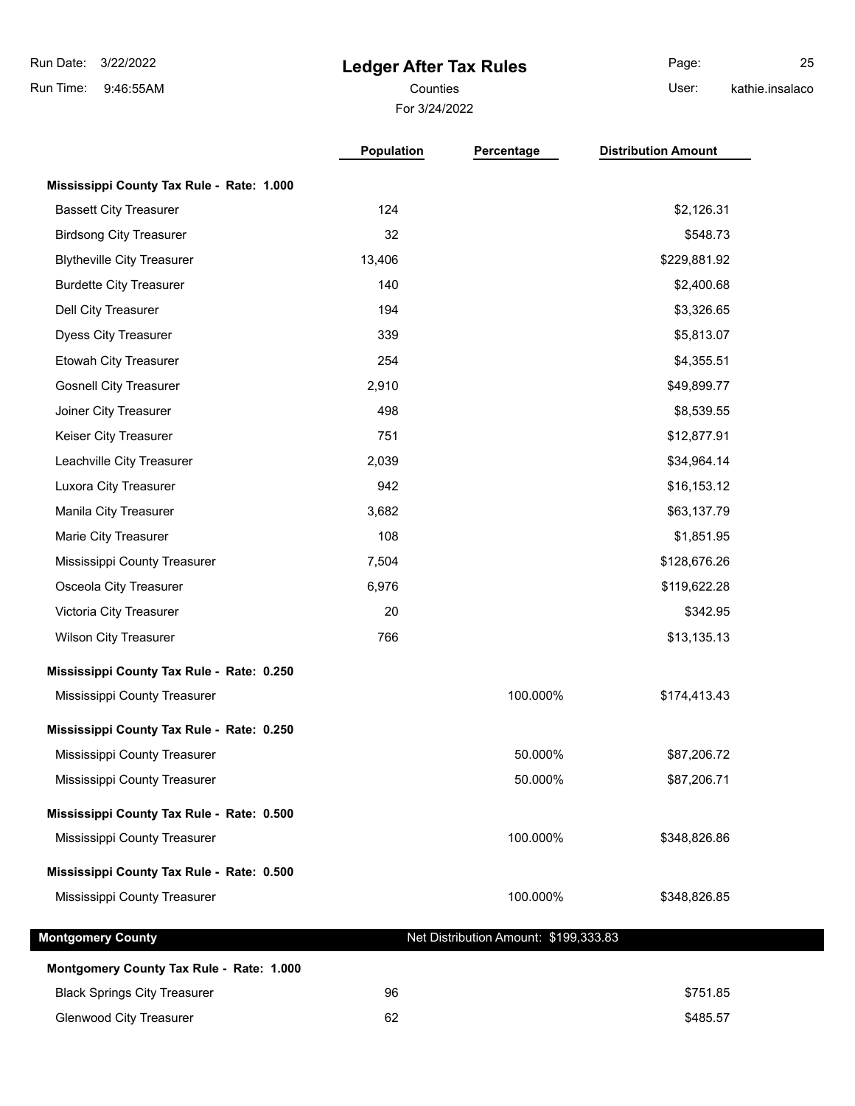# **Ledger After Tax Rules**

For 3/24/2022 Counties **Counties** User:

Page: 25 kathie.insalaco

|                                           | Population | Percentage                            | <b>Distribution Amount</b> |
|-------------------------------------------|------------|---------------------------------------|----------------------------|
| Mississippi County Tax Rule - Rate: 1.000 |            |                                       |                            |
| <b>Bassett City Treasurer</b>             | 124        |                                       | \$2,126.31                 |
| <b>Birdsong City Treasurer</b>            | 32         |                                       | \$548.73                   |
| <b>Blytheville City Treasurer</b>         | 13,406     |                                       | \$229,881.92               |
| <b>Burdette City Treasurer</b>            | 140        |                                       | \$2,400.68                 |
| Dell City Treasurer                       | 194        |                                       | \$3,326.65                 |
| <b>Dyess City Treasurer</b>               | 339        |                                       | \$5,813.07                 |
| Etowah City Treasurer                     | 254        |                                       | \$4,355.51                 |
| <b>Gosnell City Treasurer</b>             | 2,910      |                                       | \$49,899.77                |
| Joiner City Treasurer                     | 498        |                                       | \$8,539.55                 |
| Keiser City Treasurer                     | 751        |                                       | \$12,877.91                |
| Leachville City Treasurer                 | 2,039      |                                       | \$34,964.14                |
| Luxora City Treasurer                     | 942        |                                       | \$16,153.12                |
| Manila City Treasurer                     | 3,682      |                                       | \$63,137.79                |
| Marie City Treasurer                      | 108        |                                       | \$1,851.95                 |
| Mississippi County Treasurer              | 7,504      |                                       | \$128,676.26               |
| Osceola City Treasurer                    | 6,976      |                                       | \$119,622.28               |
| Victoria City Treasurer                   | 20         |                                       | \$342.95                   |
| <b>Wilson City Treasurer</b>              | 766        |                                       | \$13,135.13                |
| Mississippi County Tax Rule - Rate: 0.250 |            |                                       |                            |
| Mississippi County Treasurer              |            | 100.000%                              | \$174,413.43               |
| Mississippi County Tax Rule - Rate: 0.250 |            |                                       |                            |
| Mississippi County Treasurer              |            | 50.000%                               | \$87,206.72                |
| Mississippi County Treasurer              |            | 50.000%                               | \$87,206.71                |
| Mississippi County Tax Rule - Rate: 0.500 |            |                                       |                            |
| Mississippi County Treasurer              |            | 100.000%                              | \$348,826.86               |
| Mississippi County Tax Rule - Rate: 0.500 |            |                                       |                            |
| Mississippi County Treasurer              |            | 100.000%                              | \$348,826.85               |
| <b>Montgomery County</b>                  |            | Net Distribution Amount: \$199,333.83 |                            |
| Montgomery County Tax Rule - Rate: 1.000  |            |                                       |                            |
| <b>Black Springs City Treasurer</b>       | 96         |                                       | \$751.85                   |
| <b>Glenwood City Treasurer</b>            | 62         |                                       | \$485.57                   |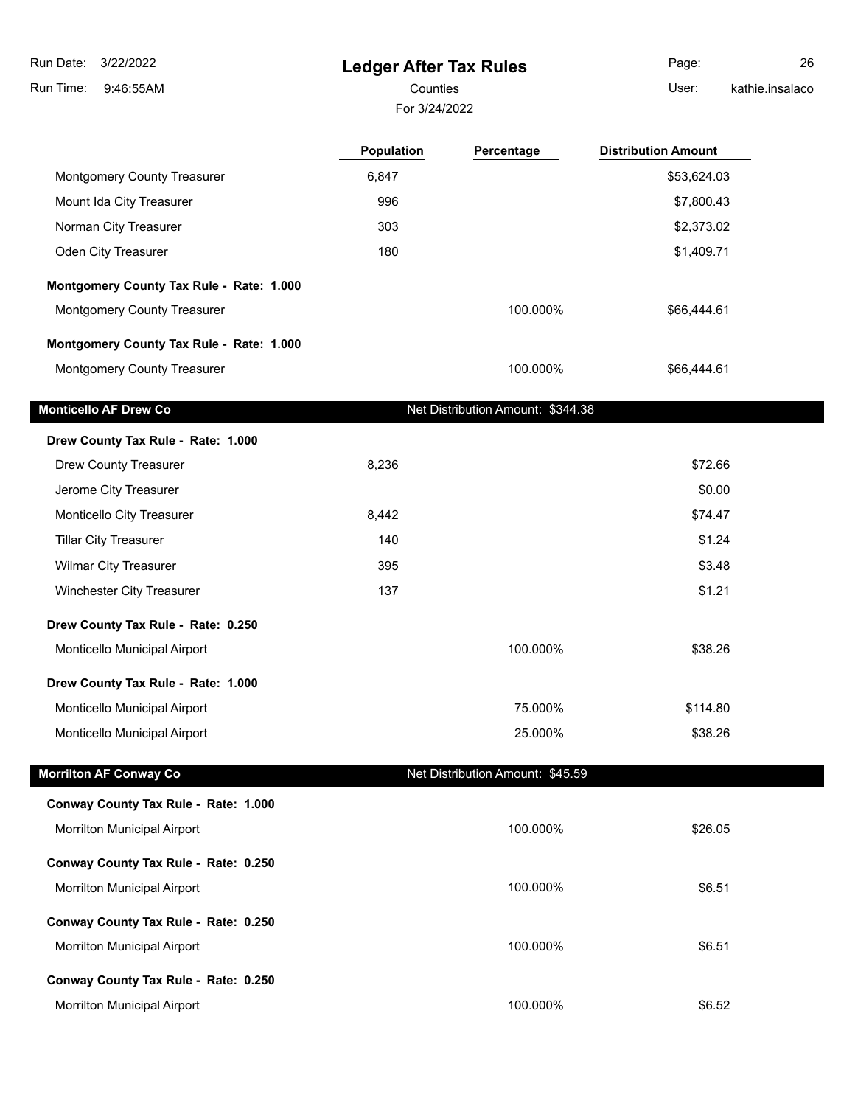**Ledger After Tax Rules** 9:46:55AM Run Time: 3/22/2022 Run Date: For 3/24/2022 Counties **Counties** User: Page: 26 kathie.insalaco **Population Percentage Distribution Amount** Montgomery County Treasurer 6,847 6,847 \$53,624.03 Mount Ida City Treasurer 1996 1996 1996 1997,800.43 Norman City Treasurer 303 \$2,373.02 Oden City Treasurer 180 \$1,409.71 **Montgomery County Tax Rule - Rate: 1.000** Montgomery County Treasurer 100.000% \$66,444.61 **Montgomery County Tax Rule - Rate: 1.000** Montgomery County Treasurer 100.000% \$66,444.61 **Monticello AF Drew Co** Net Distribution Amount: \$344.38 **Drew County Tax Rule - Rate: 1.000** Drew County Treasurer 1988 and 1989 and 1989 and 1989 and 1989 and 1989 and 1989 and 1989 and 1989 and 1989 and 198 Jerome City Treasurer \$0.00 Monticello City Treasurer 6,442 \$74.47 Tillar City Treasurer **140** \$1.24 Wilmar City Treasurer **395** \$3.48 Winchester City Treasurer 137 \$1.21 **Drew County Tax Rule - Rate: 0.250** Monticello Municipal Airport 100.000% \$38.26 **Drew County Tax Rule - Rate: 1.000** Monticello Municipal Airport 75.000% \$114.80 Monticello Municipal Airport 25.000% \$38.26 **Morrilton AF Conway Co Net Distribution Amount: \$45.59 Conway County Tax Rule - Rate: 1.000** Morrilton Municipal Airport 100.000% \$26.05 **Conway County Tax Rule - Rate: 0.250** Morrilton Municipal Airport 100.000% \$6.51

**Conway County Tax Rule - Rate: 0.250** Morrilton Municipal Airport 100.000% \$6.51 **Conway County Tax Rule - Rate: 0.250** Morrilton Municipal Airport 100.000% \$6.52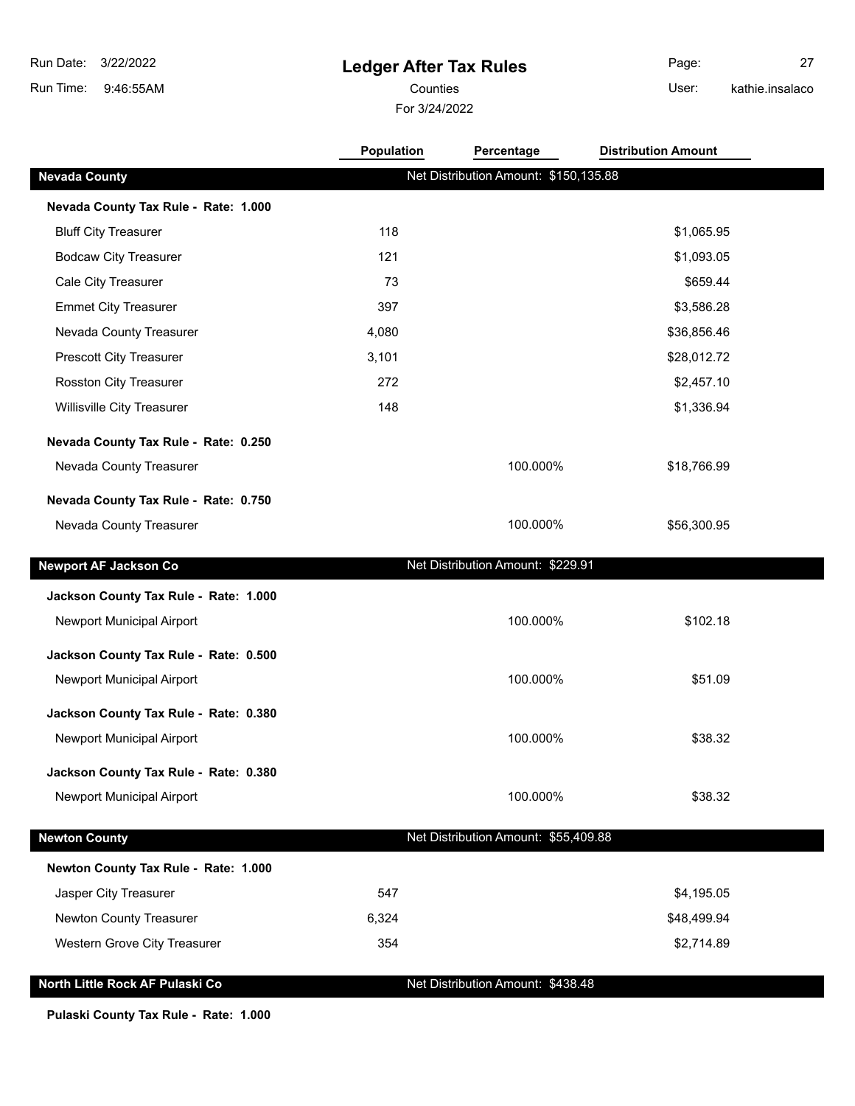# **Ledger After Tax Rules**

For 3/24/2022 Counties **User:** 

Page: 27 kathie.insalaco

|                                       | <b>Population</b> | Percentage                            | <b>Distribution Amount</b> |  |
|---------------------------------------|-------------------|---------------------------------------|----------------------------|--|
| <b>Nevada County</b>                  |                   | Net Distribution Amount: \$150,135.88 |                            |  |
| Nevada County Tax Rule - Rate: 1.000  |                   |                                       |                            |  |
| <b>Bluff City Treasurer</b>           | 118               |                                       | \$1,065.95                 |  |
| <b>Bodcaw City Treasurer</b>          | 121               |                                       | \$1,093.05                 |  |
| Cale City Treasurer                   | 73                |                                       | \$659.44                   |  |
| <b>Emmet City Treasurer</b>           | 397               |                                       | \$3,586.28                 |  |
| Nevada County Treasurer               | 4,080             |                                       | \$36,856.46                |  |
| Prescott City Treasurer               | 3,101             |                                       | \$28,012.72                |  |
| Rosston City Treasurer                | 272               |                                       | \$2,457.10                 |  |
| Willisville City Treasurer            | 148               |                                       | \$1,336.94                 |  |
| Nevada County Tax Rule - Rate: 0.250  |                   |                                       |                            |  |
| Nevada County Treasurer               |                   | 100.000%                              | \$18,766.99                |  |
| Nevada County Tax Rule - Rate: 0.750  |                   |                                       |                            |  |
| Nevada County Treasurer               |                   | 100.000%                              | \$56,300.95                |  |
|                                       |                   |                                       |                            |  |
| <b>Newport AF Jackson Co</b>          |                   | Net Distribution Amount: \$229.91     |                            |  |
| Jackson County Tax Rule - Rate: 1.000 |                   |                                       |                            |  |
| Newport Municipal Airport             |                   | 100.000%                              | \$102.18                   |  |
| Jackson County Tax Rule - Rate: 0.500 |                   |                                       |                            |  |
| Newport Municipal Airport             |                   | 100.000%                              | \$51.09                    |  |
|                                       |                   |                                       |                            |  |
| Jackson County Tax Rule - Rate: 0.380 |                   |                                       |                            |  |
| Newport Municipal Airport             |                   | 100.000%                              | \$38.32                    |  |
| Jackson County Tax Rule - Rate: 0.380 |                   |                                       |                            |  |
| Newport Municipal Airport             |                   | 100.000%                              | \$38.32                    |  |
| <b>Newton County</b>                  |                   | Net Distribution Amount: \$55,409.88  |                            |  |
| Newton County Tax Rule - Rate: 1.000  |                   |                                       |                            |  |
| Jasper City Treasurer                 | 547               |                                       | \$4,195.05                 |  |
| Newton County Treasurer               | 6,324             |                                       | \$48,499.94                |  |
| Western Grove City Treasurer          | 354               |                                       | \$2,714.89                 |  |
| North Little Rock AF Pulaski Co       |                   | Net Distribution Amount: \$438.48     |                            |  |

**Pulaski County Tax Rule - Rate: 1.000**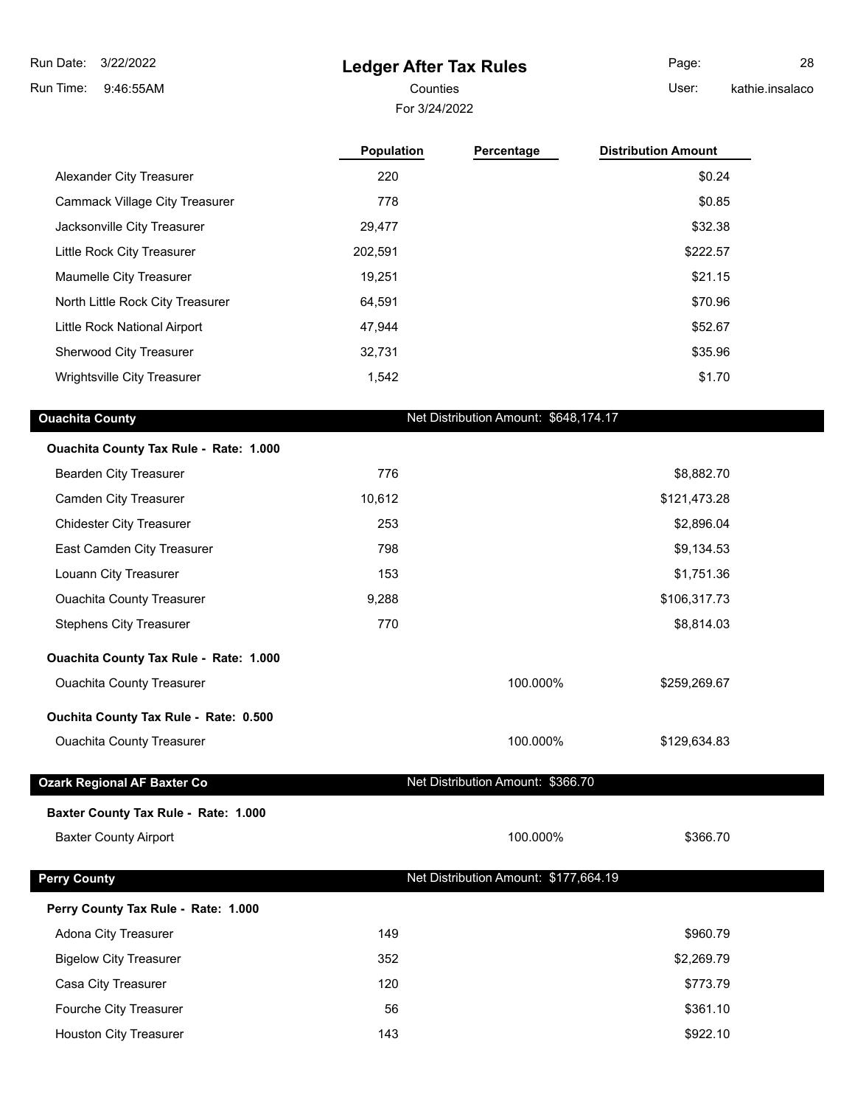**Ledger After Tax Rules**

 9:46:55AM Run Time: 3/22/2022 Run Date:

For 3/24/2022

Counties User: Page: 28 kathie.insalaco

| 220     |          | \$0.24                                |
|---------|----------|---------------------------------------|
| 778     |          | \$0.85                                |
| 29,477  |          | \$32.38                               |
| 202,591 |          | \$222.57                              |
| 19,251  |          | \$21.15                               |
| 64,591  |          | \$70.96                               |
| 47,944  |          | \$52.67                               |
| 32,731  |          | \$35.96                               |
| 1,542   |          | \$1.70                                |
|         |          |                                       |
|         |          |                                       |
| 776     |          | \$8,882.70                            |
| 10,612  |          | \$121,473.28                          |
| 253     |          | \$2,896.04                            |
| 798     |          | \$9,134.53                            |
| 153     |          | \$1,751.36                            |
| 9,288   |          | \$106,317.73                          |
| 770     |          | \$8,814.03                            |
|         |          |                                       |
|         | 100.000% | \$259,269.67                          |
|         |          |                                       |
|         | 100.000% | \$129,634.83                          |
|         |          | Net Distribution Amount: \$648,174.17 |

**Baxter County Tax Rule - Rate: 1.000**

Baxter County Airport 100.000% \$366.70

## **Perry County Perry County Net Distribution Amount: \$177,664.19**

## **Perry County Tax Rule - Rate: 1.000**

| Adona City Treasurer          | 149 | \$960.79   |
|-------------------------------|-----|------------|
| <b>Bigelow City Treasurer</b> | 352 | \$2,269.79 |
| Casa City Treasurer           | 120 | \$773.79   |
| Fourche City Treasurer        | 56  | \$361.10   |
| Houston City Treasurer        | 143 | \$922.10   |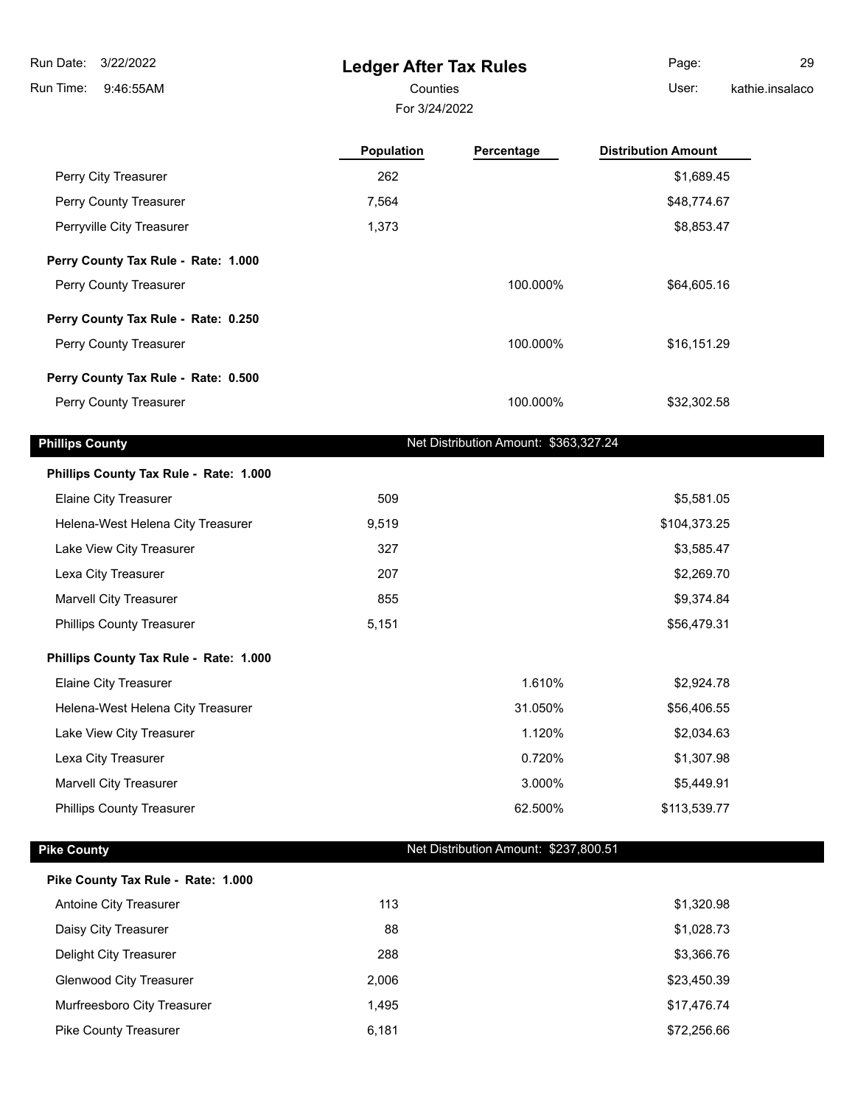3/22/2022 Run Date:

9:46:55AM Run Time:

# **Ledger After Tax Rules**

For 3/24/2022

Page: 29

Counties User:

|                                        | Population | Percentage                            | <b>Distribution Amount</b> |
|----------------------------------------|------------|---------------------------------------|----------------------------|
| Perry City Treasurer                   | 262        |                                       | \$1,689.45                 |
| Perry County Treasurer                 | 7,564      |                                       | \$48,774.67                |
| Perryville City Treasurer              | 1,373      |                                       | \$8,853.47                 |
| Perry County Tax Rule - Rate: 1.000    |            |                                       |                            |
| Perry County Treasurer                 |            | 100.000%                              | \$64,605.16                |
| Perry County Tax Rule - Rate: 0.250    |            |                                       |                            |
| Perry County Treasurer                 |            | 100.000%                              | \$16,151.29                |
| Perry County Tax Rule - Rate: 0.500    |            |                                       |                            |
| Perry County Treasurer                 |            | 100.000%                              | \$32,302.58                |
| <b>Phillips County</b>                 |            | Net Distribution Amount: \$363,327.24 |                            |
| Phillips County Tax Rule - Rate: 1.000 |            |                                       |                            |
| Elaine City Treasurer                  | 509        |                                       | \$5,581.05                 |
| Helena-West Helena City Treasurer      | 9,519      |                                       | \$104,373.25               |
| Lake View City Treasurer               | 327        |                                       | \$3,585.47                 |
| Lexa City Treasurer                    | 207        |                                       | \$2,269.70                 |
| <b>Marvell City Treasurer</b>          | 855        |                                       | \$9,374.84                 |
| <b>Phillips County Treasurer</b>       | 5,151      |                                       | \$56,479.31                |
| Phillips County Tax Rule - Rate: 1.000 |            |                                       |                            |
| <b>Elaine City Treasurer</b>           |            | 1.610%                                | \$2,924.78                 |
| Helena-West Helena City Treasurer      |            | 31.050%                               | \$56,406.55                |
| Lake View City Treasurer               |            | 1.120%                                | \$2,034.63                 |
| Lexa City Treasurer                    |            | 0.720%                                | \$1,307.98                 |
| <b>Marvell City Treasurer</b>          |            | 3.000%                                | \$5,449.91                 |
| <b>Phillips County Treasurer</b>       |            | 62.500%                               | \$113,539.77               |
| <b>Pike County</b>                     |            | Net Distribution Amount: \$237,800.51 |                            |
| Pike County Tax Rule - Rate: 1.000     |            |                                       |                            |
| Antoine City Treasurer                 | 113        |                                       | \$1,320.98                 |
| Daisy City Treasurer                   | 88         |                                       | \$1,028.73                 |
| Delight City Treasurer                 | 288        |                                       | \$3,366.76                 |
| <b>Glenwood City Treasurer</b>         | 2,006      |                                       | \$23,450.39                |
| Murfreesboro City Treasurer            | 1,495      |                                       | \$17,476.74                |
| Pike County Treasurer                  | 6,181      |                                       | \$72,256.66                |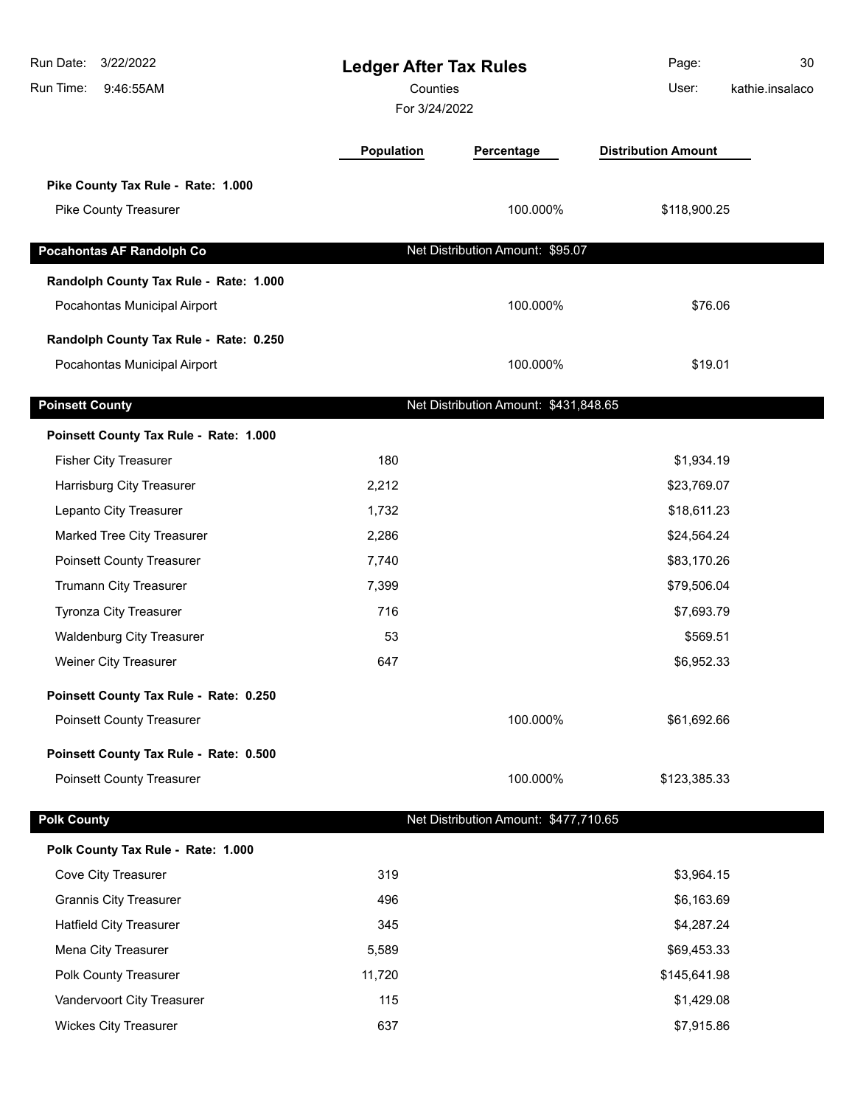| Run Date:<br>3/22/2022<br>Run Time:<br>9:46:55AM                       | <b>Ledger After Tax Rules</b><br>Counties<br>For 3/24/2022 |                                       | Page:<br>User:             | 30<br>kathie.insalaco |
|------------------------------------------------------------------------|------------------------------------------------------------|---------------------------------------|----------------------------|-----------------------|
|                                                                        | Population                                                 | Percentage                            | <b>Distribution Amount</b> |                       |
| Pike County Tax Rule - Rate: 1.000                                     |                                                            |                                       |                            |                       |
| Pike County Treasurer                                                  |                                                            | 100.000%                              | \$118,900.25               |                       |
| Pocahontas AF Randolph Co                                              |                                                            | Net Distribution Amount: \$95.07      |                            |                       |
|                                                                        |                                                            |                                       |                            |                       |
| Randolph County Tax Rule - Rate: 1.000<br>Pocahontas Municipal Airport |                                                            | 100.000%                              | \$76.06                    |                       |
| Randolph County Tax Rule - Rate: 0.250                                 |                                                            |                                       |                            |                       |
| Pocahontas Municipal Airport                                           |                                                            | 100.000%                              | \$19.01                    |                       |
| <b>Poinsett County</b>                                                 |                                                            | Net Distribution Amount: \$431,848.65 |                            |                       |
| Poinsett County Tax Rule - Rate: 1.000                                 |                                                            |                                       |                            |                       |
| <b>Fisher City Treasurer</b>                                           | 180                                                        |                                       | \$1,934.19                 |                       |
| Harrisburg City Treasurer                                              | 2,212                                                      |                                       | \$23,769.07                |                       |
| Lepanto City Treasurer                                                 | 1,732                                                      |                                       | \$18,611.23                |                       |
| Marked Tree City Treasurer                                             | 2,286                                                      |                                       | \$24,564.24                |                       |
| <b>Poinsett County Treasurer</b>                                       | 7,740                                                      |                                       | \$83,170.26                |                       |
| Trumann City Treasurer                                                 | 7,399                                                      |                                       | \$79,506.04                |                       |
| <b>Tyronza City Treasurer</b>                                          | 716                                                        |                                       | \$7,693.79                 |                       |
| <b>Waldenburg City Treasurer</b>                                       | 53                                                         |                                       | \$569.51                   |                       |
| Weiner City Treasurer                                                  | 647                                                        |                                       | \$6,952.33                 |                       |
| Poinsett County Tax Rule - Rate: 0.250                                 |                                                            |                                       |                            |                       |
| <b>Poinsett County Treasurer</b>                                       |                                                            | 100.000%                              | \$61,692.66                |                       |
| Poinsett County Tax Rule - Rate: 0.500                                 |                                                            |                                       |                            |                       |
| <b>Poinsett County Treasurer</b>                                       |                                                            | 100.000%                              | \$123,385.33               |                       |
| <b>Polk County</b>                                                     |                                                            | Net Distribution Amount: \$477,710.65 |                            |                       |
| Polk County Tax Rule - Rate: 1.000                                     |                                                            |                                       |                            |                       |
| Cove City Treasurer                                                    | 319                                                        |                                       | \$3,964.15                 |                       |
| <b>Grannis City Treasurer</b>                                          | 496                                                        |                                       | \$6,163.69                 |                       |
| <b>Hatfield City Treasurer</b>                                         | 345                                                        |                                       | \$4,287.24                 |                       |
| Mena City Treasurer                                                    | 5,589                                                      |                                       | \$69,453.33                |                       |
| Polk County Treasurer                                                  | 11,720                                                     |                                       | \$145,641.98               |                       |
| Vandervoort City Treasurer                                             | 115                                                        |                                       | \$1,429.08                 |                       |
| <b>Wickes City Treasurer</b>                                           | 637                                                        |                                       | \$7,915.86                 |                       |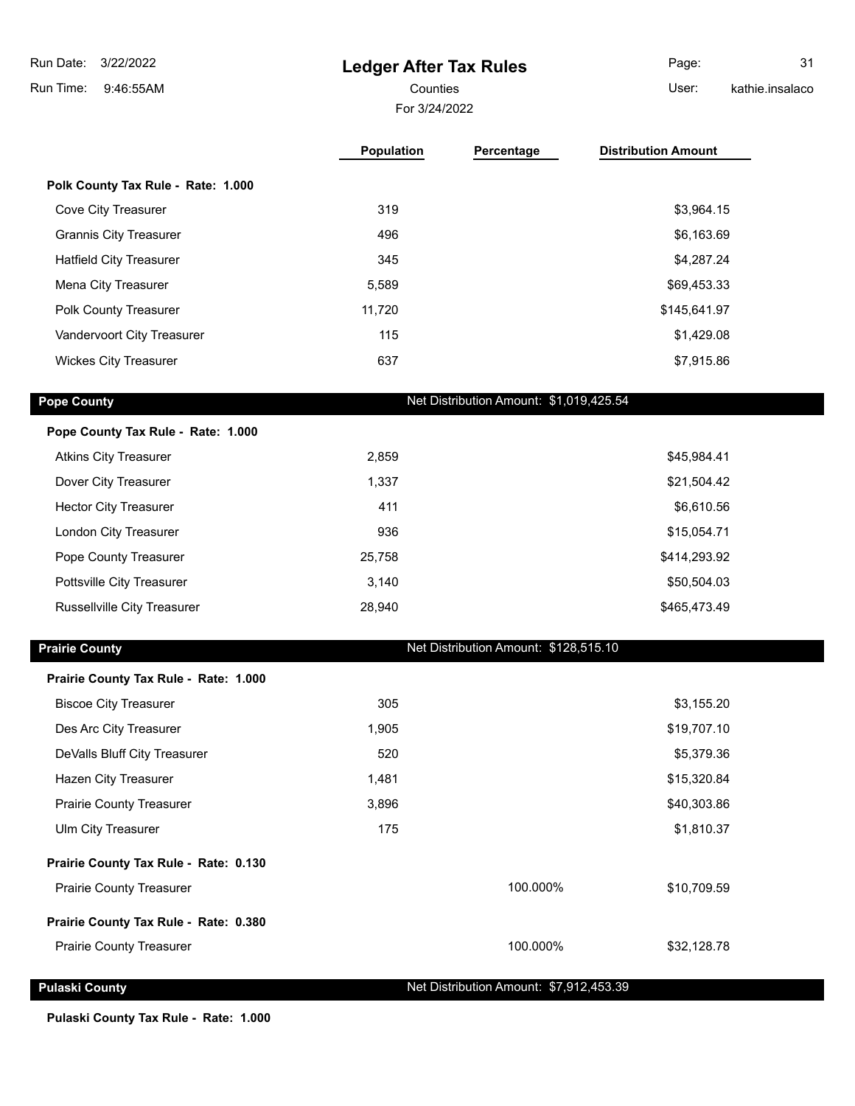**Ledger After Tax Rules** 9:46:55AM Run Time: 3/22/2022 Run Date: For 3/24/2022 Counties User: Page: 31 kathie.insalaco

|                                    | <b>Population</b> | Percentage | <b>Distribution Amount</b> |
|------------------------------------|-------------------|------------|----------------------------|
| Polk County Tax Rule - Rate: 1.000 |                   |            |                            |
| Cove City Treasurer                | 319               |            | \$3,964.15                 |
| <b>Grannis City Treasurer</b>      | 496               |            | \$6,163.69                 |
| <b>Hatfield City Treasurer</b>     | 345               |            | \$4,287.24                 |
| Mena City Treasurer                | 5,589             |            | \$69,453.33                |
| <b>Polk County Treasurer</b>       | 11,720            |            | \$145,641.97               |
| Vandervoort City Treasurer         | 115               |            | \$1,429.08                 |
| <b>Wickes City Treasurer</b>       | 637               |            | \$7,915.86                 |

**Pope County Pope County Net Distribution Amount: \$1,019,425.54** 

| Pope County Tax Rule - Rate: 1.000 |        |              |
|------------------------------------|--------|--------------|
| <b>Atkins City Treasurer</b>       | 2,859  | \$45,984.41  |
| Dover City Treasurer               | 1,337  | \$21,504.42  |
| <b>Hector City Treasurer</b>       | 411    | \$6,610.56   |
| London City Treasurer              | 936    | \$15,054.71  |
| Pope County Treasurer              | 25,758 | \$414,293.92 |
| Pottsville City Treasurer          | 3,140  | \$50,504.03  |
| Russellville City Treasurer        | 28,940 | \$465,473.49 |

**Prairie County Prairie County Net Distribution Amount: \$128,515.10** 

| Prairie County Tax Rule - Rate: 1.000 |       |          |             |
|---------------------------------------|-------|----------|-------------|
| <b>Biscoe City Treasurer</b>          | 305   |          | \$3,155.20  |
| Des Arc City Treasurer                | 1,905 |          | \$19,707.10 |
| DeValls Bluff City Treasurer          | 520   |          | \$5,379.36  |
| Hazen City Treasurer                  | 1,481 |          | \$15,320.84 |
| <b>Prairie County Treasurer</b>       | 3,896 |          | \$40,303.86 |
| Ulm City Treasurer                    | 175   |          | \$1,810.37  |
| Prairie County Tax Rule - Rate: 0.130 |       |          |             |
| <b>Prairie County Treasurer</b>       |       | 100.000% | \$10,709.59 |
| Prairie County Tax Rule - Rate: 0.380 |       |          |             |
| <b>Prairie County Treasurer</b>       |       | 100.000% | \$32,128.78 |

**Pulaski County Pulaski County Net Distribution Amount: \$7,912,453.39** 

**Pulaski County Tax Rule - Rate: 1.000**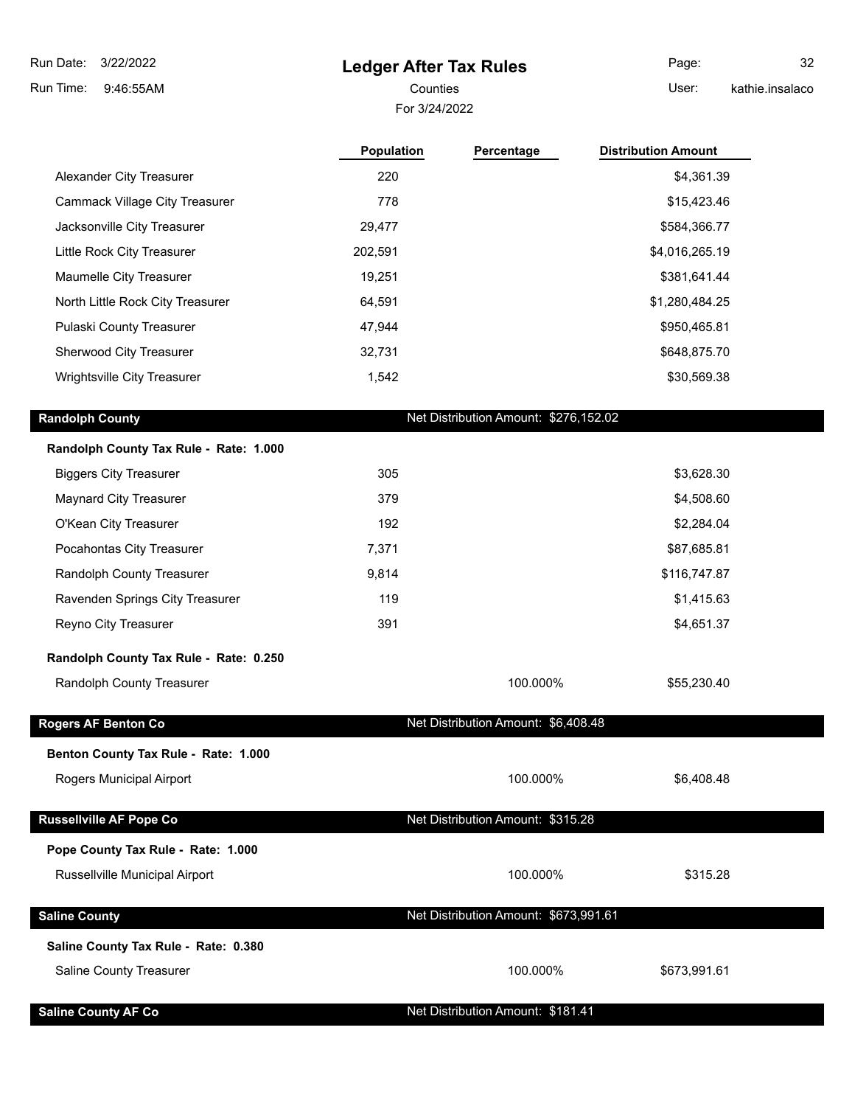## **Ledger After Tax Rules**

For 3/24/2022

Counties User:

Page: 32 kathie.insalaco

|                                        | <b>Population</b> | Percentage                            | <b>Distribution Amount</b> |
|----------------------------------------|-------------------|---------------------------------------|----------------------------|
| Alexander City Treasurer               | 220               |                                       | \$4,361.39                 |
| <b>Cammack Village City Treasurer</b>  | 778               |                                       | \$15,423.46                |
| Jacksonville City Treasurer            | 29,477            |                                       | \$584,366.77               |
| Little Rock City Treasurer             | 202,591           |                                       | \$4,016,265.19             |
| Maumelle City Treasurer                | 19,251            |                                       | \$381,641.44               |
| North Little Rock City Treasurer       | 64,591            |                                       | \$1,280,484.25             |
| Pulaski County Treasurer               | 47,944            |                                       | \$950,465.81               |
| Sherwood City Treasurer                | 32,731            |                                       | \$648,875.70               |
| Wrightsville City Treasurer            | 1,542             |                                       | \$30,569.38                |
| <b>Randolph County</b>                 |                   | Net Distribution Amount: \$276,152.02 |                            |
| Randolph County Tax Rule - Rate: 1.000 |                   |                                       |                            |
| <b>Biggers City Treasurer</b>          | 305               |                                       | \$3,628.30                 |
| <b>Maynard City Treasurer</b>          | 379               |                                       | \$4,508.60                 |
| O'Kean City Treasurer                  | 192               |                                       | \$2,284.04                 |
| Pocahontas City Treasurer              | 7,371             |                                       | \$87,685.81                |
| Randolph County Treasurer              | 9,814             |                                       | \$116,747.87               |
| Ravenden Springs City Treasurer        | 119               |                                       | \$1,415.63                 |
| Reyno City Treasurer                   | 391               |                                       | \$4,651.37                 |
| Randolph County Tax Rule - Rate: 0.250 |                   |                                       |                            |
| Randolph County Treasurer              |                   | 100.000%                              | \$55,230.40                |
| Rogers AF Benton Co                    |                   | Net Distribution Amount: \$6,408.48   |                            |
| Benton County Tax Rule - Rate: 1.000   |                   |                                       |                            |
| Rogers Municipal Airport               |                   | 100.000%                              | \$6,408.48                 |
| <b>Russellville AF Pope Co</b>         |                   | Net Distribution Amount: \$315.28     |                            |

#### **Pope County Tax Rule - Rate: 1.000**

Russellville Municipal Airport **100.000%** \$315.28

| <b>Saline County</b>                 | Net Distribution Amount: \$673,991.61 |              |
|--------------------------------------|---------------------------------------|--------------|
| Saline County Tax Rule - Rate: 0.380 |                                       |              |
| <b>Saline County Treasurer</b>       | 100.000%                              | \$673,991.61 |

**Saline County AF Co** Net Distribution Amount: \$181.41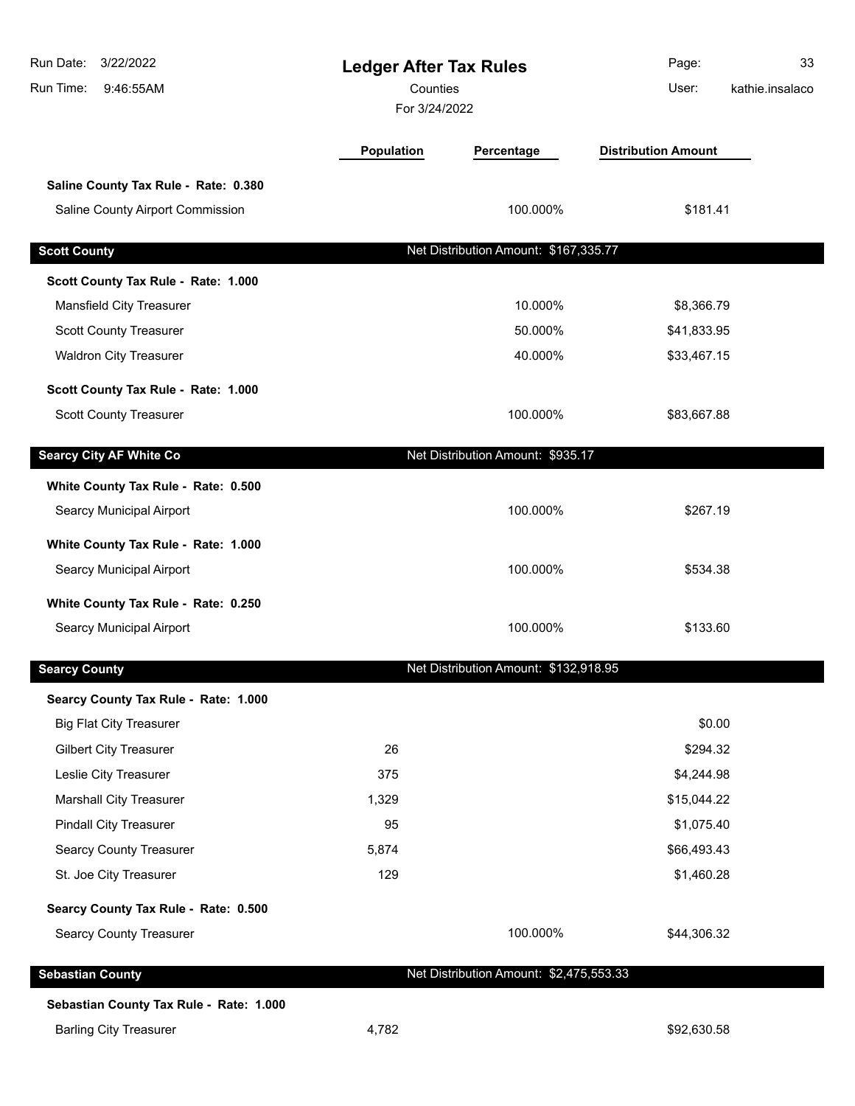| Run Date:<br>3/22/2022<br>Run Time:<br>9:46:55AM |                   | <b>Ledger After Tax Rules</b><br>Counties<br>For 3/24/2022 |                            | 33<br>kathie.insalaco |
|--------------------------------------------------|-------------------|------------------------------------------------------------|----------------------------|-----------------------|
|                                                  | <b>Population</b> | Percentage                                                 | <b>Distribution Amount</b> |                       |
| Saline County Tax Rule - Rate: 0.380             |                   |                                                            |                            |                       |
| Saline County Airport Commission                 |                   | 100.000%                                                   | \$181.41                   |                       |
| <b>Scott County</b>                              |                   | Net Distribution Amount: \$167,335.77                      |                            |                       |
| Scott County Tax Rule - Rate: 1.000              |                   |                                                            |                            |                       |
| Mansfield City Treasurer                         |                   | 10.000%                                                    | \$8,366.79                 |                       |
| <b>Scott County Treasurer</b>                    |                   | 50.000%                                                    | \$41,833.95                |                       |
| <b>Waldron City Treasurer</b>                    |                   | 40.000%                                                    | \$33,467.15                |                       |
|                                                  |                   |                                                            |                            |                       |
| Scott County Tax Rule - Rate: 1.000              |                   |                                                            |                            |                       |
| Scott County Treasurer                           |                   | 100.000%                                                   | \$83,667.88                |                       |
| <b>Searcy City AF White Co</b>                   |                   | Net Distribution Amount: \$935.17                          |                            |                       |
| White County Tax Rule - Rate: 0.500              |                   |                                                            |                            |                       |
| Searcy Municipal Airport                         |                   | 100.000%                                                   | \$267.19                   |                       |
|                                                  |                   |                                                            |                            |                       |
| White County Tax Rule - Rate: 1.000              |                   |                                                            |                            |                       |
| Searcy Municipal Airport                         |                   | 100.000%                                                   | \$534.38                   |                       |
| White County Tax Rule - Rate: 0.250              |                   |                                                            |                            |                       |
| Searcy Municipal Airport                         |                   | 100.000%                                                   | \$133.60                   |                       |
| <b>Searcy County</b>                             |                   | Net Distribution Amount: \$132,918.95                      |                            |                       |
| Searcy County Tax Rule - Rate: 1.000             |                   |                                                            |                            |                       |
| <b>Big Flat City Treasurer</b>                   |                   |                                                            | \$0.00                     |                       |
| <b>Gilbert City Treasurer</b>                    | 26                |                                                            | \$294.32                   |                       |
| Leslie City Treasurer                            | 375               |                                                            | \$4,244.98                 |                       |
| <b>Marshall City Treasurer</b>                   | 1,329             |                                                            | \$15,044.22                |                       |
| <b>Pindall City Treasurer</b>                    | 95                |                                                            | \$1,075.40                 |                       |
| <b>Searcy County Treasurer</b>                   | 5,874             |                                                            | \$66,493.43                |                       |
| St. Joe City Treasurer                           | 129               |                                                            | \$1,460.28                 |                       |
| Searcy County Tax Rule - Rate: 0.500             |                   |                                                            |                            |                       |
| <b>Searcy County Treasurer</b>                   |                   | 100.000%                                                   | \$44,306.32                |                       |
| <b>Sebastian County</b>                          |                   | Net Distribution Amount: \$2,475,553.33                    |                            |                       |
| Sebastian County Tax Rule - Rate: 1.000          |                   |                                                            |                            |                       |
| <b>Barling City Treasurer</b>                    | 4,782             |                                                            | \$92,630.58                |                       |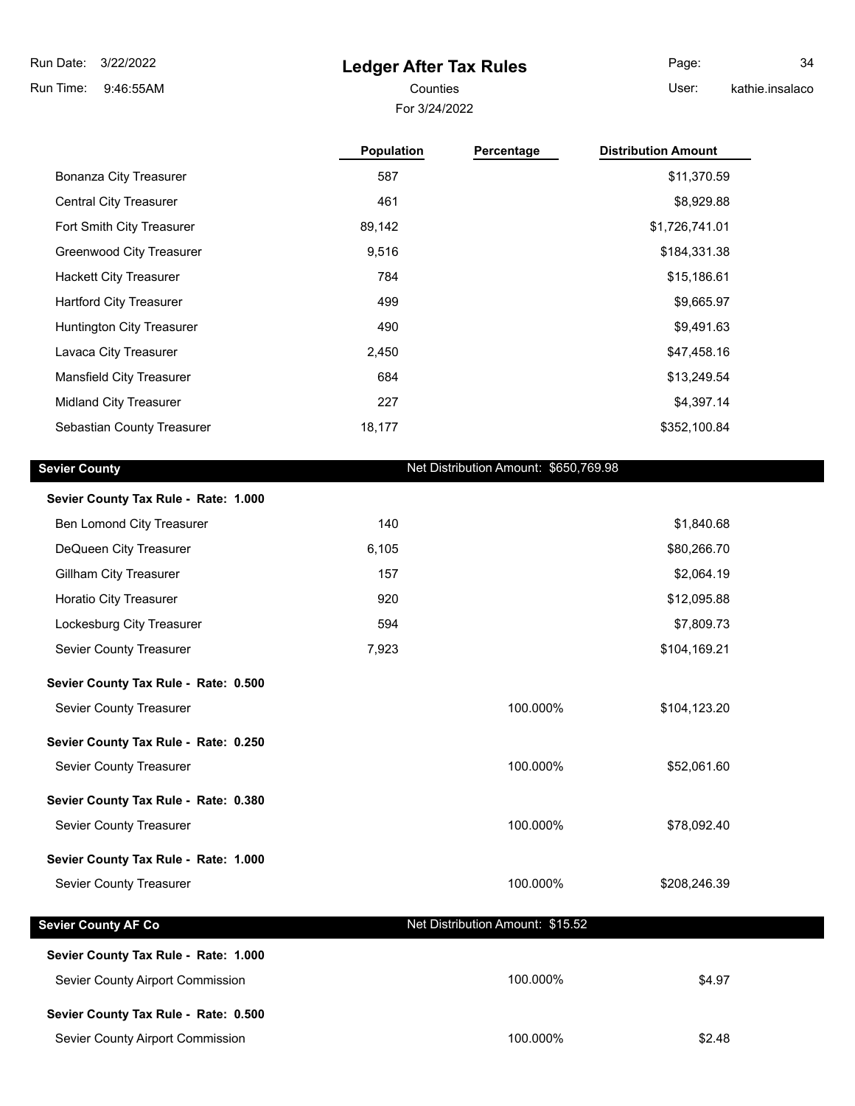# **Ledger After Tax Rules**

For 3/24/2022

Page: 34

Counties **User:** 

kathie.insalaco

|                                      | <b>Population</b> | Percentage                            | <b>Distribution Amount</b> |
|--------------------------------------|-------------------|---------------------------------------|----------------------------|
| Bonanza City Treasurer               | 587               |                                       | \$11,370.59                |
| <b>Central City Treasurer</b>        | 461               |                                       | \$8,929.88                 |
| Fort Smith City Treasurer            | 89,142            |                                       | \$1,726,741.01             |
| Greenwood City Treasurer             | 9,516             |                                       | \$184,331.38               |
| <b>Hackett City Treasurer</b>        | 784               |                                       | \$15,186.61                |
| <b>Hartford City Treasurer</b>       | 499               |                                       | \$9,665.97                 |
| Huntington City Treasurer            | 490               |                                       | \$9,491.63                 |
| Lavaca City Treasurer                | 2,450             |                                       | \$47,458.16                |
| <b>Mansfield City Treasurer</b>      | 684               |                                       | \$13,249.54                |
| <b>Midland City Treasurer</b>        | 227               |                                       | \$4,397.14                 |
| Sebastian County Treasurer           | 18,177            |                                       | \$352,100.84               |
| <b>Sevier County</b>                 |                   | Net Distribution Amount: \$650,769.98 |                            |
| Sevier County Tax Rule - Rate: 1.000 |                   |                                       |                            |

| Ben Lomond City Treasurer            | 140   |                                  | \$1,840.68   |
|--------------------------------------|-------|----------------------------------|--------------|
| DeQueen City Treasurer               | 6,105 |                                  | \$80,266.70  |
| <b>Gillham City Treasurer</b>        | 157   |                                  | \$2,064.19   |
| Horatio City Treasurer               | 920   |                                  | \$12,095.88  |
| Lockesburg City Treasurer            | 594   |                                  | \$7,809.73   |
| Sevier County Treasurer              | 7,923 |                                  | \$104,169.21 |
| Sevier County Tax Rule - Rate: 0.500 |       |                                  |              |
| Sevier County Treasurer              |       | 100.000%                         | \$104,123.20 |
| Sevier County Tax Rule - Rate: 0.250 |       |                                  |              |
| Sevier County Treasurer              |       | 100.000%                         | \$52,061.60  |
| Sevier County Tax Rule - Rate: 0.380 |       |                                  |              |
| Sevier County Treasurer              |       | 100.000%                         | \$78,092.40  |
| Sevier County Tax Rule - Rate: 1.000 |       |                                  |              |
| Sevier County Treasurer              |       | 100.000%                         | \$208,246.39 |
| <b>Sevier County AF Co</b>           |       | Net Distribution Amount: \$15.52 |              |
| Sevier County Tax Rule - Rate: 1.000 |       |                                  |              |
|                                      |       |                                  |              |
| Sevier County Airport Commission     |       | 100.000%                         | \$4.97       |
| Sevier County Tax Rule - Rate: 0.500 |       |                                  |              |

Sevier County Airport Commission  $$2.48$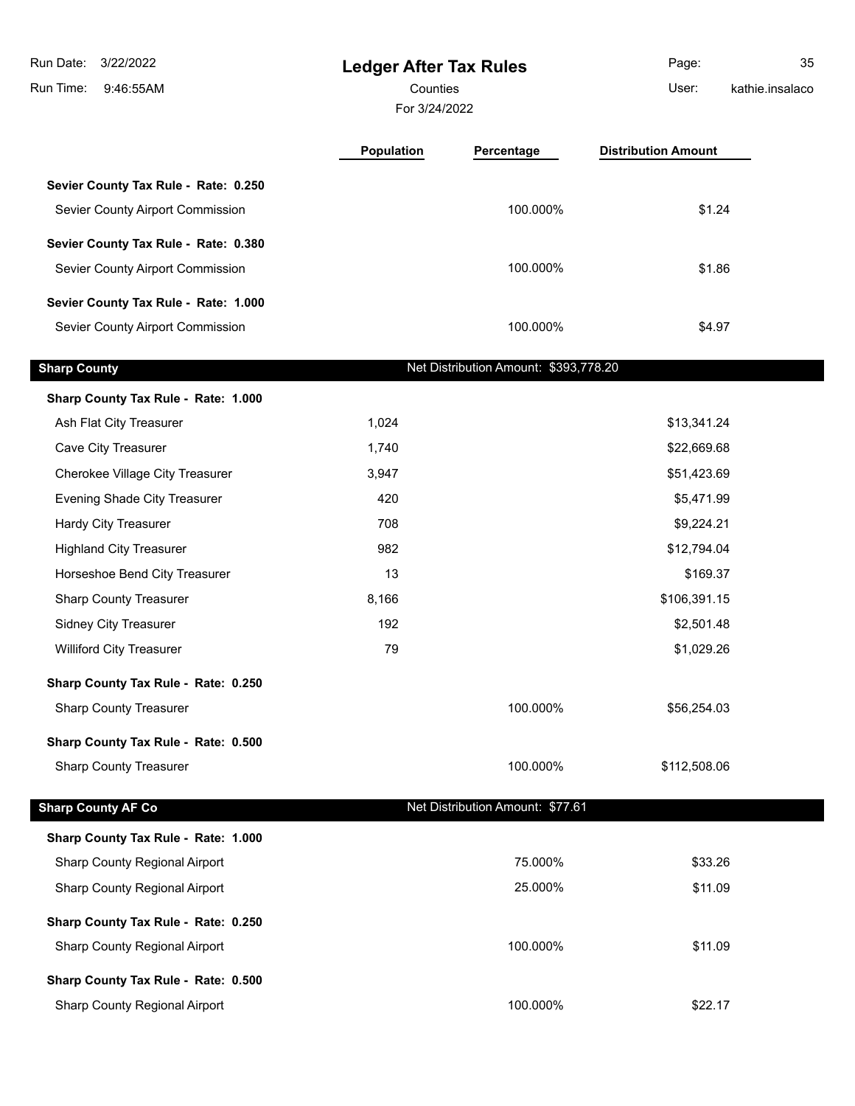| Run Date:<br>3/22/2022<br>Run Time:<br>9:46:55AM | <b>Ledger After Tax Rules</b><br>Counties |                                       | Page:<br>User:             | 35<br>kathie.insalaco |
|--------------------------------------------------|-------------------------------------------|---------------------------------------|----------------------------|-----------------------|
|                                                  |                                           | For 3/24/2022                         |                            |                       |
|                                                  | Population                                | Percentage                            | <b>Distribution Amount</b> |                       |
| Sevier County Tax Rule - Rate: 0.250             |                                           |                                       |                            |                       |
| Sevier County Airport Commission                 |                                           | 100.000%                              | \$1.24                     |                       |
| Sevier County Tax Rule - Rate: 0.380             |                                           |                                       |                            |                       |
| Sevier County Airport Commission                 |                                           | 100.000%                              | \$1.86                     |                       |
| Sevier County Tax Rule - Rate: 1.000             |                                           |                                       |                            |                       |
| Sevier County Airport Commission                 |                                           | 100.000%                              | \$4.97                     |                       |
| <b>Sharp County</b>                              |                                           | Net Distribution Amount: \$393,778.20 |                            |                       |
| Sharp County Tax Rule - Rate: 1.000              |                                           |                                       |                            |                       |
| Ash Flat City Treasurer                          | 1,024                                     |                                       | \$13,341.24                |                       |
| Cave City Treasurer                              | 1,740                                     |                                       | \$22,669.68                |                       |
| Cherokee Village City Treasurer                  | 3,947                                     |                                       | \$51,423.69                |                       |
| Evening Shade City Treasurer                     | 420                                       |                                       | \$5,471.99                 |                       |
| Hardy City Treasurer                             | 708                                       |                                       | \$9,224.21                 |                       |
| <b>Highland City Treasurer</b>                   | 982                                       |                                       | \$12,794.04                |                       |
| Horseshoe Bend City Treasurer                    | 13                                        |                                       | \$169.37                   |                       |
| <b>Sharp County Treasurer</b>                    | 8,166                                     |                                       | \$106,391.15               |                       |
| <b>Sidney City Treasurer</b>                     | 192                                       |                                       | \$2,501.48                 |                       |
| <b>Williford City Treasurer</b>                  | 79                                        |                                       | \$1,029.26                 |                       |
| Sharp County Tax Rule - Rate: 0.250              |                                           |                                       |                            |                       |
| <b>Sharp County Treasurer</b>                    |                                           | 100.000%                              | \$56,254.03                |                       |
| Sharp County Tax Rule - Rate: 0.500              |                                           |                                       |                            |                       |
| <b>Sharp County Treasurer</b>                    |                                           | 100.000%                              | \$112,508.06               |                       |
| <b>Sharp County AF Co</b>                        |                                           | Net Distribution Amount: \$77.61      |                            |                       |
| Sharp County Tax Rule - Rate: 1.000              |                                           |                                       |                            |                       |
| Sharp County Regional Airport                    |                                           | 75.000%                               | \$33.26                    |                       |
| Sharp County Regional Airport                    |                                           | 25.000%                               | \$11.09                    |                       |
| Sharp County Tax Rule - Rate: 0.250              |                                           |                                       |                            |                       |
| Sharp County Regional Airport                    |                                           | 100.000%                              | \$11.09                    |                       |
| Sharp County Tax Rule - Rate: 0.500              |                                           |                                       |                            |                       |
| Sharp County Regional Airport                    |                                           | 100.000%                              | \$22.17                    |                       |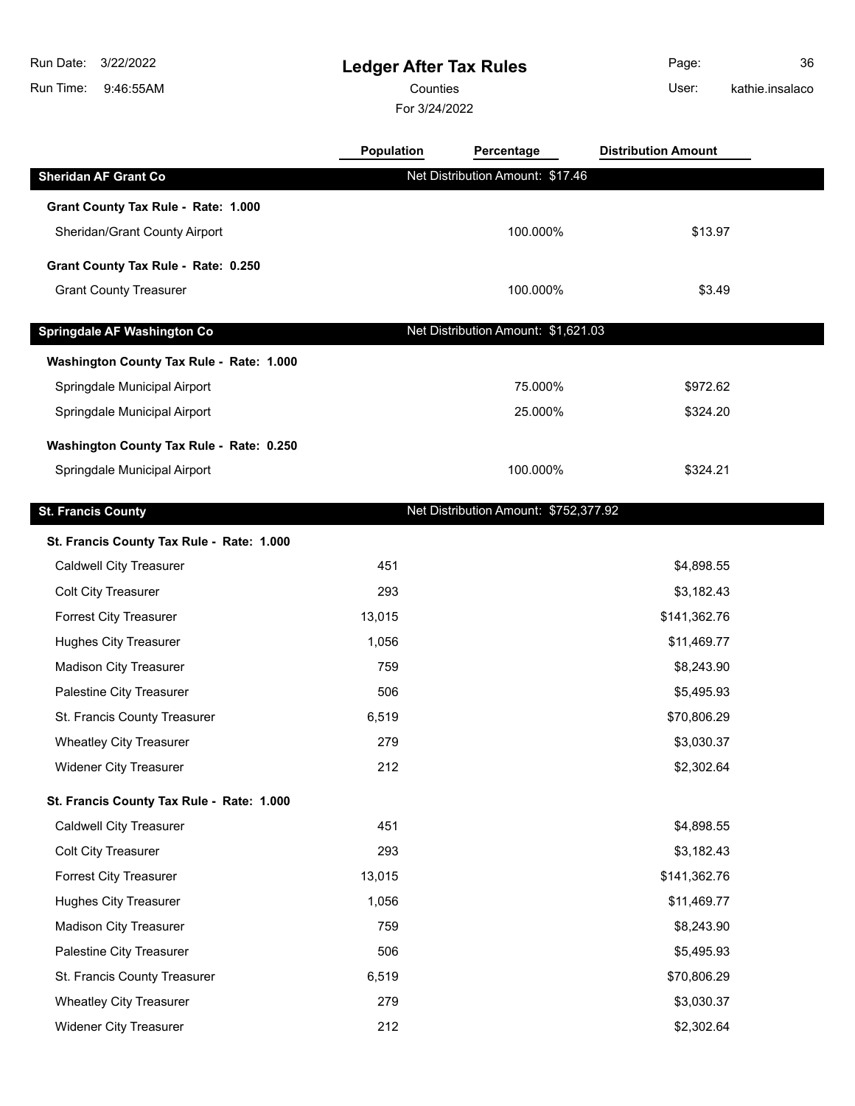$\overline{\phantom{a}}$ 

 $\overline{\phantom{a}}$ 

 $\overline{\phantom{a}}$ 

# **Ledger After Tax Rules**

Counties User:

For 3/24/2022

Page: 36 kathie.insalaco

|                                           | Population | Percentage                            | <b>Distribution Amount</b> |  |
|-------------------------------------------|------------|---------------------------------------|----------------------------|--|
| <b>Sheridan AF Grant Co</b>               |            | Net Distribution Amount: \$17.46      |                            |  |
| Grant County Tax Rule - Rate: 1.000       |            |                                       |                            |  |
| Sheridan/Grant County Airport             |            | 100.000%                              | \$13.97                    |  |
| Grant County Tax Rule - Rate: 0.250       |            |                                       |                            |  |
| <b>Grant County Treasurer</b>             |            | 100.000%                              | \$3.49                     |  |
|                                           |            |                                       |                            |  |
| Springdale AF Washington Co               |            | Net Distribution Amount: \$1,621.03   |                            |  |
| Washington County Tax Rule - Rate: 1.000  |            |                                       |                            |  |
| Springdale Municipal Airport              |            | 75.000%                               | \$972.62                   |  |
| Springdale Municipal Airport              |            | 25.000%                               | \$324.20                   |  |
| Washington County Tax Rule - Rate: 0.250  |            |                                       |                            |  |
| Springdale Municipal Airport              |            | 100.000%                              | \$324.21                   |  |
|                                           |            |                                       |                            |  |
| <b>St. Francis County</b>                 |            | Net Distribution Amount: \$752,377.92 |                            |  |
| St. Francis County Tax Rule - Rate: 1.000 |            |                                       |                            |  |
| <b>Caldwell City Treasurer</b>            | 451        |                                       | \$4,898.55                 |  |
| Colt City Treasurer                       | 293        |                                       | \$3,182.43                 |  |
| <b>Forrest City Treasurer</b>             | 13,015     |                                       | \$141,362.76               |  |
| <b>Hughes City Treasurer</b>              | 1,056      |                                       | \$11,469.77                |  |
| <b>Madison City Treasurer</b>             | 759        |                                       | \$8,243.90                 |  |
| Palestine City Treasurer                  | 506        |                                       | \$5,495.93                 |  |
| St. Francis County Treasurer              | 6,519      |                                       | \$70,806.29                |  |
| <b>Wheatley City Treasurer</b>            | 279        |                                       | \$3,030.37                 |  |
| Widener City Treasurer                    | 212        |                                       | \$2,302.64                 |  |
| St. Francis County Tax Rule - Rate: 1.000 |            |                                       |                            |  |
| <b>Caldwell City Treasurer</b>            | 451        |                                       | \$4,898.55                 |  |
| Colt City Treasurer                       | 293        |                                       | \$3,182.43                 |  |
| <b>Forrest City Treasurer</b>             | 13,015     |                                       | \$141,362.76               |  |
| <b>Hughes City Treasurer</b>              | 1,056      |                                       | \$11,469.77                |  |
| <b>Madison City Treasurer</b>             | 759        |                                       | \$8,243.90                 |  |
| Palestine City Treasurer                  | 506        |                                       | \$5,495.93                 |  |
| St. Francis County Treasurer              | 6,519      |                                       | \$70,806.29                |  |
| <b>Wheatley City Treasurer</b>            | 279        |                                       | \$3,030.37                 |  |
| Widener City Treasurer                    | 212        |                                       | \$2,302.64                 |  |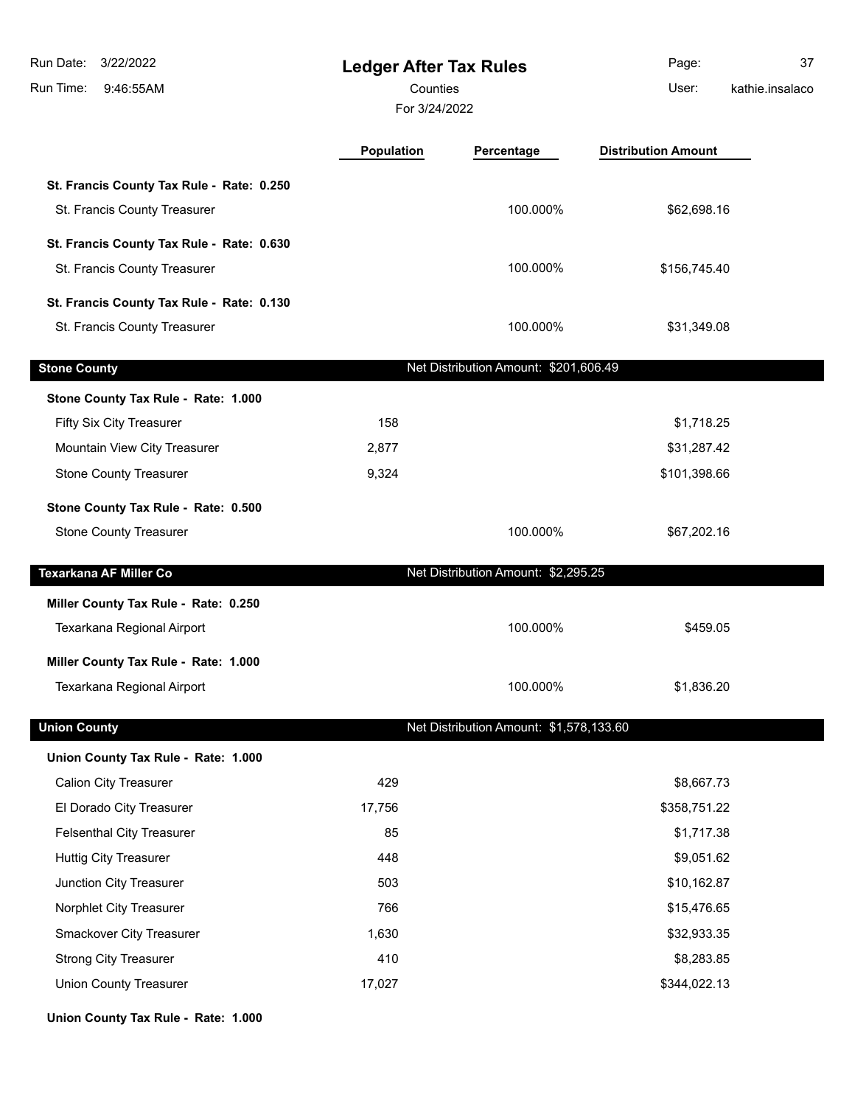| 3/22/2022<br>Run Date:<br>Run Time:<br>9:46:55AM | <b>Ledger After Tax Rules</b><br>Counties<br>For 3/24/2022 |                                         | Page:<br>User:             | 37<br>kathie.insalaco |
|--------------------------------------------------|------------------------------------------------------------|-----------------------------------------|----------------------------|-----------------------|
|                                                  | <b>Population</b>                                          | Percentage                              | <b>Distribution Amount</b> |                       |
| St. Francis County Tax Rule - Rate: 0.250        |                                                            |                                         |                            |                       |
| St. Francis County Treasurer                     |                                                            | 100.000%                                | \$62,698.16                |                       |
| St. Francis County Tax Rule - Rate: 0.630        |                                                            |                                         |                            |                       |
| St. Francis County Treasurer                     |                                                            | 100.000%                                | \$156,745.40               |                       |
| St. Francis County Tax Rule - Rate: 0.130        |                                                            |                                         |                            |                       |
| St. Francis County Treasurer                     |                                                            | 100.000%                                | \$31,349.08                |                       |
| <b>Stone County</b>                              |                                                            | Net Distribution Amount: \$201,606.49   |                            |                       |
| Stone County Tax Rule - Rate: 1.000              |                                                            |                                         |                            |                       |
| Fifty Six City Treasurer                         | 158                                                        |                                         | \$1,718.25                 |                       |
| Mountain View City Treasurer                     | 2,877                                                      |                                         | \$31,287.42                |                       |
| <b>Stone County Treasurer</b>                    | 9,324                                                      |                                         | \$101,398.66               |                       |
| Stone County Tax Rule - Rate: 0.500              |                                                            |                                         |                            |                       |
| <b>Stone County Treasurer</b>                    |                                                            | 100.000%                                | \$67,202.16                |                       |
| <b>Texarkana AF Miller Co</b>                    |                                                            | Net Distribution Amount: \$2,295.25     |                            |                       |
| Miller County Tax Rule - Rate: 0.250             |                                                            |                                         |                            |                       |
| Texarkana Regional Airport                       |                                                            | 100.000%                                | \$459.05                   |                       |
| Miller County Tax Rule - Rate: 1.000             |                                                            |                                         |                            |                       |
| Texarkana Regional Airport                       |                                                            | 100.000%                                | \$1,836.20                 |                       |
| <b>Union County</b>                              |                                                            | Net Distribution Amount: \$1,578,133.60 |                            |                       |
| Union County Tax Rule - Rate: 1.000              |                                                            |                                         |                            |                       |
| <b>Calion City Treasurer</b>                     | 429                                                        |                                         | \$8,667.73                 |                       |
| El Dorado City Treasurer                         | 17,756                                                     |                                         | \$358,751.22               |                       |
| <b>Felsenthal City Treasurer</b>                 | 85                                                         |                                         | \$1,717.38                 |                       |
| <b>Huttig City Treasurer</b>                     | 448                                                        |                                         | \$9,051.62                 |                       |
| Junction City Treasurer                          | 503                                                        |                                         | \$10,162.87                |                       |
| Norphlet City Treasurer                          | 766                                                        |                                         | \$15,476.65                |                       |
| Smackover City Treasurer                         | 1,630                                                      |                                         | \$32,933.35                |                       |
| <b>Strong City Treasurer</b>                     | 410                                                        |                                         | \$8,283.85                 |                       |
| <b>Union County Treasurer</b>                    | 17,027                                                     |                                         | \$344,022.13               |                       |
| Union County Tax Rule - Rate: 1.000              |                                                            |                                         |                            |                       |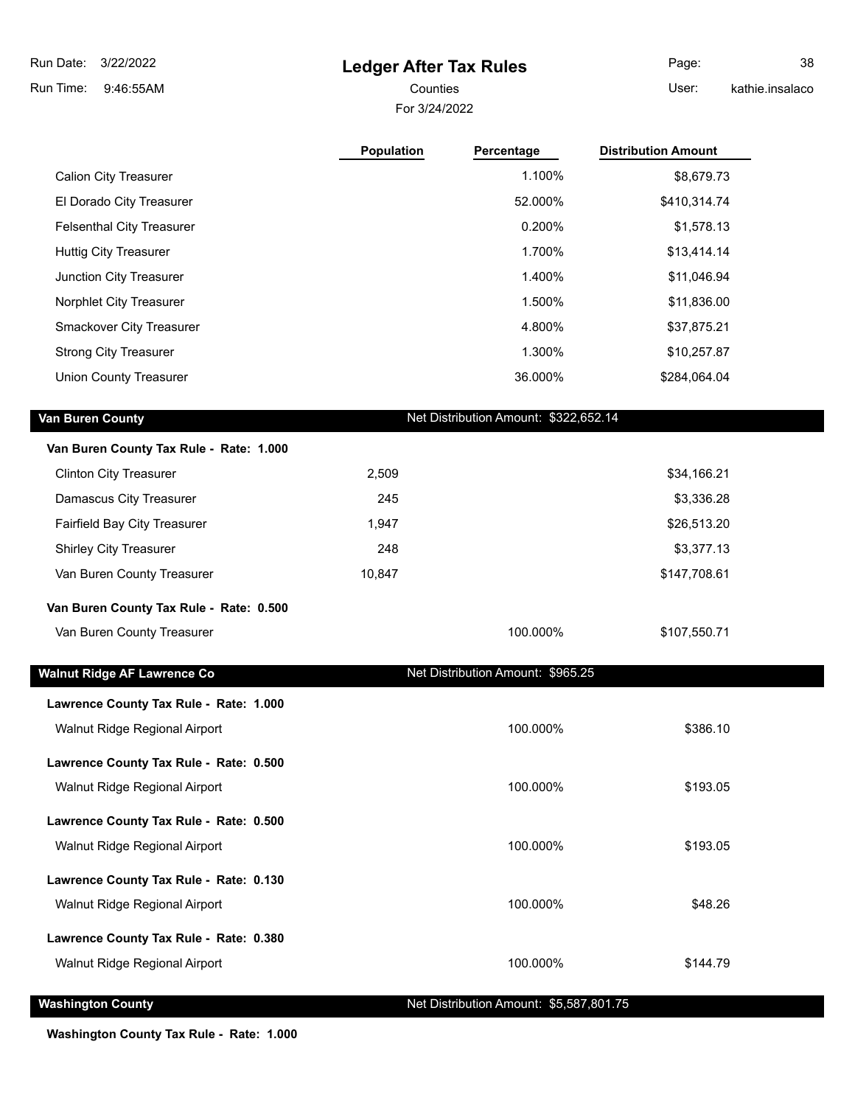# **Ledger After Tax Rules**

For 3/24/2022 Counties **User:** 

Page: 38 kathie.insalaco

|                                         | Population | Percentage                              | <b>Distribution Amount</b> |  |
|-----------------------------------------|------------|-----------------------------------------|----------------------------|--|
| <b>Calion City Treasurer</b>            |            | 1.100%                                  | \$8,679.73                 |  |
| El Dorado City Treasurer                |            | 52.000%                                 | \$410,314.74               |  |
| <b>Felsenthal City Treasurer</b>        |            | 0.200%                                  | \$1,578.13                 |  |
| <b>Huttig City Treasurer</b>            |            | 1.700%                                  | \$13,414.14                |  |
| Junction City Treasurer                 |            | 1.400%                                  | \$11,046.94                |  |
| Norphlet City Treasurer                 |            | 1.500%                                  | \$11,836.00                |  |
| Smackover City Treasurer                |            | 4.800%                                  | \$37,875.21                |  |
| <b>Strong City Treasurer</b>            |            | 1.300%                                  | \$10,257.87                |  |
| <b>Union County Treasurer</b>           |            | 36.000%                                 | \$284,064.04               |  |
|                                         |            |                                         |                            |  |
| Van Buren County                        |            | Net Distribution Amount: \$322,652.14   |                            |  |
| Van Buren County Tax Rule - Rate: 1.000 |            |                                         |                            |  |
| <b>Clinton City Treasurer</b>           | 2,509      |                                         | \$34,166.21                |  |
| Damascus City Treasurer                 | 245        |                                         | \$3,336.28                 |  |
| Fairfield Bay City Treasurer            | 1,947      |                                         | \$26,513.20                |  |
| <b>Shirley City Treasurer</b>           | 248        |                                         | \$3,377.13                 |  |
| Van Buren County Treasurer              | 10,847     |                                         | \$147,708.61               |  |
| Van Buren County Tax Rule - Rate: 0.500 |            |                                         |                            |  |
| Van Buren County Treasurer              |            | 100.000%                                | \$107,550.71               |  |
|                                         |            |                                         |                            |  |
| <b>Walnut Ridge AF Lawrence Co</b>      |            | Net Distribution Amount: \$965.25       |                            |  |
| Lawrence County Tax Rule - Rate: 1.000  |            |                                         |                            |  |
| Walnut Ridge Regional Airport           |            | 100.000%                                | \$386.10                   |  |
| Lawrence County Tax Rule - Rate: 0.500  |            |                                         |                            |  |
| Walnut Ridge Regional Airport           |            | 100.000%                                | \$193.05                   |  |
|                                         |            |                                         |                            |  |
| Lawrence County Tax Rule - Rate: 0.500  |            |                                         |                            |  |
| Walnut Ridge Regional Airport           |            | 100.000%                                | \$193.05                   |  |
| Lawrence County Tax Rule - Rate: 0.130  |            |                                         |                            |  |
| Walnut Ridge Regional Airport           |            | 100.000%                                | \$48.26                    |  |
| Lawrence County Tax Rule - Rate: 0.380  |            |                                         |                            |  |
| Walnut Ridge Regional Airport           |            | 100.000%                                | \$144.79                   |  |
|                                         |            |                                         |                            |  |
| <b>Washington County</b>                |            | Net Distribution Amount: \$5,587,801.75 |                            |  |

**Washington County Tax Rule - Rate: 1.000**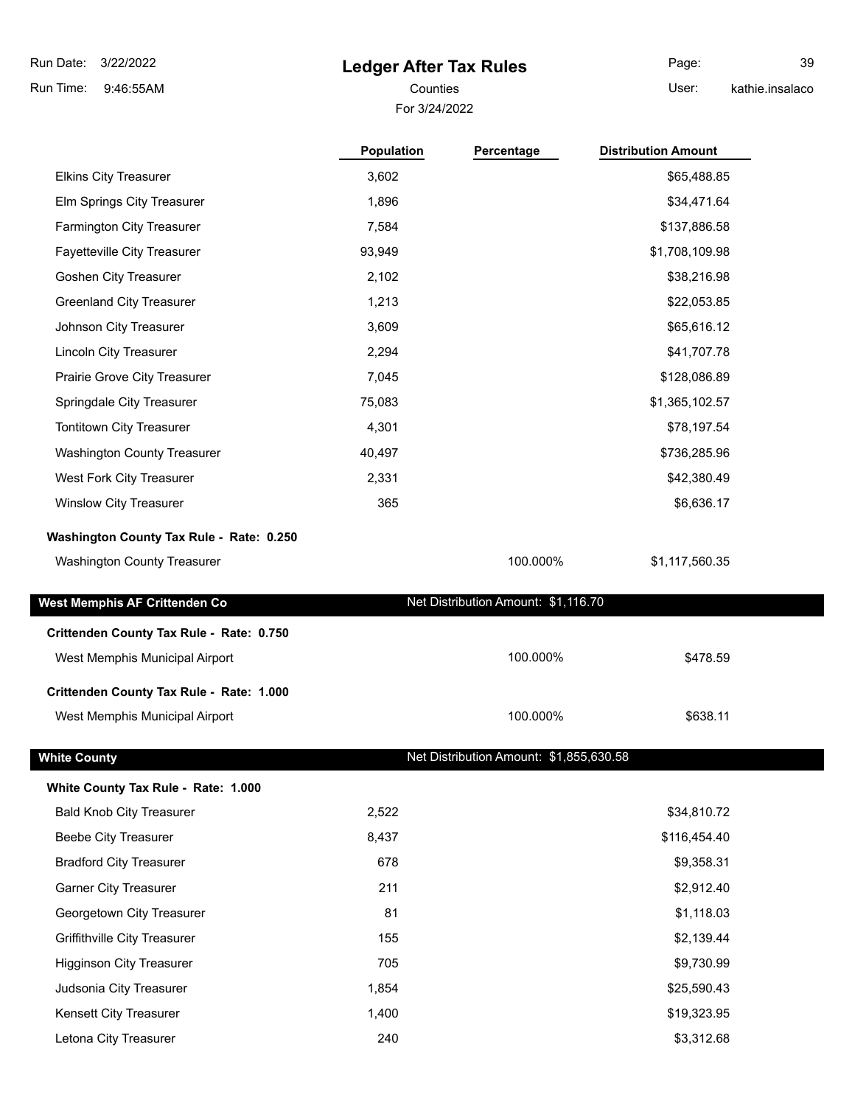# **Ledger After Tax Rules**

For 3/24/2022 Counties **Counties** User:

Page: 39 kathie.insalaco

|                                          | <b>Population</b> | Percentage                              | <b>Distribution Amount</b> |
|------------------------------------------|-------------------|-----------------------------------------|----------------------------|
| <b>Elkins City Treasurer</b>             | 3,602             |                                         | \$65,488.85                |
| Elm Springs City Treasurer               | 1,896             |                                         | \$34,471.64                |
| Farmington City Treasurer                | 7,584             |                                         | \$137,886.58               |
| Fayetteville City Treasurer              | 93,949            |                                         | \$1,708,109.98             |
| Goshen City Treasurer                    | 2,102             |                                         | \$38,216.98                |
| <b>Greenland City Treasurer</b>          | 1,213             |                                         | \$22,053.85                |
| Johnson City Treasurer                   | 3,609             |                                         | \$65,616.12                |
| Lincoln City Treasurer                   | 2,294             |                                         | \$41,707.78                |
| Prairie Grove City Treasurer             | 7,045             |                                         | \$128,086.89               |
| Springdale City Treasurer                | 75,083            |                                         | \$1,365,102.57             |
| Tontitown City Treasurer                 | 4,301             |                                         | \$78,197.54                |
| <b>Washington County Treasurer</b>       | 40,497            |                                         | \$736,285.96               |
| West Fork City Treasurer                 | 2,331             |                                         | \$42,380.49                |
| <b>Winslow City Treasurer</b>            | 365               |                                         | \$6,636.17                 |
| Washington County Tax Rule - Rate: 0.250 |                   |                                         |                            |
| Washington County Treasurer              |                   | 100.000%                                | \$1,117,560.35             |
| West Memphis AF Crittenden Co            |                   | Net Distribution Amount: \$1,116.70     |                            |
| Crittenden County Tax Rule - Rate: 0.750 |                   |                                         |                            |
| West Memphis Municipal Airport           |                   | 100.000%                                | \$478.59                   |
| Crittenden County Tax Rule - Rate: 1.000 |                   |                                         |                            |
| West Memphis Municipal Airport           |                   | 100.000%                                | \$638.11                   |
| <b>White County</b>                      |                   | Net Distribution Amount: \$1,855,630.58 |                            |
| White County Tax Rule - Rate: 1.000      |                   |                                         |                            |
| <b>Bald Knob City Treasurer</b>          | 2,522             |                                         | \$34,810.72                |
| <b>Beebe City Treasurer</b>              | 8,437             |                                         | \$116,454.40               |
| <b>Bradford City Treasurer</b>           | 678               |                                         | \$9,358.31                 |
| <b>Garner City Treasurer</b>             | 211               |                                         | \$2,912.40                 |
| Georgetown City Treasurer                | 81                |                                         | \$1,118.03                 |
| Griffithville City Treasurer             | 155               |                                         | \$2,139.44                 |
| <b>Higginson City Treasurer</b>          | 705               |                                         | \$9,730.99                 |
| Judsonia City Treasurer                  | 1,854             |                                         | \$25,590.43                |
| Kensett City Treasurer                   | 1,400             |                                         | \$19,323.95                |
| Letona City Treasurer                    | 240               |                                         | \$3,312.68                 |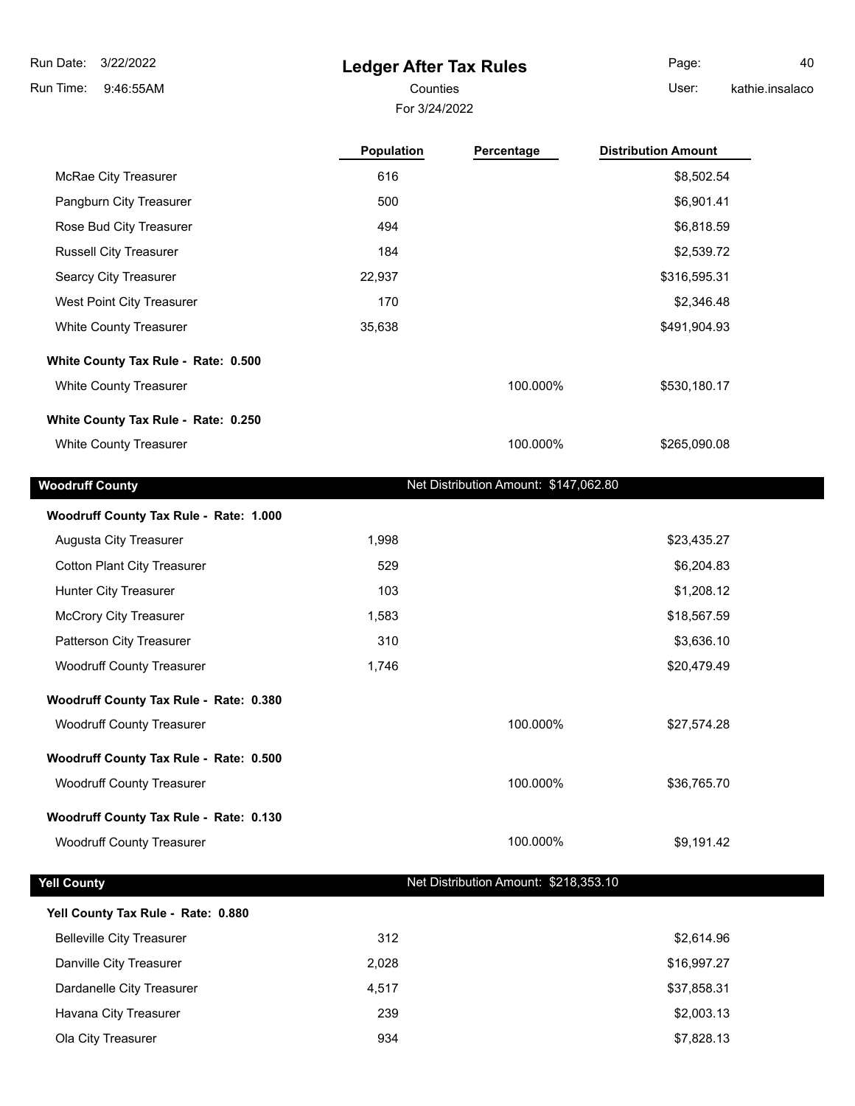Г

Г

# **Ledger After Tax Rules**

For 3/24/2022

Page: 40

Counties **User:** 

kathie.insalaco

|                                        | Population | Percentage                            | <b>Distribution Amount</b> |
|----------------------------------------|------------|---------------------------------------|----------------------------|
| McRae City Treasurer                   | 616        |                                       | \$8,502.54                 |
| Pangburn City Treasurer                | 500        |                                       | \$6,901.41                 |
| Rose Bud City Treasurer                | 494        |                                       | \$6,818.59                 |
| <b>Russell City Treasurer</b>          | 184        |                                       | \$2,539.72                 |
| Searcy City Treasurer                  | 22,937     |                                       | \$316,595.31               |
| West Point City Treasurer              | 170        |                                       | \$2,346.48                 |
| <b>White County Treasurer</b>          | 35,638     |                                       | \$491,904.93               |
| White County Tax Rule - Rate: 0.500    |            |                                       |                            |
| White County Treasurer                 |            | 100.000%                              | \$530,180.17               |
| White County Tax Rule - Rate: 0.250    |            |                                       |                            |
| <b>White County Treasurer</b>          |            | 100.000%                              | \$265,090.08               |
| <b>Woodruff County</b>                 |            | Net Distribution Amount: \$147,062.80 |                            |
| Woodruff County Tax Rule - Rate: 1.000 |            |                                       |                            |
| Augusta City Treasurer                 | 1,998      |                                       | \$23,435.27                |
| <b>Cotton Plant City Treasurer</b>     | 529        |                                       | \$6,204.83                 |
| Hunter City Treasurer                  | 103        |                                       | \$1,208.12                 |
| <b>McCrory City Treasurer</b>          | 1,583      |                                       | \$18,567.59                |
| Patterson City Treasurer               | 310        |                                       | \$3,636.10                 |
| <b>Woodruff County Treasurer</b>       | 1,746      |                                       | \$20,479.49                |
| Woodruff County Tax Rule - Rate: 0.380 |            |                                       |                            |
| <b>Woodruff County Treasurer</b>       |            | 100.000%                              | \$27,574.28                |
| Woodruff County Tax Rule - Rate: 0.500 |            |                                       |                            |
| <b>Woodruff County Treasurer</b>       |            | 100.000%                              | \$36,765.70                |
| Woodruff County Tax Rule - Rate: 0.130 |            |                                       |                            |
| <b>Woodruff County Treasurer</b>       |            | 100.000%                              | \$9,191.42                 |
| <b>Yell County</b>                     |            | Net Distribution Amount: \$218,353.10 |                            |
| Yell County Tax Rule - Rate: 0.880     |            |                                       |                            |
| <b>Belleville City Treasurer</b>       | 312        |                                       | \$2,614.96                 |
| Danville City Treasurer                | 2,028      |                                       | \$16,997.27                |
| Dardanelle City Treasurer              | 4,517      |                                       | \$37,858.31                |
| Havana City Treasurer                  | 239        |                                       | \$2,003.13                 |
| Ola City Treasurer                     | 934        |                                       | \$7,828.13                 |